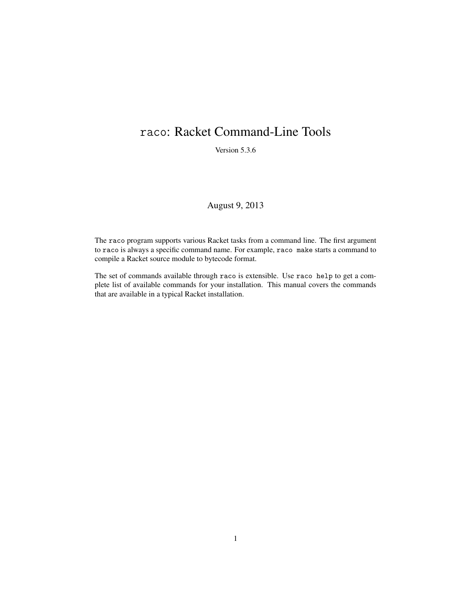# raco: Racket Command-Line Tools

Version 5.3.6

# August 9, 2013

The raco program supports various Racket tasks from a command line. The first argument to raco is always a specific command name. For example, raco make starts a command to compile a Racket source module to bytecode format.

The set of commands available through raco is extensible. Use raco help to get a complete list of available commands for your installation. This manual covers the commands that are available in a typical Racket installation.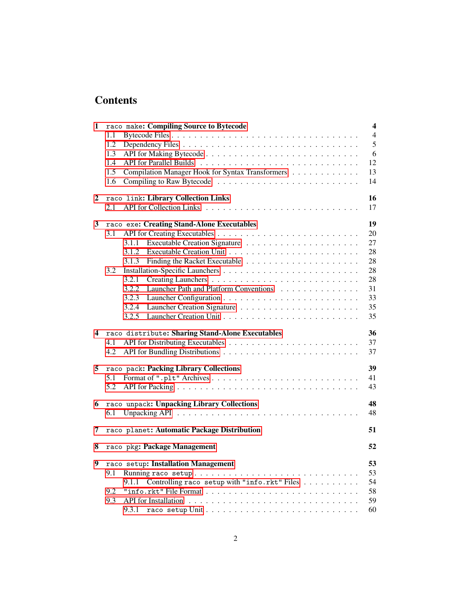# **Contents**

| 1 | raco make: Compiling Source to Bytecode                 | $\overline{\mathbf{4}}$ |
|---|---------------------------------------------------------|-------------------------|
|   | 1.1                                                     | $\overline{4}$          |
|   | 1.2                                                     | 5                       |
|   | 1.3                                                     | 6                       |
|   | 1.4                                                     | 12                      |
|   | Compilation Manager Hook for Syntax Transformers<br>1.5 | 13                      |
|   | 1.6                                                     | 14                      |
| 2 | raco link: Library Collection Links                     | 16                      |
|   | 2.1                                                     | 17                      |
| 3 | raco exe: Creating Stand-Alone Executables              | 19                      |
|   | 3.1                                                     | 20                      |
|   | 3.1.1                                                   | 27                      |
|   | 3.1.2                                                   | 28                      |
|   | 3.1.3                                                   | 28                      |
|   | 3.2                                                     | 28                      |
|   | 3.2.1                                                   | 28                      |
|   | 3.2.2<br>Launcher Path and Platform Conventions         | 31                      |
|   | 3.2.3                                                   | 33                      |
|   | 3.2.4                                                   | 35                      |
|   | 3.2.5                                                   | 35                      |
| 4 | raco distribute: Sharing Stand-Alone Executables        | 36                      |
|   | 4.1                                                     | 37                      |
|   | 4.2                                                     | 37                      |
| 5 | raco pack: Packing Library Collections                  | 39                      |
|   | 5.1                                                     | 41                      |
|   | 5.2                                                     | 43                      |
| 6 | raco unpack: Unpacking Library Collections              | 48                      |
|   | 6.1                                                     | 48                      |
| 7 | raco planet: Automatic Package Distribution             | 51                      |
| 8 | raco pkg: Package Management                            | 52                      |
| 9 | raco setup: Installation Management                     | 53                      |
|   | 9.1                                                     | 53                      |
|   | Controlling raco setup with "info.rkt" Files<br>9.1.1   | 54                      |
|   | 9.2                                                     | 58                      |
|   | 9.3                                                     | 59                      |
|   | 9.3.1                                                   | 60                      |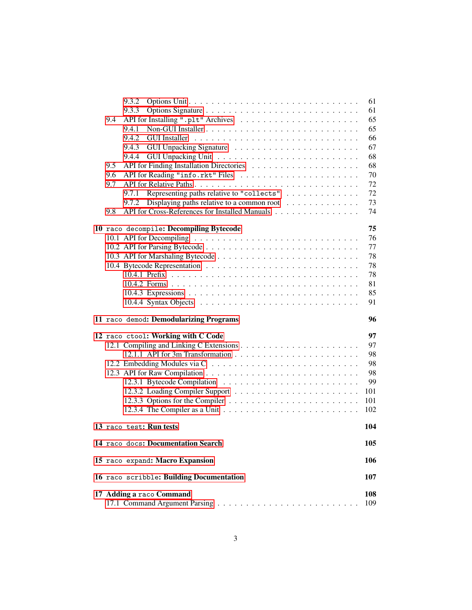|     | 9.3.2                                                                | 61  |
|-----|----------------------------------------------------------------------|-----|
|     | 9.3.3                                                                | 61  |
| 9.4 |                                                                      | 65  |
|     | 9.4.1                                                                | 65  |
|     | 9.4.2<br><b>GUI</b> Installer                                        | 66  |
|     | 9.4.3                                                                | 67  |
|     | 9.4.4                                                                | 68  |
| 9.5 |                                                                      | 68  |
| 9.6 |                                                                      | 70  |
| 9.7 |                                                                      | 72  |
|     | Representing paths relative to "collects"<br>9.7.1                   | 72  |
|     | Displaying paths relative to a common root<br>9.7.2                  | 73  |
| 9.8 | API for Cross-References for Installed Manuals                       | 74  |
|     | 10 raco decompile: Decompiling Bytecode                              | 75  |
|     |                                                                      | 76  |
|     |                                                                      | 77  |
|     |                                                                      | 78  |
|     |                                                                      | 78  |
|     |                                                                      | 78  |
|     |                                                                      | 81  |
|     |                                                                      | 85  |
|     |                                                                      | 91  |
|     |                                                                      |     |
|     | 11 raco demod: Demodularizing Programs                               | 96  |
|     |                                                                      | 97  |
|     | 12 raco ctool: Working with C Code                                   | 97  |
|     |                                                                      | 98  |
|     |                                                                      | 98  |
|     |                                                                      | 98  |
|     |                                                                      | 99  |
|     |                                                                      | 101 |
|     |                                                                      | 101 |
|     |                                                                      | 102 |
|     | 13 raco test: Run tests                                              | 104 |
|     | 14 raco docs: Documentation Search                                   | 105 |
|     | 15 raco expand: Macro Expansion                                      | 106 |
|     |                                                                      | 107 |
|     | 16 raco scribble: Building Documentation<br>17 Adding a raco Command | 108 |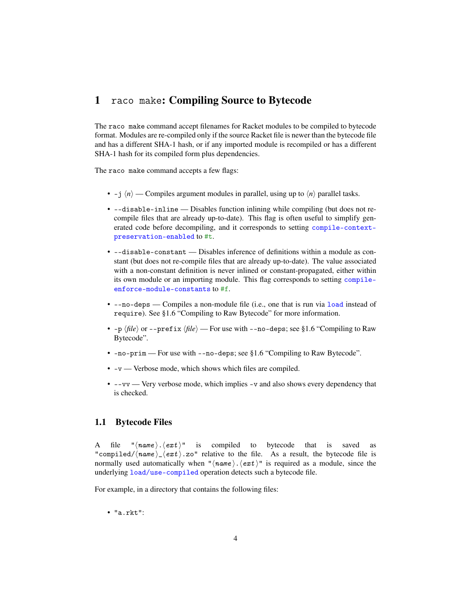# <span id="page-3-0"></span>1 raco make: Compiling Source to Bytecode

The raco make command accept filenames for Racket modules to be compiled to bytecode format. Modules are re-compiled only if the source Racket file is newer than the bytecode file and has a different SHA-1 hash, or if any imported module is recompiled or has a different SHA-1 hash for its compiled form plus dependencies.

The raco make command accepts a few flags:

- -j  $\langle n \rangle$  Compiles argument modules in parallel, using up to  $\langle n \rangle$  parallel tasks.
- --disable-inline Disables function inlining while compiling (but does not recompile files that are already up-to-date). This flag is often useful to simplify generated code before decompiling, and it corresponds to setting compile-contextpreservation-enabled to #t.
- --disable-constant Disables inference of definitions within a module as constant (but does not re-compile files that are already up-to-date). The value associated with a non-constant definition is never inlined or constant-propagated, either within its own module or an importing module. This flag corresponds to setting compileenforce-module-constants to #f.
- --no-deps Compiles a non-module file (i.e., one that is run via load instead of require). See §1.6 "Compiling to Raw Bytecode" for more information.
- $-p \langle file \rangle$  or  $-\text{prefix} \langle file \rangle$  For use with  $-\text{no-deps}$ ; see §1.6 "Compiling to Raw Bytecode".
- -no-prim For use with --no-deps; see §1.6 "Compiling to Raw Bytecode".
- -v Verbose mode, which shows which files are compiled.
- --vv Very verbose mode, which implies -v and also shows every dependency that is checked.

### <span id="page-3-1"></span>1.1 Bytecode Files

A file " $\langle name \rangle$ .  $\langle ext \rangle$ " is compiled to bytecode that is saved as "compiled/ $\langle name \rangle$   $\langle ext \rangle$ .zo" relative to the file. As a result, the bytecode file is normally used automatically when " $\langle name \rangle$ .  $\langle ext \rangle$ " is required as a module, since the underlying load/use-compiled operation detects such a bytecode file.

For example, in a directory that contains the following files:

• "a.rkt":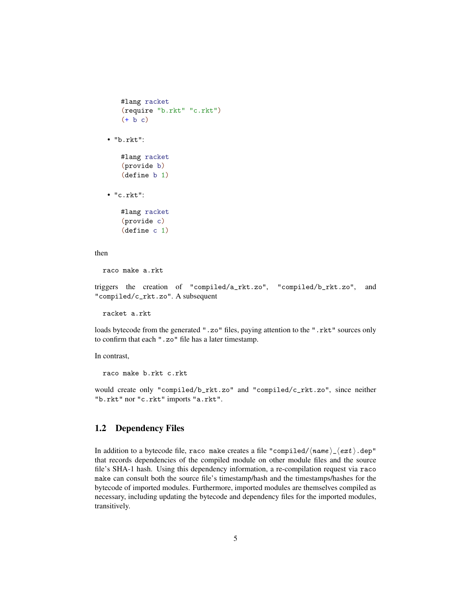```
#lang racket
(require "b.rkt" "c.rkt")
(+ b c)
```
• "b.rkt":

#lang racket (provide b) (define b 1)

• "c.rkt":

#lang racket (provide c) (define c 1)

#### then

raco make a.rkt

triggers the creation of "compiled/a\_rkt.zo", "compiled/b\_rkt.zo", and "compiled/c\_rkt.zo". A subsequent

racket a.rkt

loads bytecode from the generated ".zo" files, paying attention to the ".rkt" sources only to confirm that each ".zo" file has a later timestamp.

In contrast,

raco make b.rkt c.rkt

would create only "compiled/b\_rkt.zo" and "compiled/c\_rkt.zo", since neither "b.rkt" nor "c.rkt" imports "a.rkt".

# <span id="page-4-0"></span>1.2 Dependency Files

In addition to a bytecode file, raco make creates a file "compiled/ $\langle name \rangle_{\sim} \langle ext \rangle$ .dep" that records dependencies of the compiled module on other module files and the source file's SHA-1 hash. Using this dependency information, a re-compilation request via raco make can consult both the source file's timestamp/hash and the timestamps/hashes for the bytecode of imported modules. Furthermore, imported modules are themselves compiled as necessary, including updating the bytecode and dependency files for the imported modules, transitively.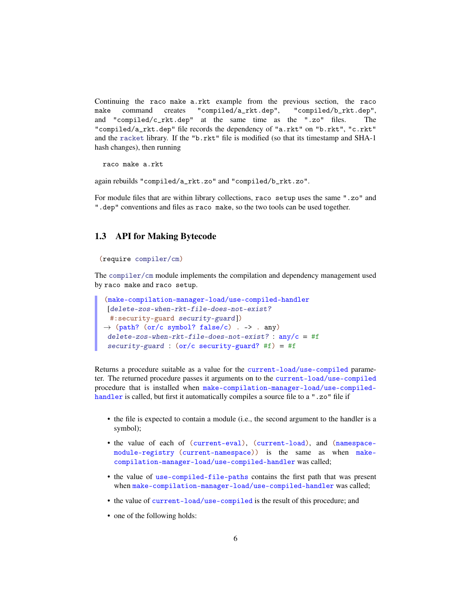Continuing the raco make a.rkt example from the previous section, the raco make command creates "compiled/a\_rkt.dep", "compiled/b\_rkt.dep", and "compiled/c\_rkt.dep" at the same time as the ".zo" files. The "compiled/a\_rkt.dep" file records the dependency of "a.rkt" on "b.rkt", "c.rkt" and the racket library. If the "b.rkt" file is modified (so that its timestamp and SHA-1 hash changes), then running

raco make a.rkt

again rebuilds "compiled/a\_rkt.zo" and "compiled/b\_rkt.zo".

For module files that are within library collections, raco setup uses the same ".zo" and ".dep" conventions and files as raco make, so the two tools can be used together.

### <span id="page-5-0"></span>1.3 API for Making Bytecode

#### (require compiler/cm)

The compiler/cm module implements the compilation and dependency management used by raco make and raco setup.

```
(make-compilation-manager-load/use-compiled-handler
 [delete-zos-when-rkt-file-does-not-exist?
 #:security-guard security-guard])
\rightarrow (path? (or/c symbol? false/c) . -> . any)
delete-zos-when-rkt-file-does-not-exist? : any/c = #f
 security-guard : (or/c security-guard? #f) = #f
```
Returns a procedure suitable as a value for the current-load/use-compiled parameter. The returned procedure passes it arguments on to the current-load/use-compiled procedure that is installed when make-compilation-manager-load/use-compiledhandler is called, but first it automatically compiles a source file to a ".zo" file if

- the file is expected to contain a module (i.e., the second argument to the handler is a symbol);
- the value of each of (current-eval), (current-load), and (namespacemodule-registry (current-namespace)) is the same as when makecompilation-manager-load/use-compiled-handler was called;
- the value of use-compiled-file-paths contains the first path that was present when make-compilation-manager-load/use-compiled-handler was called;
- the value of current-load/use-compiled is the result of this procedure; and
- one of the following holds: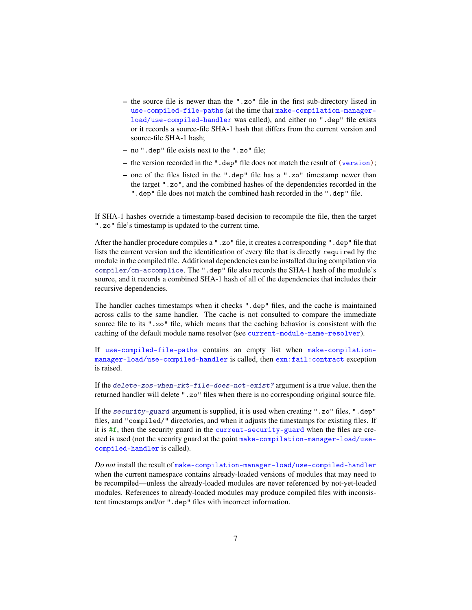- the source file is newer than the ".zo" file in the first sub-directory listed in use-compiled-file-paths (at the time that make-compilation-managerload/use-compiled-handler was called), and either no ".dep" file exists or it records a source-file SHA-1 hash that differs from the current version and source-file SHA-1 hash;
- no ".dep" file exists next to the ".zo" file;
- the version recorded in the ".dep" file does not match the result of (version);
- one of the files listed in the ".dep" file has a ".zo" timestamp newer than the target ".zo", and the combined hashes of the dependencies recorded in the ".dep" file does not match the combined hash recorded in the ".dep" file.

If SHA-1 hashes override a timestamp-based decision to recompile the file, then the target ".zo" file's timestamp is updated to the current time.

After the handler procedure compiles a ".zo" file, it creates a corresponding ".dep" file that lists the current version and the identification of every file that is directly required by the module in the compiled file. Additional dependencies can be installed during compilation via compiler/cm-accomplice. The ".dep" file also records the SHA-1 hash of the module's source, and it records a combined SHA-1 hash of all of the dependencies that includes their recursive dependencies.

The handler caches timestamps when it checks ".dep" files, and the cache is maintained across calls to the same handler. The cache is not consulted to compare the immediate source file to its ".zo" file, which means that the caching behavior is consistent with the caching of the default module name resolver (see current-module-name-resolver).

If use-compiled-file-paths contains an empty list when make-compilationmanager-load/use-compiled-handler is called, then exn:fail:contract exception is raised.

If the delete-zos-when-rkt-file-does-not-exist? argument is a true value, then the returned handler will delete ".zo" files when there is no corresponding original source file.

If the security-guard argument is supplied, it is used when creating ".zo" files, ".dep" files, and "compiled/" directories, and when it adjusts the timestamps for existing files. If it is  $#f$ , then the security guard in the current-security-guard when the files are created is used (not the security guard at the point make-compilation-manager-load/usecompiled-handler is called).

*Do not* install the result of make-compilation-manager-load/use-compiled-handler when the current namespace contains already-loaded versions of modules that may need to be recompiled—unless the already-loaded modules are never referenced by not-yet-loaded modules. References to already-loaded modules may produce compiled files with inconsistent timestamps and/or ".dep" files with incorrect information.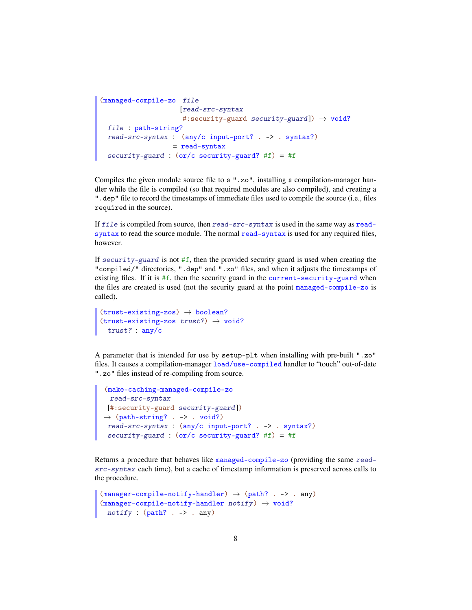```
(managed-compile-zo file
                    [read-src-syntax
                     #:security-guard security-guard]) \rightarrow void?
 file : path-string?
 read-src-syntax : (any/c input-port? . -> . syntax?)
                  = read-syntax
 security-guard : (or/c security-guard? #f) = #f
```
Compiles the given module source file to a ".zo", installing a compilation-manager handler while the file is compiled (so that required modules are also compiled), and creating a ".dep" file to record the timestamps of immediate files used to compile the source (i.e., files required in the source).

If file is compiled from source, then read-src-syntax is used in the same way as readsyntax to read the source module. The normal read-syntax is used for any required files, however.

If  $security$ -guard is not #f, then the provided security guard is used when creating the "compiled/" directories, ".dep" and ".zo" files, and when it adjusts the timestamps of existing files. If it is  $#f$ , then the security guard in the current-security-guard when the files are created is used (not the security guard at the point managed-compile-zo is called).

```
(truet-existing-zos) \rightarrow boolean?(truet-existing-zos trust?) \rightarrow void?trust? : any/c
```
A parameter that is intended for use by setup-plt when installing with pre-built ".zo" files. It causes a compilation-manager load/use-compiled handler to "touch" out-of-date ".zo" files instead of re-compiling from source.

```
(make-caching-managed-compile-zo
 read-src-syntax
[#:security-guard security-guard])
\rightarrow (path-string? . -> . void?)
read-src-syntax : (any/c input-port? . -> . syntax?)
 security-guard : (or/c security-guard? #f) = #f
```
Returns a procedure that behaves like managed-compile-zo (providing the same readsrc-syntax each time), but a cache of timestamp information is preserved across calls to the procedure.

```
(\text{manager-compile-notify-handler}) \rightarrow (\text{path? . -> . any})(manager-compile-notify-handler notify) \rightarrow void?notify : (path? \ . \ . > . any)
```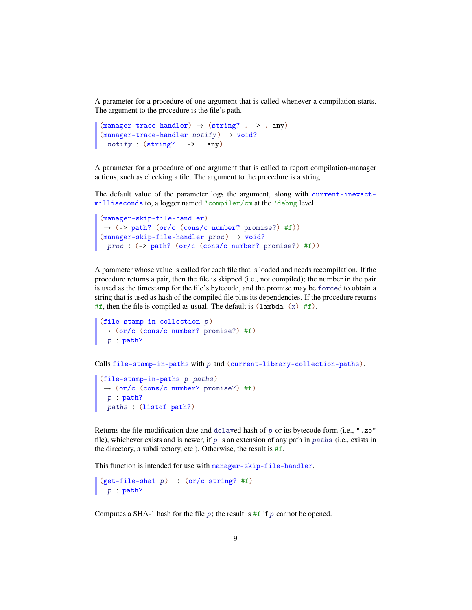A parameter for a procedure of one argument that is called whenever a compilation starts. The argument to the procedure is the file's path.

```
(manager-trace-handler) \rightarrow (string? . -> . any)(manager-trace-handler notify) \rightarrow void?notify : (string? . -> . any)
```
A parameter for a procedure of one argument that is called to report compilation-manager actions, such as checking a file. The argument to the procedure is a string.

The default value of the parameter logs the argument, along with current-inexactmilliseconds to, a logger named 'compiler/cm at the 'debug level.

```
(manager-skip-file-handler)
\rightarrow (-> path? (or/c (cons/c number? promise?) #f))
(manager-skip-file-handler proc) \rightarrow void?proc : (-> path? (or/c (cons/c number? promise?) #f))
```
A parameter whose value is called for each file that is loaded and needs recompilation. If the procedure returns a pair, then the file is skipped (i.e., not compiled); the number in the pair is used as the timestamp for the file's bytecode, and the promise may be forced to obtain a string that is used as hash of the compiled file plus its dependencies. If the procedure returns #f, then the file is compiled as usual. The default is  $(\text{lambda } (x) \# f)$ .

```
(file-stamp-in-collection p)
\rightarrow (or/c (cons/c number? promise?) #f)
 p : path?
```
Calls file-stamp-in-paths with p and (current-library-collection-paths).

```
(file-stamp-in-paths p paths)
\rightarrow (or/c (cons/c number? promise?) #f)
 p : path?
 paths : (listof path?)
```
Returns the file-modification date and delayed hash of p or its bytecode form (i.e.,  $" .zo"$ file), whichever exists and is newer, if  $p$  is an extension of any path in paths (i.e., exists in the directory, a subdirectory, etc.). Otherwise, the result is #f.

This function is intended for use with manager-skip-file-handler.

```
(get-file-shal p) \rightarrow (or/c string? #f)p : path?
```
Computes a SHA-1 hash for the file  $p$ ; the result is #f if p cannot be opened.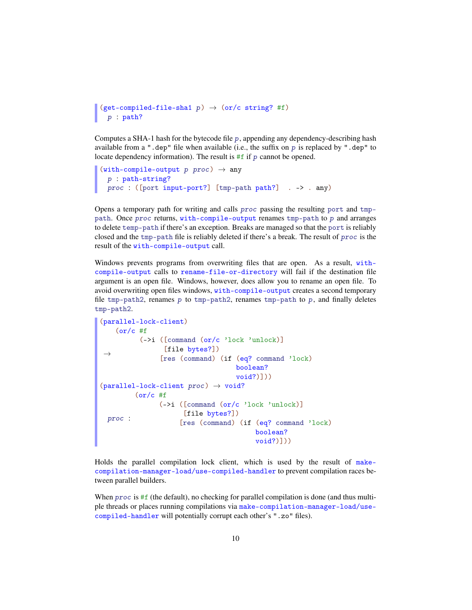```
(get-complied-file-sha1 p) \rightarrow (or/c string? #f)p : path?
```
Computes a SHA-1 hash for the bytecode file p, appending any dependency-describing hash available from a ".dep" file when available (i.e., the suffix on  $p$  is replaced by ".dep" to locate dependency information). The result is  $#f$  if p cannot be opened.

```
(with-compile-output p proc) \rightarrow anyp : path-string?
 proc : ([port input-port?] [tmp-path path?] . -> . any)
```
Opens a temporary path for writing and calls proc passing the resulting port and tmppath. Once proc returns, with-compile-output renames tmp-path to p and arranges to delete temp-path if there's an exception. Breaks are managed so that the port is reliably closed and the tmp-path file is reliably deleted if there's a break. The result of proc is the result of the with-compile-output call.

Windows prevents programs from overwriting files that are open. As a result, withcompile-output calls to rename-file-or-directory will fail if the destination file argument is an open file. Windows, however, does allow you to rename an open file. To avoid overwriting open files windows, with-compile-output creates a second temporary file tmp-path2, renames p to tmp-path2, renames tmp-path to p, and finally deletes tmp-path2.

```
(parallel-lock-client)
\rightarrow(or/c #f
          (->i ([command (or/c 'lock 'unlock)]
                 [file bytes?])
                [res (command) (if (eq? command 'lock)
                                    boolean?
                                    void?)]))
(parallel-lock-client proc) \rightarrow void?proc :
         (or/c #f
               (->i ([command (or/c 'lock 'unlock)]
                     [file bytes?])
                     [res (command) (if (eq? command 'lock)
                                         boolean?
                                         void?)]))
```
Holds the parallel compilation lock client, which is used by the result of makecompilation-manager-load/use-compiled-handler to prevent compilation races between parallel builders.

When  $proc$  is #f (the default), no checking for parallel compilation is done (and thus multiple threads or places running compilations via make-compilation-manager-load/usecompiled-handler will potentially corrupt each other's ".zo" files).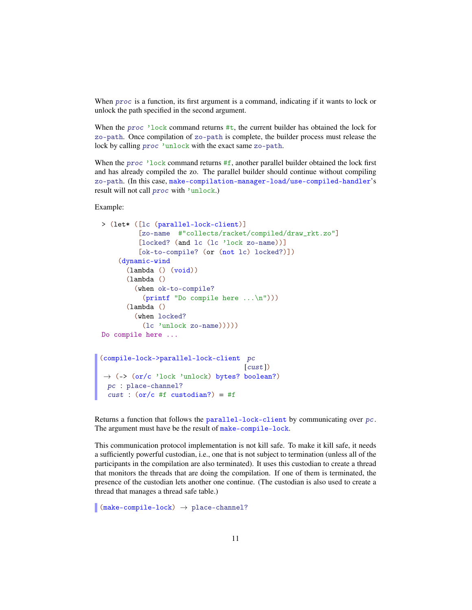When *proc* is a function, its first argument is a command, indicating if it wants to lock or unlock the path specified in the second argument.

When the proc  $\cdot$  lock command returns #t, the current builder has obtained the lock for zo-path. Once compilation of zo-path is complete, the builder process must release the lock by calling proc 'unlock with the exact same zo-path.

When the *proc* 'lock command returns  $#f$ , another parallel builder obtained the lock first and has already compiled the zo. The parallel builder should continue without compiling zo-path. (In this case, make-compilation-manager-load/use-compiled-handler's result will not call proc with 'unlock.)

#### Example:

```
> (let* ([lc (parallel-lock-client)]
          [zo-name #"collects/racket/compiled/draw_rkt.zo"]
          [locked? (and lc (lc 'lock zo-name))]
          [ok-to-compile? (or (not lc) locked?)])
    (dynamic-wind
       (lambda () (void))
      (lambda ()
         (when ok-to-compile?
           (printf "Do compile here ...\n")))
       (lambda ()
        (when locked?
          (lc 'unlock zo-name)))))
Do compile here ...
(compile-lock->parallel-lock-client pc
                                     [cust])
\rightarrow (-> (or/c 'lock 'unlock) bytes? boolean?)
 pc : place-channel?
 cust : (or/c #f custodian?) = #f
```
Returns a function that follows the parallel-lock-client by communicating over pc. The argument must have be the result of make-compile-lock.

This communication protocol implementation is not kill safe. To make it kill safe, it needs a sufficiently powerful custodian, i.e., one that is not subject to termination (unless all of the participants in the compilation are also terminated). It uses this custodian to create a thread that monitors the threads that are doing the compilation. If one of them is terminated, the presence of the custodian lets another one continue. (The custodian is also used to create a thread that manages a thread safe table.)

 $\blacksquare$  (make-compile-lock)  $\rightarrow$  place-channel?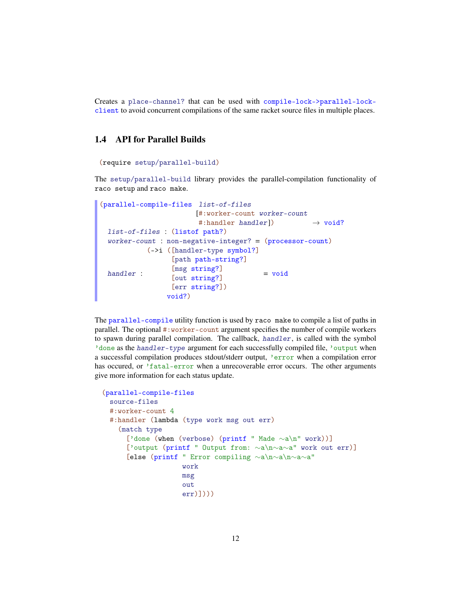Creates a place-channel? that can be used with compile-lock->parallel-lockclient to avoid concurrent compilations of the same racket source files in multiple places.

# <span id="page-11-0"></span>1.4 API for Parallel Builds

```
(require setup/parallel-build)
```
The setup/parallel-build library provides the parallel-compilation functionality of raco setup and raco make.

```
(parallel-compile-files list-of-files
                        [#:worker-count worker-count
                         #:handler handler]) \rightarrow void?
 list-of-files : (listof path?)
 worker-count : non-negative-integer? = (processor-count)
 handler :
           (->i ([handler-type symbol?]
                  [path path-string?]
                  [msg string?]
                  [out string?]
                  [err string?])
                 void?)
                                         = void
```
The parallel-compile utility function is used by raco make to compile a list of paths in parallel. The optional #:worker-count argument specifies the number of compile workers to spawn during parallel compilation. The callback, handler, is called with the symbol 'done as the handler-type argument for each successfully compiled file, 'output when a successful compilation produces stdout/stderr output, 'error when a compilation error has occured, or 'fatal-error when a unrecoverable error occurs. The other arguments give more information for each status update.

```
(parallel-compile-files
 source-files
 #:worker-count 4
 #: handler (lambda (type work msg out err)
   (match type
      ['done (when (verbose) (printf " Made ∼a\n" work))]
      ['output (printf " Output from: ∼a\n∼a∼a" work out err)]
      [else (printf " Error compiling ∼a\n∼a\n∼a∼a"
                   work
                   msg
                    out
                    err)])))
```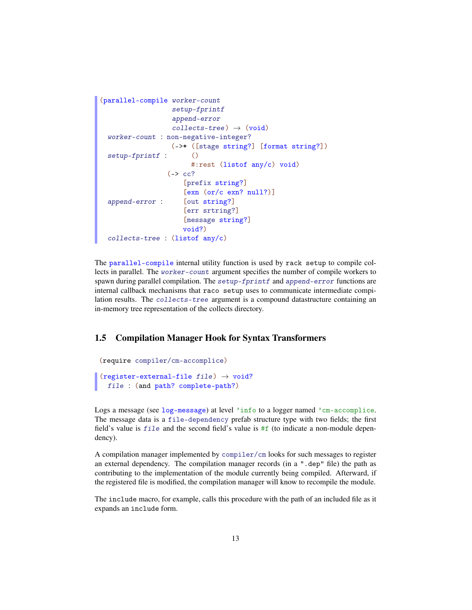```
(parallel-compile worker-count
                   setup-fprintf
                   append-error
                   collects-tree) \rightarrow (void)worker-count : non-negative-integer?
 setup-fprintf :
                   (->* ([stage string?] [format string?])
                        \circ#:rest (listof any/c) void)
 append-error :
                  (\rightarrow cc?
                      [prefix string?]
                      [exn (or/c exn? null?)]
                      [out string?]
                      [err srtring?]
                      [message string?]
                      void?)
 collects-tree : (listof any/c)
```
The parallel-compile internal utility function is used by rack setup to compile collects in parallel. The worker-count argument specifies the number of compile workers to spawn during parallel compilation. The setup-fprintf and append-error functions are internal callback mechanisms that raco setup uses to communicate intermediate compilation results. The collects-tree argument is a compound datastructure containing an in-memory tree representation of the collects directory.

## <span id="page-12-0"></span>1.5 Compilation Manager Hook for Syntax Transformers

(require compiler/cm-accomplice)

 $(r$ egister-external-file file)  $\rightarrow$  void? file : (and path? complete-path?)

Logs a message (see log-message) at level 'info to a logger named 'cm-accomplice. The message data is a file-dependency prefab structure type with two fields; the first field's value is  $fil$  and the second field's value is  $#f$  (to indicate a non-module dependency).

A compilation manager implemented by compiler/cm looks for such messages to register an external dependency. The compilation manager records (in a ".dep" file) the path as contributing to the implementation of the module currently being compiled. Afterward, if the registered file is modified, the compilation manager will know to recompile the module.

The include macro, for example, calls this procedure with the path of an included file as it expands an include form.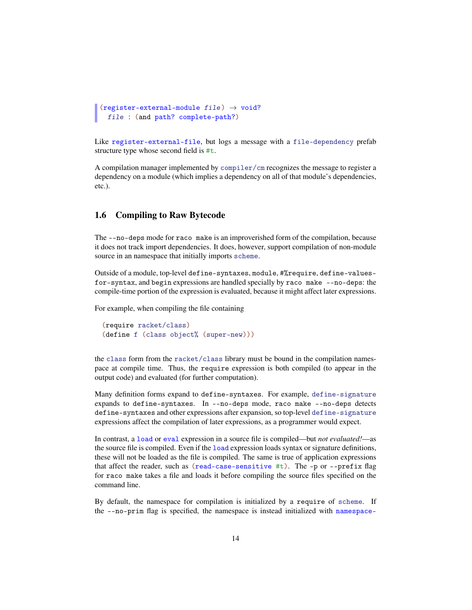```
(register-external-module file) \rightarrow void?
  file : (and path? complete-path?)
```
Like register-external-file, but logs a message with a file-dependency prefab structure type whose second field is #t.

A compilation manager implemented by compiler/cm recognizes the message to register a dependency on a module (which implies a dependency on all of that module's dependencies, etc.).

## <span id="page-13-0"></span>1.6 Compiling to Raw Bytecode

The --no-deps mode for raco make is an improverished form of the compilation, because it does not track import dependencies. It does, however, support compilation of non-module source in an namespace that initially imports scheme.

Outside of a module, top-level define-syntaxes, module, #%require, define-valuesfor-syntax, and begin expressions are handled specially by raco make --no-deps: the compile-time portion of the expression is evaluated, because it might affect later expressions.

For example, when compiling the file containing

```
(require racket/class)
(define f (class object% (super-new)))
```
the class form from the racket/class library must be bound in the compilation namespace at compile time. Thus, the require expression is both compiled (to appear in the output code) and evaluated (for further computation).

Many definition forms expand to define-syntaxes. For example, define-signature expands to define-syntaxes. In --no-deps mode, raco make --no-deps detects define-syntaxes and other expressions after expansion, so top-level define-signature expressions affect the compilation of later expressions, as a programmer would expect.

In contrast, a load or eval expression in a source file is compiled—but *not evaluated!*—as the source file is compiled. Even if the load expression loads syntax or signature definitions, these will not be loaded as the file is compiled. The same is true of application expressions that affect the reader, such as (read-case-sensitive  $\#t$ ). The -p or --prefix flag for raco make takes a file and loads it before compiling the source files specified on the command line.

By default, the namespace for compilation is initialized by a require of scheme. If the --no-prim flag is specified, the namespace is instead initialized with namespace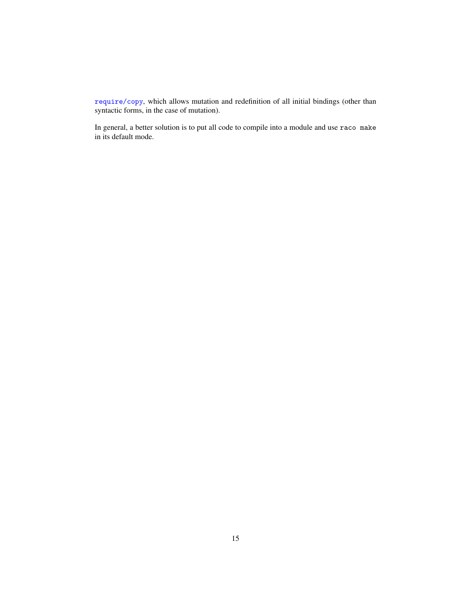require/copy, which allows mutation and redefinition of all initial bindings (other than syntactic forms, in the case of mutation).

In general, a better solution is to put all code to compile into a module and use raco make in its default mode.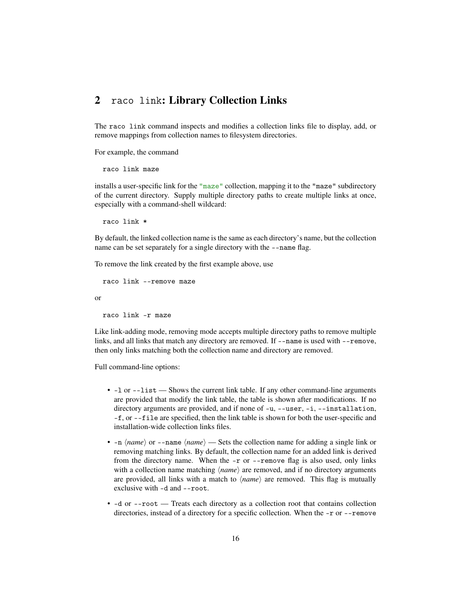# <span id="page-15-0"></span>2 raco link: Library Collection Links

The raco link command inspects and modifies a collection links file to display, add, or remove mappings from collection names to filesystem directories.

For example, the command

```
raco link maze
```
installs a user-specific link for the "maze" collection, mapping it to the "maze" subdirectory of the current directory. Supply multiple directory paths to create multiple links at once, especially with a command-shell wildcard:

raco link \*

By default, the linked collection name is the same as each directory's name, but the collection name can be set separately for a single directory with the --name flag.

To remove the link created by the first example above, use

```
raco link --remove maze
```
or

raco link -r maze

Like link-adding mode, removing mode accepts multiple directory paths to remove multiple links, and all links that match any directory are removed. If  $-$ -name is used with  $-$ -remove, then only links matching both the collection name and directory are removed.

Full command-line options:

- -1 or --1 ist Shows the current link table. If any other command-line arguments are provided that modify the link table, the table is shown after modifications. If no directory arguments are provided, and if none of  $-u$ ,  $u$ ,  $-u$ ser,  $-i$ ,  $u$ ,  $-i$ nstallation, -f, or --file are specified, then the link table is shown for both the user-specific and installation-wide collection links files.
- $\text{-}n \langle \textit{name} \rangle$  or  $\text{-}n$ ame $\langle \textit{name} \rangle$  Sets the collection name for adding a single link or removing matching links. By default, the collection name for an added link is derived from the directory name. When the -r or --remove flag is also used, only links with a collection name matching  $\langle name \rangle$  are removed, and if no directory arguments are provided, all links with a match to  $\langle name \rangle$  are removed. This flag is mutually exclusive with -d and --root.
- -d or --root Treats each directory as a collection root that contains collection directories, instead of a directory for a specific collection. When the -r or --remove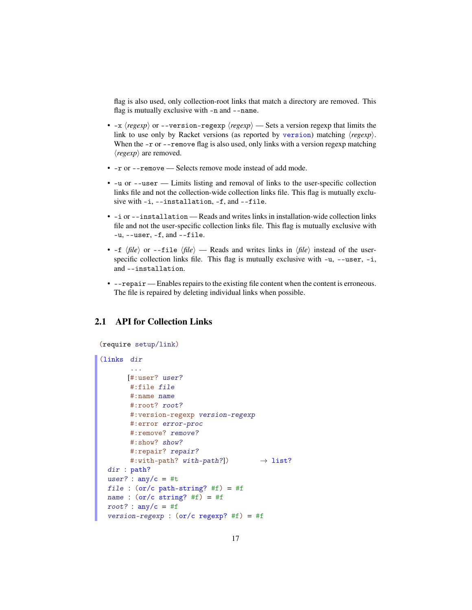flag is also used, only collection-root links that match a directory are removed. This flag is mutually exclusive with -n and --name.

- $-x$   $\langle regexp\rangle$  or  $-\text{version-regexp}\langle regexp\rangle$  Sets a version regexp that limits the link to use only by Racket versions (as reported by version) matching  $\langle regexp \rangle$ . When the  $-r$  or  $-$ -remove flag is also used, only links with a version regexp matching  $\langle regexp \rangle$  are removed.
- -r or --remove Selects remove mode instead of add mode.
- -u or --user Limits listing and removal of links to the user-specific collection links file and not the collection-wide collection links file. This flag is mutually exclusive with -i, --installation, -f, and --file.
- -i or --installation Reads and writes links in installation-wide collection links file and not the user-specific collection links file. This flag is mutually exclusive with  $-u$ ,  $-v$  -user,  $-f$ , and  $-v$  -file.
- $-f \langle file \rangle$  or  $-file \langle file \rangle$  Reads and writes links in  $\langle file \rangle$  instead of the userspecific collection links file. This flag is mutually exclusive with  $-u$ ,  $-u$ ser,  $-i$ , and --installation.
- --repair Enables repairs to the existing file content when the content is erroneous. The file is repaired by deleting individual links when possible.

# <span id="page-16-0"></span>2.1 API for Collection Links

```
(require setup/link)
(links dir
       ...
       [#:user? user?
       #:file file
       #:name name
       #:root? root?
       #:version-regexp version-regexp
       #:error error-proc
       #:remove? remove?
       #:show? show?
       #:repair? repair?
       #:with-path? with-path?]) \rightarrow list?
 dir : path?
 user? : \text{any/c} = #tfile : (or/c path-string? #f) = #f
 name : (or/c \text{ string? #f}) = #froot? : any/c = #fversion-regexp : (or/c regexp? #f) = #f
```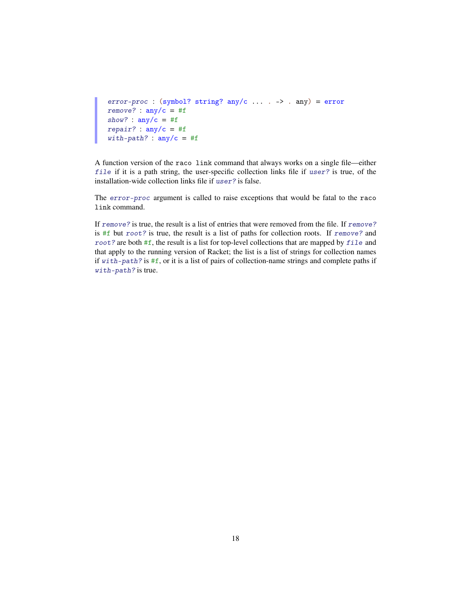```
error-proc : (symbol? string? any/c ... . -> . any) = error
remove? : any/c = #fshow? : \text{any}/\text{c} = #frepair? : any/c = #fwith-path? : any/c = #f
```
A function version of the raco link command that always works on a single file—either file if it is a path string, the user-specific collection links file if user? is true, of the installation-wide collection links file if user? is false.

The error-proc argument is called to raise exceptions that would be fatal to the raco link command.

If remove? is true, the result is a list of entries that were removed from the file. If remove? is #f but root? is true, the result is a list of paths for collection roots. If remove? and root? are both #f, the result is a list for top-level collections that are mapped by file and that apply to the running version of Racket; the list is a list of strings for collection names if with-path? is #f, or it is a list of pairs of collection-name strings and complete paths if with-path? is true.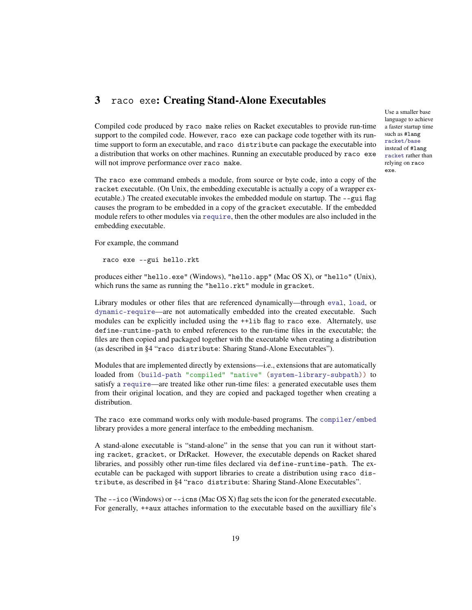# <span id="page-18-0"></span>3 raco exe: Creating Stand-Alone Executables

Compiled code produced by raco make relies on Racket executables to provide run-time support to the compiled code. However, raco exe can package code together with its runtime support to form an executable, and raco distribute can package the executable into a distribution that works on other machines. Running an executable produced by raco exe will not improve performance over raco make.

The raco exe command embeds a module, from source or byte code, into a copy of the racket executable. (On Unix, the embedding executable is actually a copy of a wrapper executable.) The created executable invokes the embedded module on startup. The --gui flag causes the program to be embedded in a copy of the gracket executable. If the embedded module refers to other modules via require, then the other modules are also included in the embedding executable.

For example, the command

raco exe --gui hello.rkt

produces either "hello.exe" (Windows), "hello.app" (Mac OS X), or "hello" (Unix), which runs the same as running the "hello.rkt" module in gracket.

Library modules or other files that are referenced dynamically—through eval, load, or dynamic-require—are not automatically embedded into the created executable. Such modules can be explicitly included using the ++lib flag to raco exe. Alternately, use define-runtime-path to embed references to the run-time files in the executable; the files are then copied and packaged together with the executable when creating a distribution (as described in §4 "raco distribute: Sharing Stand-Alone Executables").

Modules that are implemented directly by extensions—i.e., extensions that are automatically loaded from (build-path "compiled" "native" (system-library-subpath)) to satisfy a require—are treated like other run-time files: a generated executable uses them from their original location, and they are copied and packaged together when creating a distribution.

The raco exe command works only with module-based programs. The compiler/embed library provides a more general interface to the embedding mechanism.

A stand-alone executable is "stand-alone" in the sense that you can run it without starting racket, gracket, or DrRacket. However, the executable depends on Racket shared libraries, and possibly other run-time files declared via define-runtime-path. The executable can be packaged with support libraries to create a distribution using raco distribute, as described in §4 "raco distribute: Sharing Stand-Alone Executables".

The  $-\text{ico}$  (Windows) or  $-\text{iens}$  (Mac OS X) flag sets the icon for the generated executable. For generally, ++aux attaches information to the executable based on the auxilliary file's

Use a smaller base language to achieve a faster startup time such as #lang racket/base instead of #lang racket rather than relying on raco exe.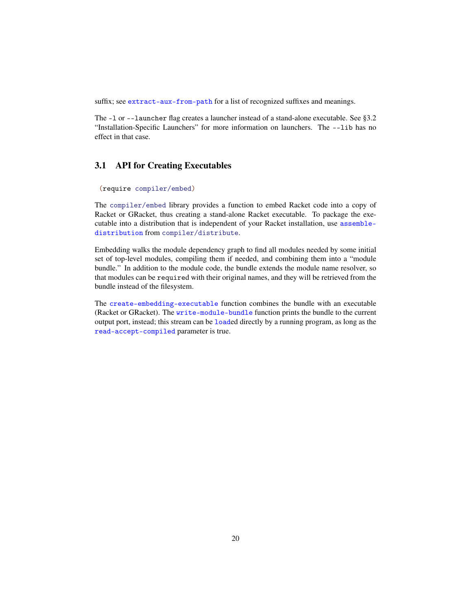suffix; see extract-aux-from-path for a list of recognized suffixes and meanings.

The -l or --launcher flag creates a launcher instead of a stand-alone executable. See §3.2 "Installation-Specific Launchers" for more information on launchers. The --lib has no effect in that case.

## <span id="page-19-0"></span>3.1 API for Creating Executables

```
(require compiler/embed)
```
The compiler/embed library provides a function to embed Racket code into a copy of Racket or GRacket, thus creating a stand-alone Racket executable. To package the executable into a distribution that is independent of your Racket installation, use assembledistribution from compiler/distribute.

Embedding walks the module dependency graph to find all modules needed by some initial set of top-level modules, compiling them if needed, and combining them into a "module bundle." In addition to the module code, the bundle extends the module name resolver, so that modules can be required with their original names, and they will be retrieved from the bundle instead of the filesystem.

The create-embedding-executable function combines the bundle with an executable (Racket or GRacket). The write-module-bundle function prints the bundle to the current output port, instead; this stream can be loaded directly by a running program, as long as the read-accept-compiled parameter is true.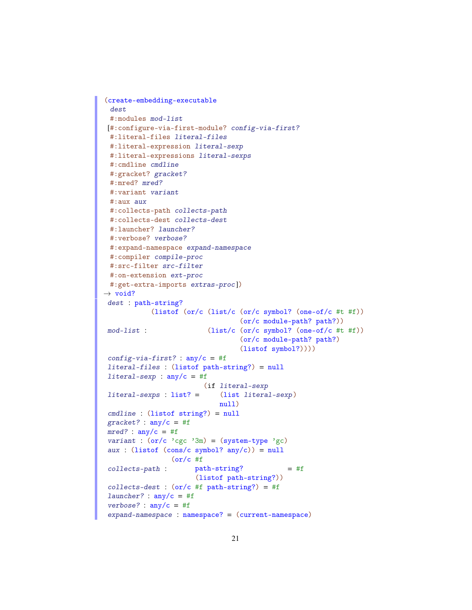```
(create-embedding-executable
 dest
 #:modules mod-list
[#:configure-via-first-module? config-via-first?
 #:literal-files literal-files
 #:literal-expression literal-sexp
 #:literal-expressions literal-sexps
 #:cmdline cmdline
 #:gracket? gracket?
 #:mred? mred?
 #:variant variant
 #:aux aux
 #:collects-path collects-path
 #:collects-dest collects-dest
 #:launcher? launcher?
 #:verbose? verbose?
 #:expand-namespace expand-namespace
 #:compiler compile-proc
 #:src-filter src-filter
 #:on-extension ext-proc
 #:get-extra-imports extras-proc])
\rightarrow void?
 dest : path-string?
 mod-list :
            (listof (or/c (list/c (or/c symbol? (one-of/c #t #f))
                                  (or/c module-path? path?))
                          (list/c (or/c symbol? (one-of/c #t #f))
                                  (or/c module-path? path?)
                                  (listof symbol?))))
 config-via-first? : any/c = #fliteral-files : (listof path-string?) = null
literal-sexp : any/c = #f
 literal-sexps : list? =
                         (if literal-sexp
                            (list literal-sexp)
                             null)
 cmdline : (listof string?) = null
 gracket? : \text{any/c} = #fmred? : any/c = #fvariant : (or/c)'cgc'3m) = (system-type'gc)aux : (listof (cons/c symbol? any/c)) = nullcollects-path :
                 (or/c #f
                       path-string?
                       (listof path-string?))
                                              = #f
 collects-dest : (or/c #f path-string?) = #f
 launcher? : any/c = #f
 verbose? : any/c = #fexpand-namespace : namespace? = (current-namespace)
```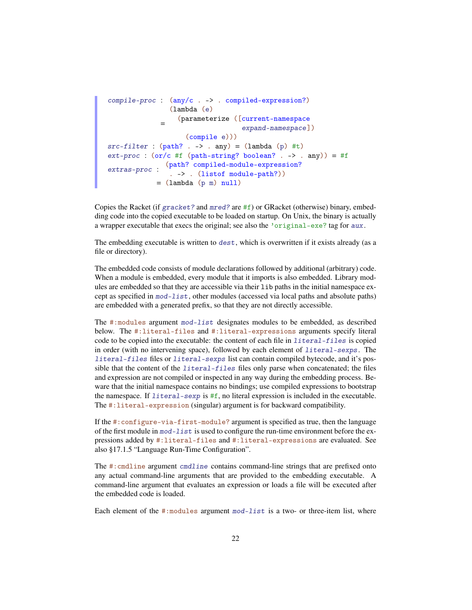```
compile-proc : (any/c . -> . compiled-expression?)
              =
                (lambda (e)
                  (parameterize ([current-namespace
                                  expand-namespace])
                   (compile e)))
src-filter : (path? . -> . any) = (lambda (p) #t)ext\text{-}proc : (or/c #f (path-string? boolean? . -> . any)) = #fextras-proc :
              (path? compiled-module-expression?
               . -> . (listof module-path?))
            = (lambda (p m) null)
```
Copies the Racket (if gracket? and  $mred$ ? are #f) or GRacket (otherwise) binary, embedding code into the copied executable to be loaded on startup. On Unix, the binary is actually a wrapper executable that execs the original; see also the 'original-exe? tag for aux.

The embedding executable is written to dest, which is overwritten if it exists already (as a file or directory).

The embedded code consists of module declarations followed by additional (arbitrary) code. When a module is embedded, every module that it imports is also embedded. Library modules are embedded so that they are accessible via their lib paths in the initial namespace except as specified in mod-list, other modules (accessed via local paths and absolute paths) are embedded with a generated prefix, so that they are not directly accessible.

The #:modules argument mod-list designates modules to be embedded, as described below. The #:literal-files and #:literal-expressions arguments specify literal code to be copied into the executable: the content of each file in literal-files is copied in order (with no intervening space), followed by each element of literal-sexps. The literal-files files or literal-sexps list can contain compiled bytecode, and it's possible that the content of the *literal-files* files only parse when concatenated; the files and expression are not compiled or inspected in any way during the embedding process. Beware that the initial namespace contains no bindings; use compiled expressions to bootstrap the namespace. If  $literal$ -sexp is  $#f$ , no literal expression is included in the executable. The #:literal-expression (singular) argument is for backward compatibility.

If the #:configure-via-first-module? argument is specified as true, then the language of the first module in mod-list is used to configure the run-time environment before the expressions added by #:literal-files and #:literal-expressions are evaluated. See also §17.1.5 "Language Run-Time Configuration".

The #:cmdline argument cmdline contains command-line strings that are prefixed onto any actual command-line arguments that are provided to the embedding executable. A command-line argument that evaluates an expression or loads a file will be executed after the embedded code is loaded.

Each element of the  $\#$ : modules argument  $mod$ -list is a two- or three-item list, where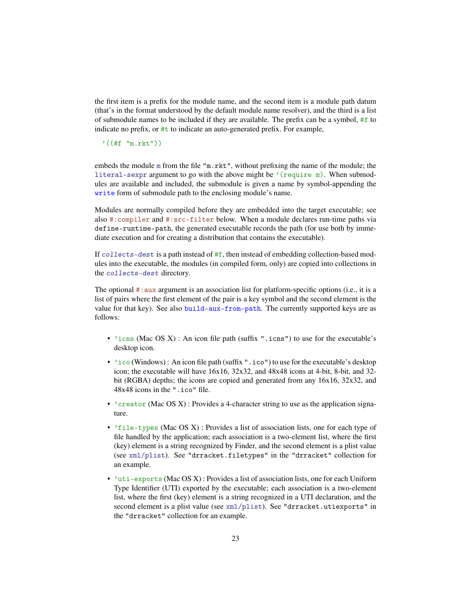the first item is a prefix for the module name, and the second item is a module path datum (that's in the format understood by the default module name resolver), and the third is a list of submodule names to be included if they are available. The prefix can be a symbol, #f to indicate no prefix, or #t to indicate an auto-generated prefix. For example,

'((#f "m.rkt"))

embeds the module m from the file "m.rkt", without prefixing the name of the module; the literal-sexpr argument to go with the above might be  $'(require m)$ . When submodules are available and included, the submodule is given a name by symbol-appending the write form of submodule path to the enclosing module's name.

Modules are normally compiled before they are embedded into the target executable; see also #:compiler and #:src-filter below. When a module declares run-time paths via define-runtime-path, the generated executable records the path (for use both by immediate execution and for creating a distribution that contains the executable).

If collects-dest is a path instead of  $#f$ , then instead of embedding collection-based modules into the executable, the modules (in compiled form, only) are copied into collections in the collects-dest directory.

The optional #:aux argument is an association list for platform-specific options (i.e., it is a list of pairs where the first element of the pair is a key symbol and the second element is the value for that key). See also build-aux-from-path. The currently supported keys are as follows:

- $\cdot$  'icns (Mac OS X) : An icon file path (suffix ".icns") to use for the executable's desktop icon.
- 'ico (Windows) : An icon file path (suffix ".ico") to use for the executable's desktop icon; the executable will have 16x16, 32x32, and 48x48 icons at 4-bit, 8-bit, and 32 bit (RGBA) depths; the icons are copied and generated from any 16x16, 32x32, and 48x48 icons in the ".ico" file.
- $\degree$  creator (Mac OS X) : Provides a 4-character string to use as the application signature.
- 'file-types (Mac OS X) : Provides a list of association lists, one for each type of file handled by the application; each association is a two-element list, where the first (key) element is a string recognized by Finder, and the second element is a plist value (see xml/plist). See "drracket.filetypes" in the "drracket" collection for an example.
- 'uti-exports (Mac OS X) : Provides a list of association lists, one for each Uniform Type Identifier (UTI) exported by the executable; each association is a two-element list, where the first (key) element is a string recognized in a UTI declaration, and the second element is a plist value (see xml/plist). See "drracket.utiexports" in the "drracket" collection for an example.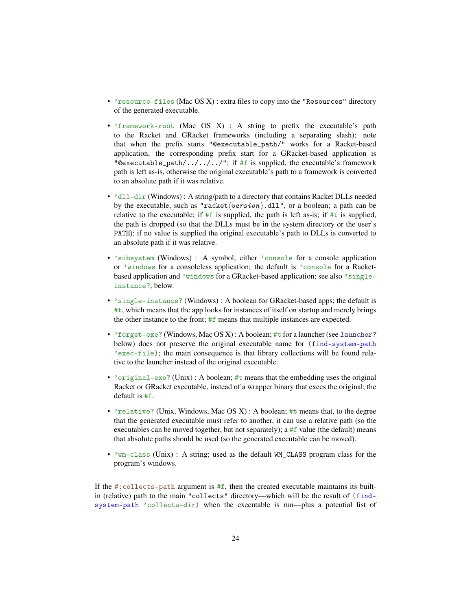- 'resource-files (Mac OS X) : extra files to copy into the "Resources" directory of the generated executable.
- 'framework-root (Mac OS X) : A string to prefix the executable's path to the Racket and GRacket frameworks (including a separating slash); note that when the prefix starts "@executable\_path/" works for a Racket-based application, the corresponding prefix start for a GRacket-based application is "@executable\_path/../../../"; if #f is supplied, the executable's framework path is left as-is, otherwise the original executable's path to a framework is converted to an absolute path if it was relative.
- 'dll-dir (Windows) : A string/path to a directory that contains Racket DLLs needed by the executable, such as "racket $\langle version \rangle$ .dll", or a boolean; a path can be relative to the executable; if  $#f$  is supplied, the path is left as-is; if  $#t$  is supplied, the path is dropped (so that the DLLs must be in the system directory or the user's PATH); if no value is supplied the original executable's path to DLLs is converted to an absolute path if it was relative.
- 'subsystem (Windows) : A symbol, either 'console for a console application or 'windows for a consoleless application; the default is 'console for a Racketbased application and 'windows for a GRacket-based application; see also 'singleinstance?, below.
- 'single-instance? (Windows) : A boolean for GRacket-based apps; the default is #t, which means that the app looks for instances of itself on startup and merely brings the other instance to the front; #f means that multiple instances are expected.
- 'forget-exe? (Windows, Mac OS X) : A boolean; #t for a launcher (see launcher? below) does not preserve the original executable name for (find-system-path 'exec-file); the main consequence is that library collections will be found relative to the launcher instead of the original executable.
- 'original-exe? (Unix) : A boolean; #t means that the embedding uses the original Racket or GRacket executable, instead of a wrapper binary that execs the original; the default is #f.
- 'relative? (Unix, Windows, Mac OS X) : A boolean; #t means that, to the degree that the generated executable must refer to another, it can use a relative path (so the executables can be moved together, but not separately); a  $#f$  value (the default) means that absolute paths should be used (so the generated executable can be moved).
- 'wm-class (Unix) : A string; used as the default WM\_CLASS program class for the program's windows.

If the  $\#$ : collects-path argument is  $\#$ f, then the created executable maintains its builtin (relative) path to the main "collects" directory—which will be the result of (findsystem-path 'collects-dir) when the executable is run—plus a potential list of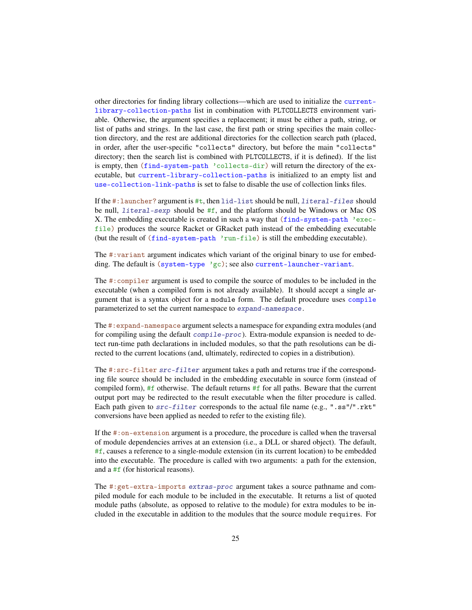other directories for finding library collections—which are used to initialize the currentlibrary-collection-paths list in combination with PLTCOLLECTS environment variable. Otherwise, the argument specifies a replacement; it must be either a path, string, or list of paths and strings. In the last case, the first path or string specifies the main collection directory, and the rest are additional directories for the collection search path (placed, in order, after the user-specific "collects" directory, but before the main "collects" directory; then the search list is combined with PLTCOLLECTS, if it is defined). If the list is empty, then (find-system-path 'collects-dir) will return the directory of the executable, but current-library-collection-paths is initialized to an empty list and use-collection-link-paths is set to false to disable the use of collection links files.

If the  $\#$ : launcher? argument is  $\#$ t, then lid-list should be null, *literal-files* should be null, literal-sexp should be #f, and the platform should be Windows or Mac OS X. The embedding executable is created in such a way that (find-system-path 'execfile) produces the source Racket or GRacket path instead of the embedding executable (but the result of (find-system-path 'run-file) is still the embedding executable).

The #:variant argument indicates which variant of the original binary to use for embedding. The default is ( $s$ ystem-type  $\gamma$ gc); see also current-launcher-variant.

The #:compiler argument is used to compile the source of modules to be included in the executable (when a compiled form is not already available). It should accept a single argument that is a syntax object for a module form. The default procedure uses compile parameterized to set the current namespace to expand-namespace.

The #:expand-namespace argument selects a namespace for expanding extra modules (and for compiling using the default compile-proc). Extra-module expansion is needed to detect run-time path declarations in included modules, so that the path resolutions can be directed to the current locations (and, ultimately, redirected to copies in a distribution).

The #:src-filter src-filter argument takes a path and returns true if the corresponding file source should be included in the embedding executable in source form (instead of compiled form),  $#f$  otherwise. The default returns  $#f$  for all paths. Beware that the current output port may be redirected to the result executable when the filter procedure is called. Each path given to src-filter corresponds to the actual file name (e.g., ".ss"/".rkt" conversions have been applied as needed to refer to the existing file).

If the #:on-extension argument is a procedure, the procedure is called when the traversal of module dependencies arrives at an extension (i.e., a DLL or shared object). The default, #f, causes a reference to a single-module extension (in its current location) to be embedded into the executable. The procedure is called with two arguments: a path for the extension, and a #f (for historical reasons).

The #:get-extra-imports extras-proc argument takes a source pathname and compiled module for each module to be included in the executable. It returns a list of quoted module paths (absolute, as opposed to relative to the module) for extra modules to be included in the executable in addition to the modules that the source module requires. For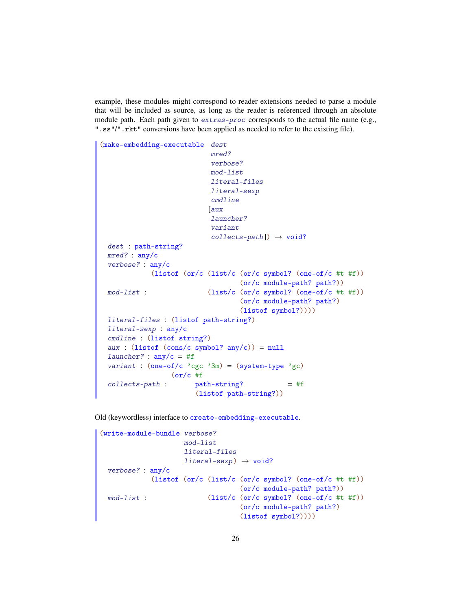example, these modules might correspond to reader extensions needed to parse a module that will be included as source, as long as the reader is referenced through an absolute module path. Each path given to extras-proc corresponds to the actual file name (e.g., ".ss"/".rkt" conversions have been applied as needed to refer to the existing file).

```
(make-embedding-executable dest
                            mred?
                            verbose?
                            mod-list
                            literal-files
                            literal-sexp
                            cmdline
                           [aux
                            launcher?
                            variant
                            collects-path]) \rightarrow void?dest : path-string?
 mred? : any/c
 verbose? : any/c
 mod-list :
             (listof (or/c (list/c (or/c symbol? (one-of/c #t #f))
                                   (or/c module-path? path?))
                           (list/c (or/c symbol? (one-of/c #t #f))
                                   (or/c module-path? path?)
                                   (listof symbol?))))
 literal-files : (listof path-string?)
 literal-sexp : any/c
 cmdline : (listof string?)
 aux : (listof (cons/c symbol? any/c)) = null
 launcher? : any/c = #f
 variant : (one-of/c)'cgc'3m) = (system-type'gc)collects-path :
                  (or/c#f
                       path-string?
                        (listof path-string?))
                                                = #f
```
Old (keywordless) interface to create-embedding-executable.

```
(write-module-bundle verbose?
                     mod-list
                     literal-files
                     literal-sexp) \rightarrow void?
 verbose? : any/c
 mod-list :
             (listof (or/c (list/c (or/c symbol? (one-of/c #t #f))
                                    (or/c module-path? path?))
                            (list/c (or/c symbol? (one-of/c #t #f))(or/c module-path? path?)
                                    (listof symbol?))))
```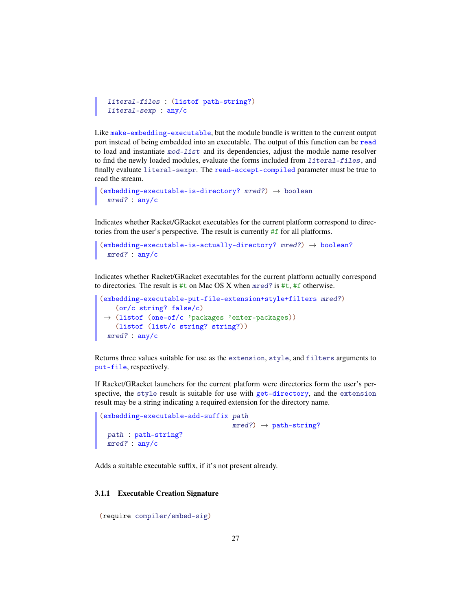```
literal-files : (listof path-string?)
literal-sexp : any/c
```
Like make-embedding-executable, but the module bundle is written to the current output port instead of being embedded into an executable. The output of this function can be read to load and instantiate  $mod-list$  and its dependencies, adjust the module name resolver to find the newly loaded modules, evaluate the forms included from literal-files, and finally evaluate literal-sexpr. The read-accept-compiled parameter must be true to read the stream.

```
(embedding-executable-is-directory? mred?) \rightarrow booleanmred? : any/c
```
Indicates whether Racket/GRacket executables for the current platform correspond to directories from the user's perspective. The result is currently #f for all platforms.

```
(embedding-executable-is-actually-directory? <i>mred?</i>) <math>\rightarrow</math> boolean?mred? : any/c
```
Indicates whether Racket/GRacket executables for the current platform actually correspond to directories. The result is #t on Mac OS X when mred? is #t, #f otherwise.

```
(embedding-executable-put-file-extension+style+filters mred?)
 →
(listof (one-of/c 'packages 'enter-packages))
   (or/c string? false/c)
   (listof (list/c string? string?))
 mred? : any/c
```
Returns three values suitable for use as the extension, style, and filters arguments to put-file, respectively.

If Racket/GRacket launchers for the current platform were directories form the user's perspective, the style result is suitable for use with get-directory, and the extension result may be a string indicating a required extension for the directory name.

```
(embedding-executable-add-suffix path
                                    mred? \rightarrow path-string?
 path : path-string?
 mred? : any/c
```
Adds a suitable executable suffix, if it's not present already.

#### <span id="page-26-0"></span>3.1.1 Executable Creation Signature

```
(require compiler/embed-sig)
```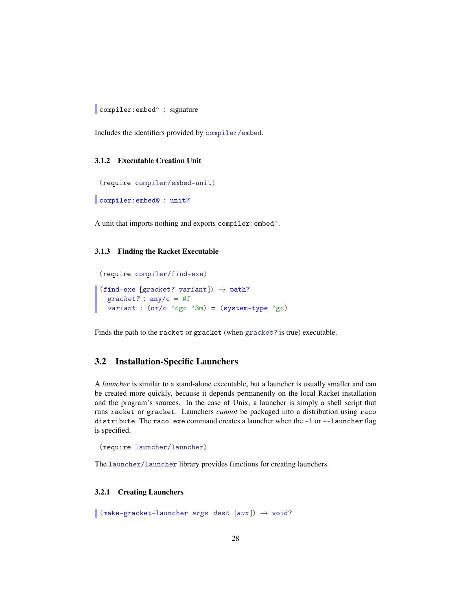compiler: embed<sup>^</sup> : signature

Includes the identifiers provided by compiler/embed.

#### <span id="page-27-0"></span>3.1.2 Executable Creation Unit

(require compiler/embed-unit)

compiler:embed@ : unit?

A unit that imports nothing and exports compiler:embed^.

#### <span id="page-27-1"></span>3.1.3 Finding the Racket Executable

```
(require compiler/find-exe)
(find-exe [gracket? variant]) \rightarrow path?
  gracket? : any/c = #f
  variant : (or/c)'cgc'3m) = (system-type'gc)
```
Finds the path to the racket or gracket (when gracket? is true) executable.

### <span id="page-27-2"></span>3.2 Installation-Specific Launchers

A *launcher* is similar to a stand-alone executable, but a launcher is usually smaller and can be created more quickly, because it depends permanently on the local Racket installation and the program's sources. In the case of Unix, a launcher is simply a shell script that runs racket or gracket. Launchers *cannot* be packaged into a distribution using raco distribute. The raco exe command creates a launcher when the -l or --launcher flag is specified.

```
(require launcher/launcher)
```
The launcher/launcher library provides functions for creating launchers.

#### <span id="page-27-3"></span>3.2.1 Creating Launchers

 $\Box$  (make-gracket-launcher args dest [aux])  $\rightarrow$  void?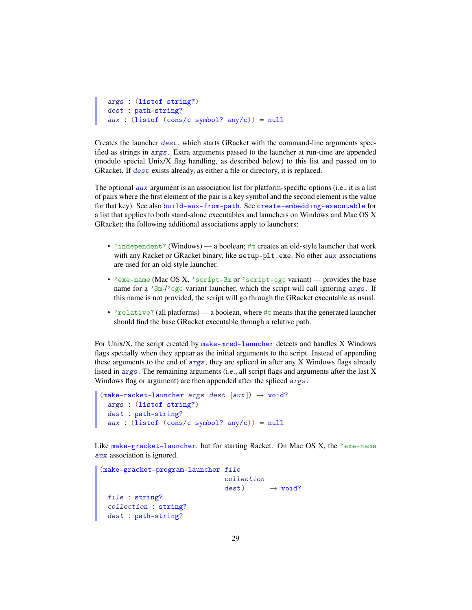```
args : (listof string?)
dest : path-string?
aux : (listof (cons/c symbol? any/c)) = null
```
Creates the launcher dest, which starts GRacket with the command-line arguments specified as strings in args. Extra arguments passed to the launcher at run-time are appended (modulo special Unix/X flag handling, as described below) to this list and passed on to GRacket. If dest exists already, as either a file or directory, it is replaced.

The optional aux argument is an association list for platform-specific options (i.e., it is a list of pairs where the first element of the pair is a key symbol and the second element is the value for that key). See also build-aux-from-path. See create-embedding-executable for a list that applies to both stand-alone executables and launchers on Windows and Mac OS X GRacket; the following additional associations apply to launchers:

- 'independent? (Windows) a boolean; #t creates an old-style launcher that work with any Racket or GRacket binary, like setup-plt.exe. No other aux associations are used for an old-style launcher.
- 'exe-name (Mac OS X, 'script-3m or 'script-cgc variant) provides the base name for a  $3m-1$  cgc-variant launcher, which the script will call ignoring args. If this name is not provided, the script will go through the GRacket executable as usual.
- 'relative? (all platforms) a boolean, where #t means that the generated launcher should find the base GRacket executable through a relative path.

For Unix/X, the script created by make-mred-launcher detects and handles X Windows flags specially when they appear as the initial arguments to the script. Instead of appending these arguments to the end of args, they are spliced in after any X Windows flags already listed in args. The remaining arguments (i.e., all script flags and arguments after the last X Windows flag or argument) are then appended after the spliced args.

```
(make-racket-launcher <i>args</i> dest <math>[aux]) \rightarrow void?args : (listof string?)
  dest : path-string?
  aux : (listof (cons/c symbol? any/c)) = null
```
Like make-gracket-launcher, but for starting Racket. On Mac OS X, the 'exe-name aux association is ignored.

```
(make-gracket-program-launcher file
                               collection
                               dest) \rightarrow void?file : string?
 collection : string?
 dest : path-string?
```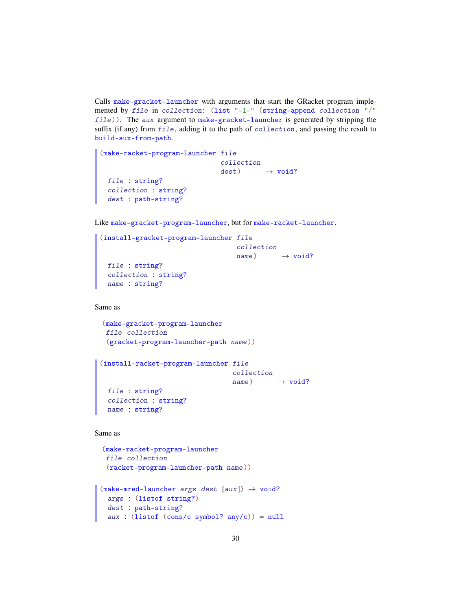Calls make-gracket-launcher with arguments that start the GRacket program implemented by file in collection: (list "-l-" (string-append collection "/" file)). The aux argument to make-gracket-launcher is generated by stripping the suffix (if any) from file, adding it to the path of collection, and passing the result to build-aux-from-path.

```
(make-racket-program-launcher file
                              collection
                              dest) \rightarrow void?file : string?
 collection : string?
 dest : path-string?
```
Like make-gracket-program-launcher, but for make-racket-launcher.

```
(install-gracket-program-launcher file
                                   collection
                                  name) \rightarrow void?file : string?
 collection : string?
 name : string?
```
Same as

```
(make-gracket-program-launcher
file collection
(gracket-program-launcher-path name))
```

```
(install-racket-program-launcher file
                                 collection
                                 name) \rightarrow void?file : string?
 collection : string?
 name : string?
```
Same as

```
(make-racket-program-launcher
file collection
 (racket-program-launcher-path name))
```

```
(make-mred-launcher args dest [aux]) \rightarrow void?args : (listof string?)
 dest : path-string?
 aux : (listof (cons/c symbol? any/c)) = null
```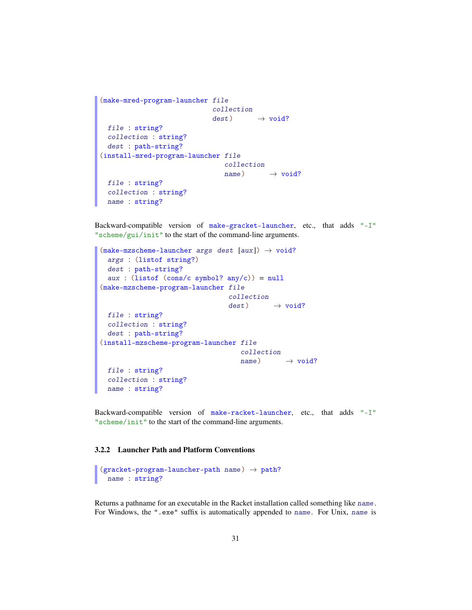```
(make-mred-program-launcher file
                            collection
                            dest) \rightarrow void?file : string?
 collection : string?
 dest : path-string?
(install-mred-program-launcher file
                               collection
                               name) \rightarrow void?file : string?
 collection : string?
 name : string?
```
Backward-compatible version of make-gracket-launcher, etc., that adds "-I" "scheme/gui/init" to the start of the command-line arguments.

```
(make-mzscheme-Launcher args dest [aux]) \rightarrow void?args : (listof string?)
 dest : path-string?
 aux : (listof (cons/c symbol? any/c)) = null
(make-mzscheme-program-launcher file
                                 collection
                                 dest) \rightarrow void?file : string?
 collection : string?
 dest : path-string?
(install-mzscheme-program-launcher file
                                    collection
                                    name) \rightarrow void?file : string?
 collection : string?
 name : string?
```
Backward-compatible version of make-racket-launcher, etc., that adds "-I" "scheme/init" to the start of the command-line arguments.

### <span id="page-30-0"></span>3.2.2 Launcher Path and Platform Conventions

```
(gracket-pregram-lauthor-path name) \rightarrow path?name : string?
```
Returns a pathname for an executable in the Racket installation called something like name. For Windows, the ".exe" suffix is automatically appended to name. For Unix, name is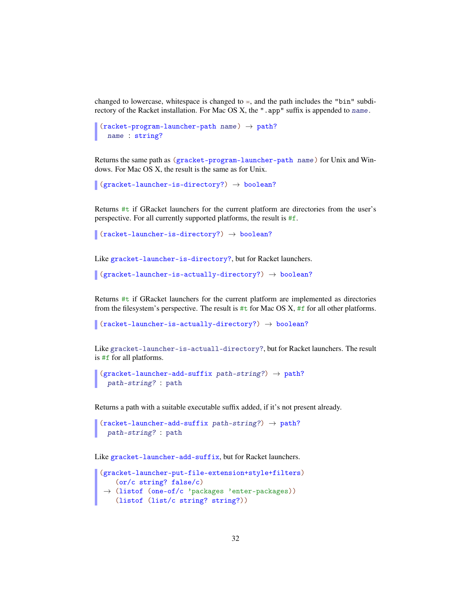changed to lowercase, whitespace is changed to  $=$ , and the path includes the "bin" subdirectory of the Racket installation. For Mac OS X, the ". app" suffix is appended to name.

```
(racket-pregram-lauthor-path name) \rightarrow path?name : string?
```
Returns the same path as (gracket-program-launcher-path name) for Unix and Windows. For Mac OS X, the result is the same as for Unix.

```
\vert (gracket-launcher-is-directory?) \rightarrow boolean?
```
Returns  $\#t$  if GRacket launchers for the current platform are directories from the user's perspective. For all currently supported platforms, the result is #f.

```
\vert (racket-launcher-is-directory?) \rightarrow boolean?
```
Like gracket-launcher-is-directory?, but for Racket launchers.

```
\vert (gracket-launcher-is-actually-directory?) \rightarrow boolean?
```
Returns #t if GRacket launchers for the current platform are implemented as directories from the filesystem's perspective. The result is  $#t$  for Mac OS X,  $#f$  for all other platforms.

```
\vert (racket-launcher-is-actually-directory?) \rightarrow boolean?
```
Like gracket-launcher-is-actuall-directory?, but for Racket launchers. The result is #f for all platforms.

```
(gracket-lawcher-add-suffix path-string?) \rightarrow path?path-string? : path
```
Returns a path with a suitable executable suffix added, if it's not present already.

```
(racket-launcher-add-suffix path-string?) \rightarrow path?
 path-string? : path
```
Like gracket-launcher-add-suffix, but for Racket launchers.

```
(gracket-launcher-put-file-extension+style+filters)
 →
(listof (one-of/c 'packages 'enter-packages))
   (or/c string? false/c)
   (listof (list/c string? string?))
```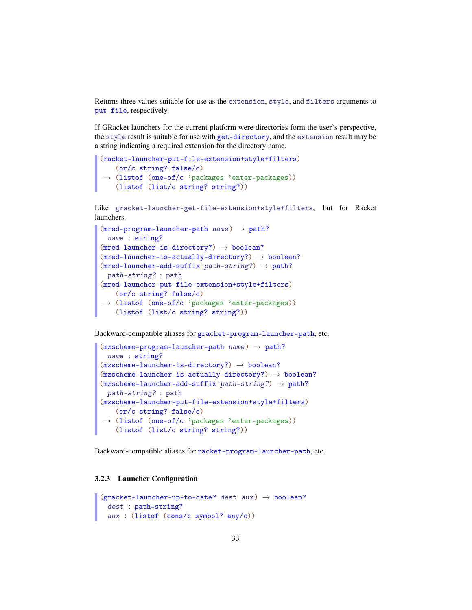Returns three values suitable for use as the extension, style, and filters arguments to put-file, respectively.

If GRacket launchers for the current platform were directories form the user's perspective, the style result is suitable for use with get-directory, and the extension result may be a string indicating a required extension for the directory name.

```
(racket-launcher-put-file-extension+style+filters)
 →
(listof (one-of/c 'packages 'enter-packages))
   (or/c string? false/c)
   (listof (list/c string? string?))
```
Like gracket-launcher-get-file-extension+style+filters, but for Racket launchers.

```
(mred-program-launcher-path name) \rightarrow path?name : string?
(mred-1auncher-is-directory?) \rightarrow boolean?(mred-launcher-is-actually-directory?) \rightarrow boolean?(mred-1auncher-add-suffix path-string?) \rightarrow path?path-string? : path
(mred-launcher-put-file-extension+style+filters)
 →
(listof (one-of/c 'packages 'enter-packages))
   (or/c string? false/c)
    (listof (list/c string? string?))
```
Backward-compatible aliases for gracket-program-launcher-path, etc.

```
(mzscheme-program-lauthor-path name) \rightarrow path?name : string?
(mzscheme-Launcher-is-directory?) \rightarrow boolean?(mzscheme-launcher-is-actually-directory?) \rightarrow boolean?(mzscheme-lauencher-add-suffix path-string?) \rightarrow path?path-string? : path
(mzscheme-launcher-put-file-extension+style+filters)
 →
(listof (one-of/c 'packages 'enter-packages))
   (or/c string? false/c)
   (listof (list/c string? string?))
```
Backward-compatible aliases for racket-program-launcher-path, etc.

### <span id="page-32-0"></span>3.2.3 Launcher Configuration

```
(gracket-launcher-up-to-date? dest aux) \rightarrow boolean?dest : path-string?
  aux : (listof (cons/c symbol? any/c))
```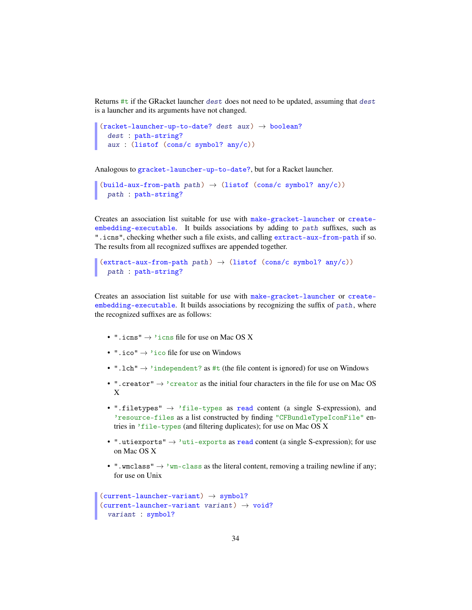Returns #t if the GRacket launcher dest does not need to be updated, assuming that dest is a launcher and its arguments have not changed.

```
(racket-launcher-up-to-date? dest aux) \rightarrow boolean?
  dest : path-string?
  aux : (listof (cons/c symbol? any/c))
```
Analogous to gracket-launcher-up-to-date?, but for a Racket launcher.

```
(build-aux-from-path path) \rightarrow (listof (cons/c symbol? any/c))
  path : path-string?
```
Creates an association list suitable for use with make-gracket-launcher or createembedding-executable. It builds associations by adding to path suffixes, such as ".icns", checking whether such a file exists, and calling extract-aux-from-path if so. The results from all recognized suffixes are appended together.

```
(\text{extract-aux-from-path path}) \rightarrow (\text{listof } (\text{cons/c symbol? any/c}))path : path-string?
```
Creates an association list suitable for use with make-gracket-launcher or createembedding-executable. It builds associations by recognizing the suffix of path, where the recognized suffixes are as follows:

- ". icns"  $\rightarrow$  'icns file for use on Mac OS X
- ".ico"  $\rightarrow$  'ico file for use on Windows
- ".  $1 \text{ch}^{\text{}} \rightarrow$  'independent? as #t (the file content is ignored) for use on Windows
- ". creator"  $\rightarrow$  'creator as the initial four characters in the file for use on Mac OS X
- ".filetypes"  $\rightarrow$  'file-types as read content (a single S-expression), and 'resource-files as a list constructed by finding "CFBundleTypeIconFile" entries in 'file-types (and filtering duplicates); for use on Mac OS X
- ".utiexports"  $\rightarrow$  'uti-exports as read content (a single S-expression); for use on Mac OS X
- ". wmclass"  $\rightarrow$  'wm-class as the literal content, removing a trailing newline if any; for use on Unix

```
(current-launcher-variant) \rightarrow symbol?(current-launcher-variant variant) \rightarrow void?variant : symbol?
```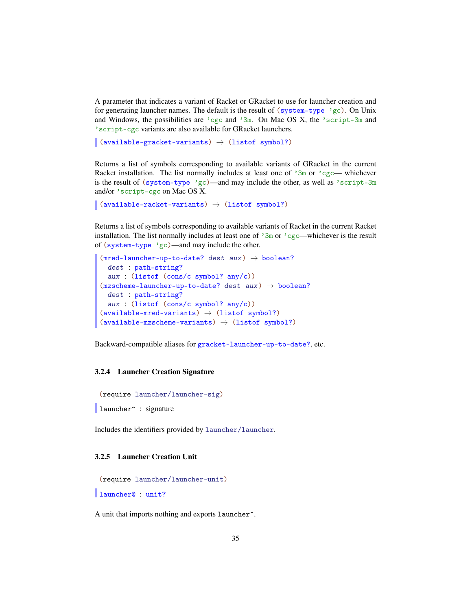A parameter that indicates a variant of Racket or GRacket to use for launcher creation and for generating launcher names. The default is the result of (system-type 'gc). On Unix and Windows, the possibilities are  $\log c$  and  $\sin$ . On Mac OS X, the  $\sec$  script-3m and 'script-cgc variants are also available for GRacket launchers.

```
(available-gracket-variants) \rightarrow (listof symbol?)
```
Returns a list of symbols corresponding to available variants of GRacket in the current Racket installation. The list normally includes at least one of  $3m$  or  $cgc$ — whichever is the result of (system-type 'gc)—and may include the other, as well as 'script-3m and/or 'script-cgc on Mac OS X.

```
\vert (available-racket-variants) \rightarrow (listof symbol?)
```
Returns a list of symbols corresponding to available variants of Racket in the current Racket installation. The list normally includes at least one of  $\frac{3m}{2m}$  or  $\frac{3c}{2c}$ —whichever is the result of (system-type 'gc)—and may include the other.

```
(mred-launcher-up-to-date? dest aux) \rightarrow boolean?dest : path-string?
  aux : (listof (cons/c symbol? any/c))
(mzscheme-Launcher-up-to-date? dest aux) \rightarrow boolean?dest : path-string?
  aux : (listof (cons/c symbol? any/c))
(\text{available-mred-variants}) \rightarrow (\text{listof symbol?})(\text{available-mzscheme-variants}) \rightarrow (\text{listof symbol?})
```
Backward-compatible aliases for gracket-launcher-up-to-date?, etc.

#### <span id="page-34-0"></span>3.2.4 Launcher Creation Signature

(require launcher/launcher-sig)

```
launcher<sup>o</sup> : signature
```
Includes the identifiers provided by launcher/launcher.

### <span id="page-34-1"></span>3.2.5 Launcher Creation Unit

```
(require launcher/launcher-unit)
```
launcher@ : unit?

A unit that imports nothing and exports launcher^.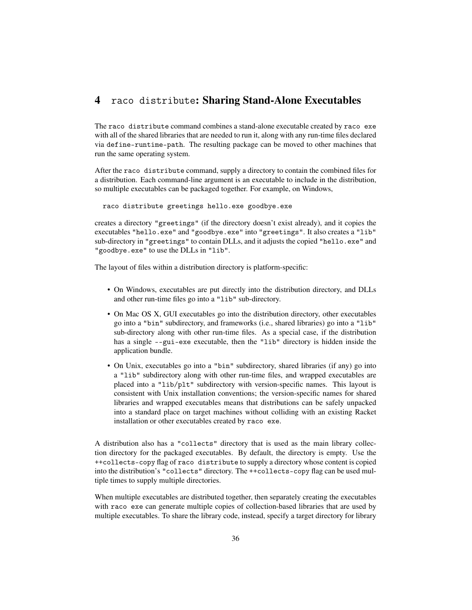# <span id="page-35-0"></span>4 raco distribute: Sharing Stand-Alone Executables

The raco distribute command combines a stand-alone executable created by raco exe with all of the shared libraries that are needed to run it, along with any run-time files declared via define-runtime-path. The resulting package can be moved to other machines that run the same operating system.

After the raco distribute command, supply a directory to contain the combined files for a distribution. Each command-line argument is an executable to include in the distribution, so multiple executables can be packaged together. For example, on Windows,

raco distribute greetings hello.exe goodbye.exe

creates a directory "greetings" (if the directory doesn't exist already), and it copies the executables "hello.exe" and "goodbye.exe" into "greetings". It also creates a "lib" sub-directory in "greetings" to contain DLLs, and it adjusts the copied "hello.exe" and "goodbye.exe" to use the DLLs in "lib".

The layout of files within a distribution directory is platform-specific:

- On Windows, executables are put directly into the distribution directory, and DLLs and other run-time files go into a "lib" sub-directory.
- On Mac OS X, GUI executables go into the distribution directory, other executables go into a "bin" subdirectory, and frameworks (i.e., shared libraries) go into a "lib" sub-directory along with other run-time files. As a special case, if the distribution has a single --gui-exe executable, then the "lib" directory is hidden inside the application bundle.
- On Unix, executables go into a "bin" subdirectory, shared libraries (if any) go into a "lib" subdirectory along with other run-time files, and wrapped executables are placed into a "lib/plt" subdirectory with version-specific names. This layout is consistent with Unix installation conventions; the version-specific names for shared libraries and wrapped executables means that distributions can be safely unpacked into a standard place on target machines without colliding with an existing Racket installation or other executables created by raco exe.

A distribution also has a "collects" directory that is used as the main library collection directory for the packaged executables. By default, the directory is empty. Use the ++collects-copy flag of raco distribute to supply a directory whose content is copied into the distribution's "collects" directory. The ++collects-copy flag can be used multiple times to supply multiple directories.

When multiple executables are distributed together, then separately creating the executables with raco exe can generate multiple copies of collection-based libraries that are used by multiple executables. To share the library code, instead, specify a target directory for library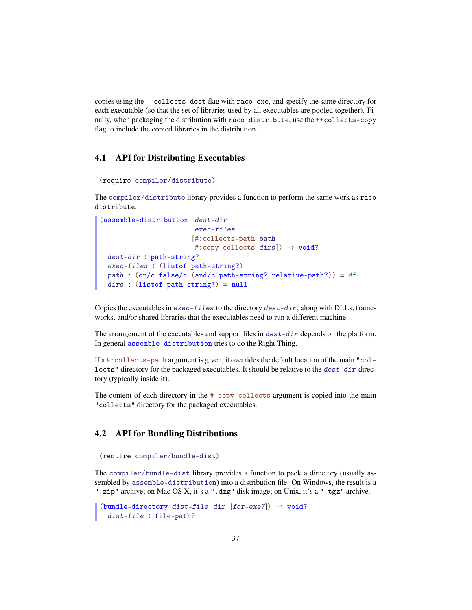copies using the --collects-dest flag with raco exe, and specify the same directory for each executable (so that the set of libraries used by all executables are pooled together). Finally, when packaging the distribution with raco distribute, use the ++collects-copy flag to include the copied libraries in the distribution.

## 4.1 API for Distributing Executables

```
(require compiler/distribute)
```
The compiler/distribute library provides a function to perform the same work as raco distribute.

```
(assemble-distribution dest-dir
                       exec-files
                      [#:collects-path path
                       #:copy-collects dirs]) \rightarrow void?
 dest-dir : path-string?
 exec-files : (listof path-string?)
 path : (or/c false/c (and/c path-string? relative-path?)) = #f
 dirs : (listof path-string?) = null
```
Copies the executables in  $exec - files$  to the directory  $dest - dir$ , along with DLLs, frameworks, and/or shared libraries that the executables need to run a different machine.

The arrangement of the executables and support files in  $dest-dir$  depends on the platform. In general assemble-distribution tries to do the Right Thing.

If a #:collects-path argument is given, it overrides the default location of the main "collects" directory for the packaged executables. It should be relative to the dest-dir directory (typically inside it).

The content of each directory in the #:copy-collects argument is copied into the main "collects" directory for the packaged executables.

## 4.2 API for Bundling Distributions

```
(require compiler/bundle-dist)
```
The compiler/bundle-dist library provides a function to pack a directory (usually assembled by assemble-distribution) into a distribution file. On Windows, the result is a ".zip" archive; on Mac OS X, it's a ".dmg" disk image; on Unix, it's a ".tgz" archive.

```
(bundle-directory dist-file dir [for-exe?]) \rightarrow void?
  dist-file : file-path?
```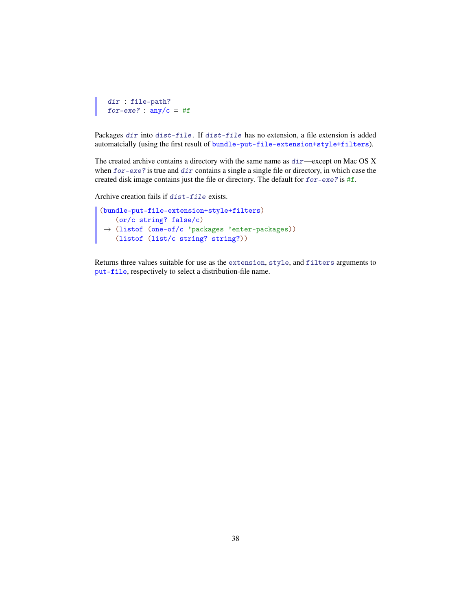```
dir : file-path?
for-exe? : any/c = #f
```
Packages dir into dist-file. If dist-file has no extension, a file extension is added automatcially (using the first result of bundle-put-file-extension+style+filters).

The created archive contains a directory with the same name as  $dir$ —except on Mac OS X when for-exe? is true and dir contains a single a single file or directory, in which case the created disk image contains just the file or directory. The default for for-exe? is #f.

Archive creation fails if dist-file exists.

```
(bundle-put-file-extension+style+filters)
 →
(listof (one-of/c 'packages 'enter-packages))
   (or/c string? false/c)
   (listof (list/c string? string?))
```
Returns three values suitable for use as the extension, style, and filters arguments to put-file, respectively to select a distribution-file name.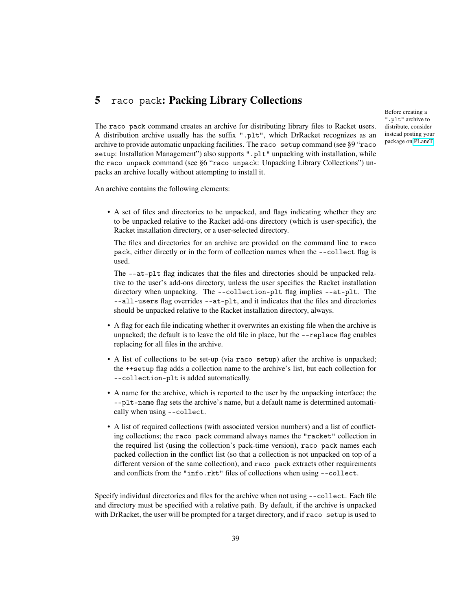## 5 raco pack: Packing Library Collections

Before creating a ".plt" archive to distribute, consider instead posting your package on [PLaneT.](http://planet.racket-lang.org/)

The raco pack command creates an archive for distributing library files to Racket users. A distribution archive usually has the suffix ".plt", which DrRacket recognizes as an archive to provide automatic unpacking facilities. The raco setup command (see §9 "raco setup: Installation Management") also supports ".plt" unpacking with installation, while the raco unpack command (see §6 "raco unpack: Unpacking Library Collections") unpacks an archive locally without attempting to install it.

An archive contains the following elements:

• A set of files and directories to be unpacked, and flags indicating whether they are to be unpacked relative to the Racket add-ons directory (which is user-specific), the Racket installation directory, or a user-selected directory.

The files and directories for an archive are provided on the command line to raco pack, either directly or in the form of collection names when the --collect flag is used.

The --at-plt flag indicates that the files and directories should be unpacked relative to the user's add-ons directory, unless the user specifies the Racket installation directory when unpacking. The --collection-plt flag implies --at-plt. The --all-users flag overrides --at-plt, and it indicates that the files and directories should be unpacked relative to the Racket installation directory, always.

- A flag for each file indicating whether it overwrites an existing file when the archive is unpacked; the default is to leave the old file in place, but the --replace flag enables replacing for all files in the archive.
- A list of collections to be set-up (via raco setup) after the archive is unpacked; the ++setup flag adds a collection name to the archive's list, but each collection for --collection-plt is added automatically.
- A name for the archive, which is reported to the user by the unpacking interface; the --plt-name flag sets the archive's name, but a default name is determined automatically when using --collect.
- A list of required collections (with associated version numbers) and a list of conflicting collections; the raco pack command always names the "racket" collection in the required list (using the collection's pack-time version), raco pack names each packed collection in the conflict list (so that a collection is not unpacked on top of a different version of the same collection), and raco pack extracts other requirements and conflicts from the "info.rkt" files of collections when using --collect.

Specify individual directories and files for the archive when not using --collect. Each file and directory must be specified with a relative path. By default, if the archive is unpacked with DrRacket, the user will be prompted for a target directory, and if raco setup is used to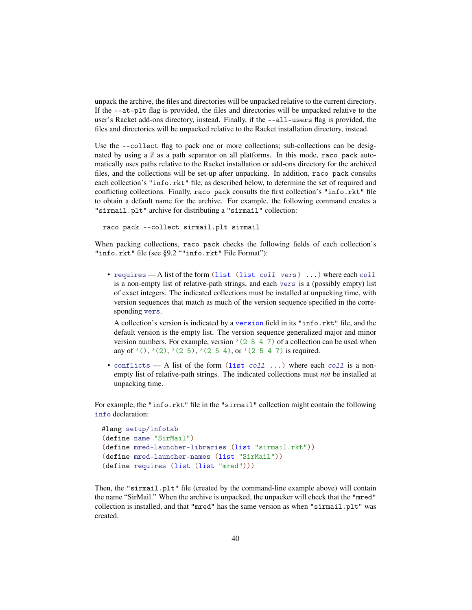unpack the archive, the files and directories will be unpacked relative to the current directory. If the --at-plt flag is provided, the files and directories will be unpacked relative to the user's Racket add-ons directory, instead. Finally, if the --all-users flag is provided, the files and directories will be unpacked relative to the Racket installation directory, instead.

Use the --collect flag to pack one or more collections; sub-collections can be designated by using a / as a path separator on all platforms. In this mode, raco pack automatically uses paths relative to the Racket installation or add-ons directory for the archived files, and the collections will be set-up after unpacking. In addition, raco pack consults each collection's "info.rkt" file, as described below, to determine the set of required and conflicting collections. Finally, raco pack consults the first collection's "info.rkt" file to obtain a default name for the archive. For example, the following command creates a "sirmail.plt" archive for distributing a "sirmail" collection:

```
raco pack --collect sirmail.plt sirmail
```
When packing collections, raco pack checks the following fields of each collection's "info.rkt" file (see §9.2 ""info.rkt" File Format"):

• requires — A list of the form (list (list coll vers) ...) where each coll is a non-empty list of relative-path strings, and each vers is a (possibly empty) list of exact integers. The indicated collections must be installed at unpacking time, with version sequences that match as much of the version sequence specified in the corresponding vers.

A collection's version is indicated by a version field in its "info.rkt" file, and the default version is the empty list. The version sequence generalized major and minor version numbers. For example, version  $(2\ 5\ 4\ 7)$  of a collection can be used when any of '(), '(2), '(2 5), '(2 5 4), or '(2 5 4 7) is required.

• conflicts — A list of the form  $(list \ coll \ldots)$  where each coll is a nonempty list of relative-path strings. The indicated collections must *not* be installed at unpacking time.

For example, the "info.rkt" file in the "sirmail" collection might contain the following info declaration:

```
#lang setup/infotab
(define name "SirMail")
(define mred-launcher-libraries (list "sirmail.rkt"))
(define mred-launcher-names (list "SirMail"))
(define requires (list (list "mred")))
```
Then, the "sirmail.plt" file (created by the command-line example above) will contain the name "SirMail." When the archive is unpacked, the unpacker will check that the "mred" collection is installed, and that "mred" has the same version as when "sirmail.plt" was created.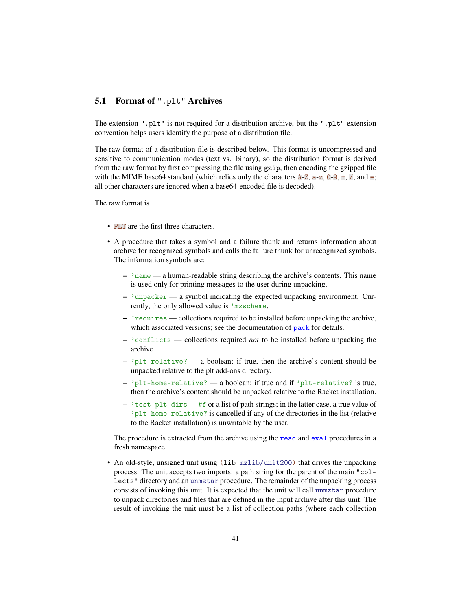## 5.1 Format of ".plt" Archives

The extension ".plt" is not required for a distribution archive, but the ".plt"-extension convention helps users identify the purpose of a distribution file.

The raw format of a distribution file is described below. This format is uncompressed and sensitive to communication modes (text vs. binary), so the distribution format is derived from the raw format by first compressing the file using gzip, then encoding the gzipped file with the MIME base64 standard (which relies only the characters  $A-Z$ ,  $a-z$ ,  $0-9$ ,  $\pm$ ,  $\frac{7}{7}$ , and  $\pm$ ; all other characters are ignored when a base64-encoded file is decoded).

The raw format is

- PLT are the first three characters.
- A procedure that takes a symbol and a failure thunk and returns information about archive for recognized symbols and calls the failure thunk for unrecognized symbols. The information symbols are:
	- 'name a human-readable string describing the archive's contents. This name is used only for printing messages to the user during unpacking.
	- 'unpacker a symbol indicating the expected unpacking environment. Currently, the only allowed value is 'mzscheme.
	- 'requires collections required to be installed before unpacking the archive, which associated versions; see the documentation of pack for details.
	- 'conflicts collections required *not* to be installed before unpacking the archive.
	- $-$  'plt-relative? a boolean; if true, then the archive's content should be unpacked relative to the plt add-ons directory.
	- 'plt-home-relative? a boolean; if true and if 'plt-relative? is true, then the archive's content should be unpacked relative to the Racket installation.
	- $\frac{1}{1}$  +  $\frac{1}{1}$  +  $\frac{1}{1}$  +  $\frac{1}{1}$  +  $\frac{1}{1}$  or a list of path strings; in the latter case, a true value of 'plt-home-relative? is cancelled if any of the directories in the list (relative to the Racket installation) is unwritable by the user.

The procedure is extracted from the archive using the read and eval procedures in a fresh namespace.

• An old-style, unsigned unit using (lib mzlib/unit200) that drives the unpacking process. The unit accepts two imports: a path string for the parent of the main "collects" directory and an unmztar procedure. The remainder of the unpacking process consists of invoking this unit. It is expected that the unit will call unmztar procedure to unpack directories and files that are defined in the input archive after this unit. The result of invoking the unit must be a list of collection paths (where each collection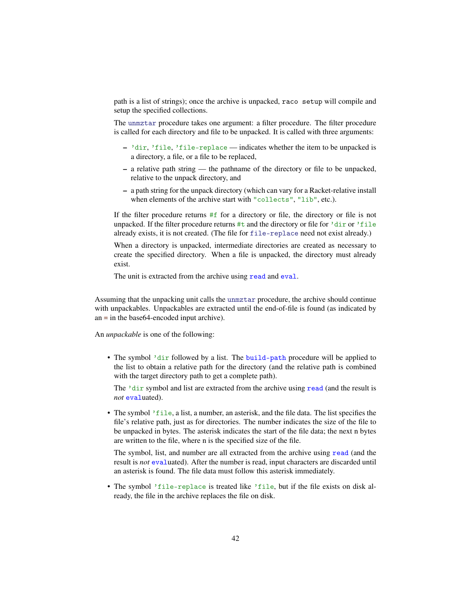path is a list of strings); once the archive is unpacked, raco setup will compile and setup the specified collections.

The unmztar procedure takes one argument: a filter procedure. The filter procedure is called for each directory and file to be unpacked. It is called with three arguments:

- 'dir, 'file, 'file-replace indicates whether the item to be unpacked is a directory, a file, or a file to be replaced,
- a relative path string the pathname of the directory or file to be unpacked, relative to the unpack directory, and
- a path string for the unpack directory (which can vary for a Racket-relative install when elements of the archive start with "collects", "lib", etc.).

If the filter procedure returns #f for a directory or file, the directory or file is not unpacked. If the filter procedure returns #t and the directory or file for 'dir or 'file already exists, it is not created. (The file for file-replace need not exist already.)

When a directory is unpacked, intermediate directories are created as necessary to create the specified directory. When a file is unpacked, the directory must already exist.

The unit is extracted from the archive using read and eval.

Assuming that the unpacking unit calls the unmztar procedure, the archive should continue with unpackables. Unpackables are extracted until the end-of-file is found (as indicated by an  $\equiv$  in the base64-encoded input archive).

An *unpackable* is one of the following:

• The symbol 'dir followed by a list. The build-path procedure will be applied to the list to obtain a relative path for the directory (and the relative path is combined with the target directory path to get a complete path).

The 'dir symbol and list are extracted from the archive using read (and the result is *not* evaluated).

• The symbol 'file, a list, a number, an asterisk, and the file data. The list specifies the file's relative path, just as for directories. The number indicates the size of the file to be unpacked in bytes. The asterisk indicates the start of the file data; the next n bytes are written to the file, where n is the specified size of the file.

The symbol, list, and number are all extracted from the archive using read (and the result is *not* evaluated). After the number is read, input characters are discarded until an asterisk is found. The file data must follow this asterisk immediately.

• The symbol 'file-replace is treated like 'file, but if the file exists on disk already, the file in the archive replaces the file on disk.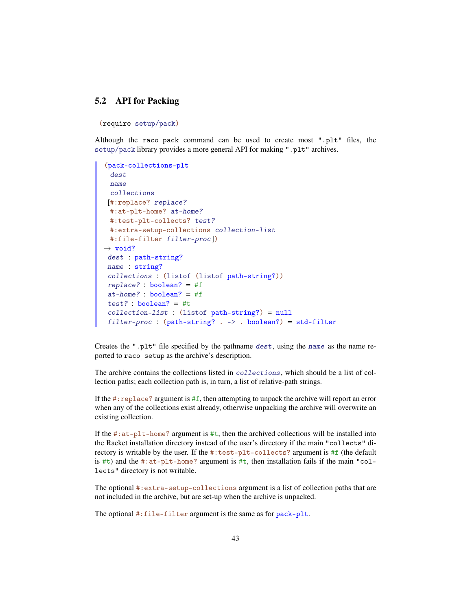## 5.2 API for Packing

(require setup/pack)

Although the raco pack command can be used to create most ".plt" files, the setup/pack library provides a more general API for making ".plt" archives.

```
(pack-collections-plt
 dest
 name
 collections
 [#:replace? replace?
 #:at-plt-home? at-home?
 #:test-plt-collects? test?
 #:extra-setup-collections collection-list
 #:file-filter filter-proc])
\rightarrow void?
dest : path-string?
name : string?
 collections : (listof (listof path-string?))
replace? : boolean? = #f
at-home? : boolean? = #f
test? : boolean? = #t
 collection-list : (listof path-string?) = null
 filter-proc : (path-string? . -> . boolean?) = std-filter
```
Creates the ".plt" file specified by the pathname dest, using the name as the name reported to raco setup as the archive's description.

The archive contains the collections listed in collections, which should be a list of collection paths; each collection path is, in turn, a list of relative-path strings.

If the  $\#$ : replace? argument is  $\#$ f, then attempting to unpack the archive will report an error when any of the collections exist already, otherwise unpacking the archive will overwrite an existing collection.

If the  $\#$ : at-plt-home? argument is  $\#$ t, then the archived collections will be installed into the Racket installation directory instead of the user's directory if the main "collects" directory is writable by the user. If the #:test-plt-collects? argument is #f (the default is #t) and the #: $at$ -plt-home? argument is #t, then installation fails if the main "collects" directory is not writable.

The optional #:extra-setup-collections argument is a list of collection paths that are not included in the archive, but are set-up when the archive is unpacked.

The optional #:file-filter argument is the same as for pack-plt.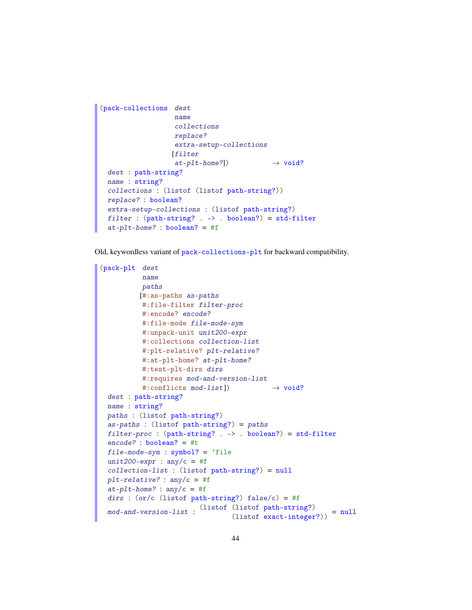```
(pack-collections dest
                   name
                   collections
                  replace?
                   extra-setup-collections
                  [filter
                   at\text{-}plt\text{-}home?] \rightarrow void?
 dest : path-string?
 name : string?
 collections : (listof (listof path-string?))
 replace? : boolean?
 extra-setup-collections : (listof path-string?)
 filter : (path-string? . -> . boolean?) = std-filter
 at-plt-home? : boolean? = #f
```
Old, keywordless variant of pack-collections-plt for backward compatibility.

```
(pack-plt dest
          name
          paths
         [#:as-paths as-paths
          #:file-filter filter-proc
          #:encode? encode?
          #:file-mode file-mode-sym
          #:unpack-unit unit200-expr
          #:collections collection-list
          #:plt-relative? plt-relative?
          #:at-plt-home? at-plt-home?
          #:test-plt-dirs dirs
          #:requires mod-and-version-list
          #:conflicts mod-list]) \rightarrow void?dest : path-string?
 name : string?
 paths : (listof path-string?)
 as-paths : (listof path-string?) = paths
 filter-proc : (path-string? . -> . boolean?) = std-filter
 encode? : boolean? = #t
 file-mode-sym : symbol? = 'file
 unit200-expr : any/c = #f
 collection-list : (listof path-string?) = null
 plt-relative? : any/c = #f
 at-plt-home? : any/c = #fdirs : (or/c (listof path-string?) false/c) = #f
  mod-and-version-list :
(listof (listof path-string?)
                                  (lisot part-string.) = null<br>(lisot exact-integer?)
```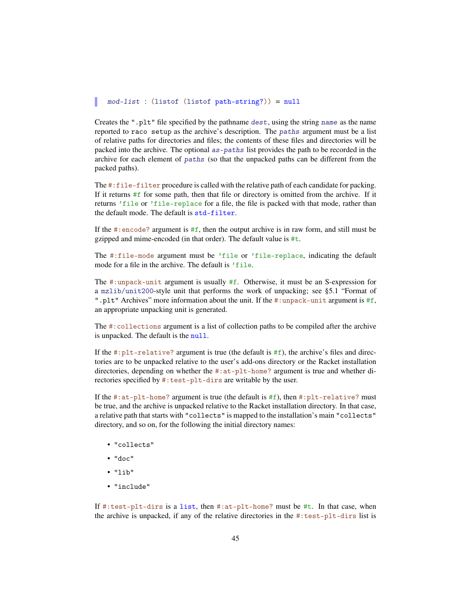#### mod-list : (listof (listof path-string?)) = null

Creates the ".plt" file specified by the pathname dest, using the string name as the name reported to raco setup as the archive's description. The paths argument must be a list of relative paths for directories and files; the contents of these files and directories will be packed into the archive. The optional as-paths list provides the path to be recorded in the archive for each element of paths (so that the unpacked paths can be different from the packed paths).

The #:file-filter procedure is called with the relative path of each candidate for packing. If it returns #f for some path, then that file or directory is omitted from the archive. If it returns 'file or 'file-replace for a file, the file is packed with that mode, rather than the default mode. The default is std-filter.

If the #: encode? argument is  $#f$ , then the output archive is in raw form, and still must be gzipped and mime-encoded (in that order). The default value is #t.

The #:file-mode argument must be 'file or 'file-replace, indicating the default mode for a file in the archive. The default is 'file.

The #:unpack-unit argument is usually #f. Otherwise, it must be an S-expression for a mzlib/unit200-style unit that performs the work of unpacking; see §5.1 "Format of ".plt" Archives" more information about the unit. If the #:unpack-unit argument is #f, an appropriate unpacking unit is generated.

The #:collections argument is a list of collection paths to be compiled after the archive is unpacked. The default is the null.

If the  $\#:\text{plt-relative? argument}$  is true (the default is  $\#f$ ), the archive's files and directories are to be unpacked relative to the user's add-ons directory or the Racket installation directories, depending on whether the #:at-plt-home? argument is true and whether directories specified by #:test-plt-dirs are writable by the user.

If the  $\#$ : at-plt-home? argument is true (the default is  $\#$ f), then  $\#$ : plt-relative? must be true, and the archive is unpacked relative to the Racket installation directory. In that case, a relative path that starts with "collects" is mapped to the installation's main "collects" directory, and so on, for the following the initial directory names:

- "collects"
- "doc"
- $\bullet$  "lib"
- "include"

If #:test-plt-dirs is a list, then #:at-plt-home? must be #t. In that case, when the archive is unpacked, if any of the relative directories in the  $\#:\text{test-plt-dirs}$  list is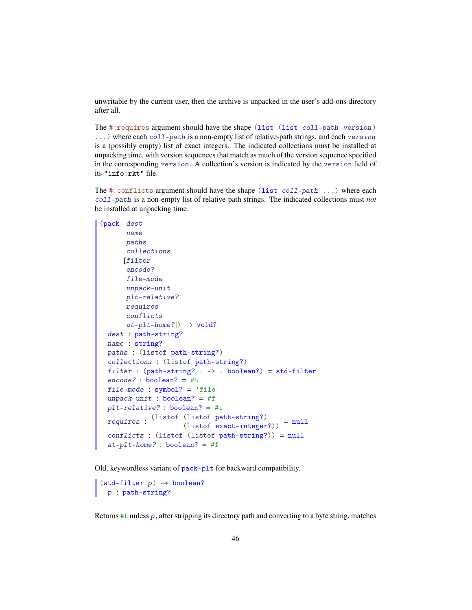unwritable by the current user, then the archive is unpacked in the user's add-ons directory after all.

The #:requires argument should have the shape (list (list coll-path version) ...) where each coll-path is a non-empty list of relative-path strings, and each version is a (possibly empty) list of exact integers. The indicated collections must be installed at unpacking time, with version sequences that match as much of the version sequence specified in the corresponding version. A collection's version is indicated by the version field of its "info.rkt" file.

The #:conflicts argument should have the shape (list coll-path ...) where each coll-path is a non-empty list of relative-path strings. The indicated collections must *not* be installed at unpacking time.

```
(pack dest
      name
      paths
      collections
     [filter
      encode?
      file-mode
      unpack-unit
      plt-relative?
      requires
      conflicts
      at-plt-home?]) \rightarrow void?
 dest : path-string?
 name : string?
 paths : (listof path-string?)
 collections : (listof path-string?)
 filter : (path-string? . -> . boolean?) = std-filter
 encode? : boolean? = #t
 file-mode : symbol? = 'file
 unpack-unit : boolean? = #fplt-relative? : boolean? = #t
  requires :
(listof (listof path-string?)
                     (lisot part-integer?)) = null
 conflicts : (listof (listof path-string?)) = null
 at-plt-home? : boolean? = #f
```
Old, keywordless variant of pack-plt for backward compatibility.

```
(stat-filter p) \rightarrow boolean?p : path-string?
```
Returns #t unless p, after stripping its directory path and converting to a byte string, matches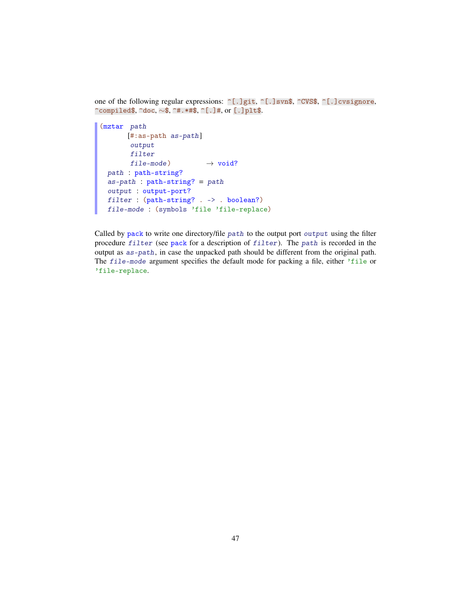one of the following regular expressions:  $\cap$ [.]git,  $\cap$ [.]svn\$,  $\cap$ CVS\$,  $\cap$ [.]cvsignore, ^compiled\$, ^doc, ∼\$, ^#.\*#\$, ^[.]#, or [.]plt\$.

```
(mztar path
      [#:as-path as-path]
      output
       filter
      file-mode) \rightarrow void?path : path-string?
 as-path : path - string? = pathoutput : output-port?
 filter : (path-string? . -> . boolean?)
 file-mode : (symbols 'file 'file-replace)
```
Called by pack to write one directory/file path to the output port output using the filter procedure filter (see pack for a description of filter). The path is recorded in the output as as-path, in case the unpacked path should be different from the original path. The file-mode argument specifies the default mode for packing a file, either 'file or 'file-replace.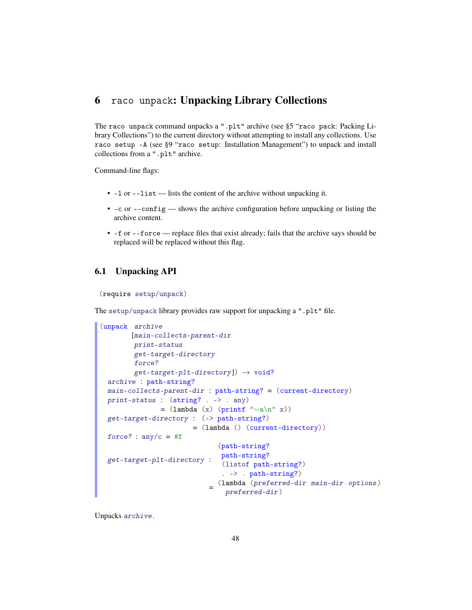# 6 raco unpack: Unpacking Library Collections

The raco unpack command unpacks a ".plt" archive (see §5 "raco pack: Packing Library Collections") to the current directory without attempting to install any collections. Use raco setup -A (see §9 "raco setup: Installation Management") to unpack and install collections from a ".plt" archive.

Command-line flags:

- -l or --list lists the content of the archive without unpacking it.
- $\bullet$  -c or --config shows the archive configuration before unpacking or listing the archive content.
- -f or --force replace files that exist already; fails that the archive says should be replaced will be replaced without this flag.

## 6.1 Unpacking API

```
(require setup/unpack)
```
The setup/unpack library provides raw support for unpacking a ".plt" file.

```
(unpack archive
       [main-collects-parent-dir
        print-status
        get-target-directory
        force?
        get-target-plt-directory]) \rightarrow void?
 archive : path-string?
 main-collects-parent-dir : path-string? = (current-directory)
 print-status : (string? . -> . any)
              = (lambda (x) (printf "∼a\n" x))
 get-target-directory : (-> path-string?)
                       = (lambda () (current-directory))
 force? : \text{any/c} = #fget-target-plt-directory :
path-string?
                              (path-string?
                              (listof path-string?)
                              . -> . path-string?)
                            =
(lambda (preferred-dir main-dir options )
                                preferred-dir)
```
Unpacks archive.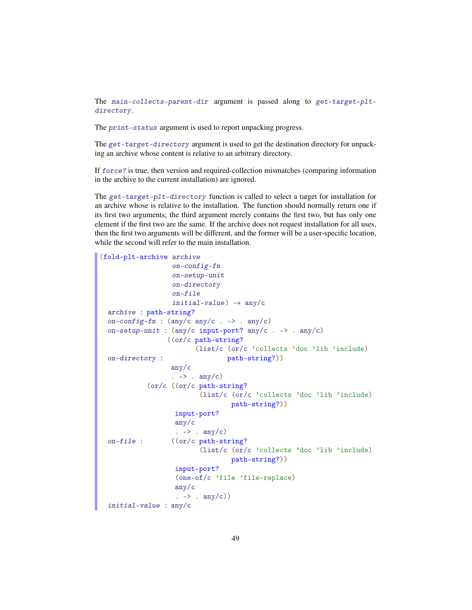The main-collects-parent-dir argument is passed along to get-target-pltdirectory.

The print-status argument is used to report unpacking progress.

The get-target-directory argument is used to get the destination directory for unpacking an archive whose content is relative to an arbitrary directory.

If force? is true, then version and required-collection mismatches (comparing information in the archive to the current installation) are ignored.

The get-target-plt-directory function is called to select a target for installation for an archive whose is relative to the installation. The function should normally return one if its first two arguments; the third argument merely contains the first two, but has only one element if the first two are the same. If the archive does not request installation for all uses, then the first two arguments will be different, and the former will be a user-specific location, while the second will refer to the main installation.

```
(fold-plt-archive archive
                    on-config-fn
                    on-setup-unit
                    on-directory
                    on-file
                    initial-value) \rightarrow any/c
  archive : path-string?
  on-config-fn : (\text{any}/c \text{ any}/c \cdot \rightarrow \text{ any}/c)on-setup-unit : (any/c input-port? any/c . -> . any/c)
  on-directory :
                   ((or/c path-string?
                           (list/c (or/c 'collects 'doc 'lib 'include)
                                    path-string?))
                    any/c
                    \therefore -> \therefore any/c)
  on-file :
             (or/c ((or/c path-string?
                             (list/c (or/c 'collects 'doc 'lib 'include)
                                      path-string?))
                     input-port?
                     any/c
                      . \rightarrow . any/c)
                    ((or/c path-string?
                            (list/c (or/c 'collects 'doc 'lib 'include)
                                      path-string?))
                     input-port?
                     (one-of/c 'file 'file-replace)
                     any/c
                      \cdot \rightarrow \cdot \text{any}/c)initial-value : any/c
```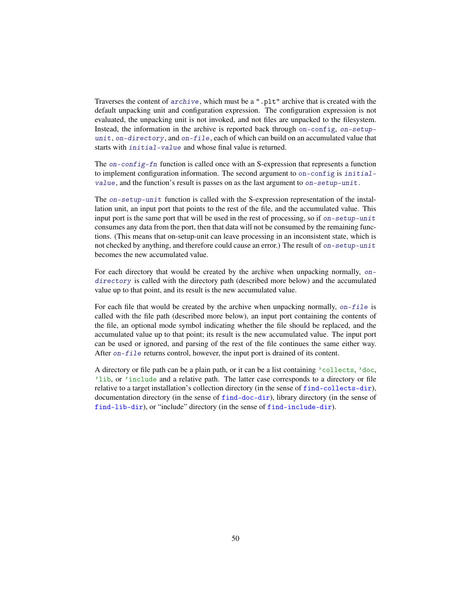Traverses the content of archive, which must be a ".plt" archive that is created with the default unpacking unit and configuration expression. The configuration expression is not evaluated, the unpacking unit is not invoked, and not files are unpacked to the filesystem. Instead, the information in the archive is reported back through on-config, on-setupunit, on-directory, and on-file, each of which can build on an accumulated value that starts with initial-value and whose final value is returned.

The on-config-fn function is called once with an S-expression that represents a function to implement configuration information. The second argument to on-config is initialvalue, and the function's result is passes on as the last argument to on-setup-unit.

The on-setup-unit function is called with the S-expression representation of the installation unit, an input port that points to the rest of the file, and the accumulated value. This input port is the same port that will be used in the rest of processing, so if on-setup-unit consumes any data from the port, then that data will not be consumed by the remaining functions. (This means that on-setup-unit can leave processing in an inconsistent state, which is not checked by anything, and therefore could cause an error.) The result of on-setup-unit becomes the new accumulated value.

For each directory that would be created by the archive when unpacking normally, ondirectory is called with the directory path (described more below) and the accumulated value up to that point, and its result is the new accumulated value.

For each file that would be created by the archive when unpacking normally,  $on$ -file is called with the file path (described more below), an input port containing the contents of the file, an optional mode symbol indicating whether the file should be replaced, and the accumulated value up to that point; its result is the new accumulated value. The input port can be used or ignored, and parsing of the rest of the file continues the same either way. After on-file returns control, however, the input port is drained of its content.

A directory or file path can be a plain path, or it can be a list containing 'collects, 'doc, 'lib, or 'include and a relative path. The latter case corresponds to a directory or file relative to a target installation's collection directory (in the sense of find-collects-dir), documentation directory (in the sense of find-doc-dir), library directory (in the sense of find-lib-dir), or "include" directory (in the sense of find-include-dir).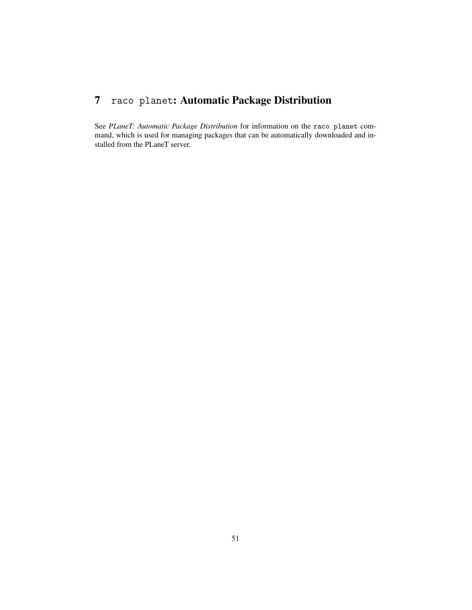# 7 raco planet: Automatic Package Distribution

See *PLaneT: Automatic Package Distribution* for information on the raco planet command, which is used for managing packages that can be automatically downloaded and installed from the PLaneT server.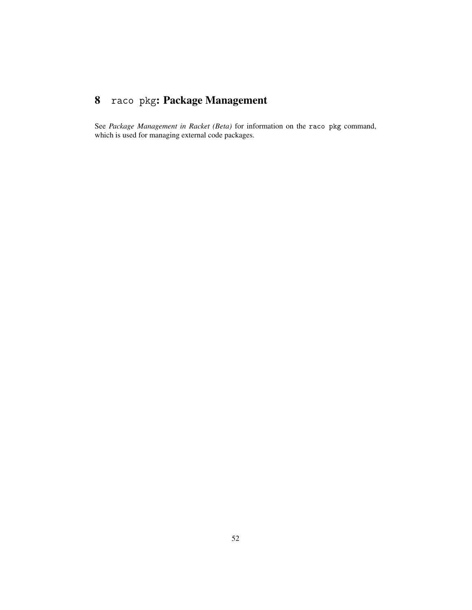# 8 raco pkg: Package Management

See *Package Management in Racket (Beta)* for information on the raco pkg command, which is used for managing external code packages.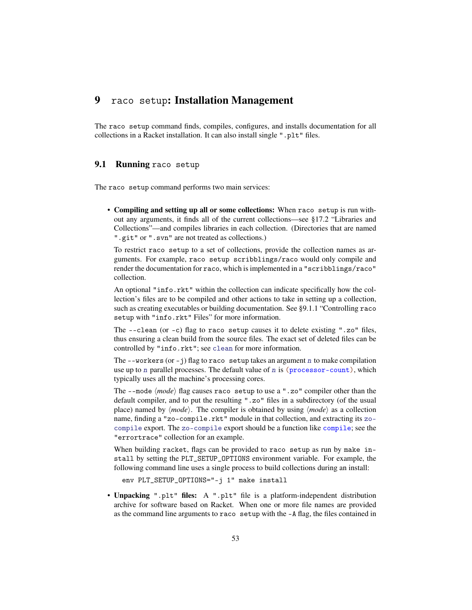## 9 raco setup: Installation Management

The raco setup command finds, compiles, configures, and installs documentation for all collections in a Racket installation. It can also install single ".plt" files.

## 9.1 Running raco setup

The raco setup command performs two main services:

• Compiling and setting up all or some collections: When raco setup is run without any arguments, it finds all of the current collections—see §17.2 "Libraries and Collections"—and compiles libraries in each collection. (Directories that are named ".git" or ".svn" are not treated as collections.)

To restrict raco setup to a set of collections, provide the collection names as arguments. For example, raco setup scribblings/raco would only compile and render the documentation for raco, which is implemented in a "scribblings/raco" collection.

An optional "info.rkt" within the collection can indicate specifically how the collection's files are to be compiled and other actions to take in setting up a collection, such as creating executables or building documentation. See §9.1.1 "Controlling raco setup with "info.rkt" Files" for more information.

The --clean (or -c) flag to raco setup causes it to delete existing ".zo" files, thus ensuring a clean build from the source files. The exact set of deleted files can be controlled by "info.rkt"; see clean for more information.

The  $-$ -workers (or  $-$ j) flag to raco setup takes an argument n to make compilation use up to n parallel processes. The default value of n is  $(p_{\text{rocessor-count}})$ , which typically uses all the machine's processing cores.

The  $-\text{mode}\langle mode \rangle$  flag causes raco setup to use a ".zo" compiler other than the default compiler, and to put the resulting ".zo" files in a subdirectory (of the usual place) named by  $\langle mode \rangle$ . The compiler is obtained by using  $\langle mode \rangle$  as a collection name, finding a "zo-compile.rkt" module in that collection, and extracting its zocompile export. The zo-compile export should be a function like compile; see the "errortrace" collection for an example.

When building racket, flags can be provided to raco setup as run by make install by setting the PLT\_SETUP\_OPTIONS environment variable. For example, the following command line uses a single process to build collections during an install:

env PLT\_SETUP\_OPTIONS="-j 1" make install

• Unpacking ".plt" files: A ".plt" file is a platform-independent distribution archive for software based on Racket. When one or more file names are provided as the command line arguments to raco setup with the -A flag, the files contained in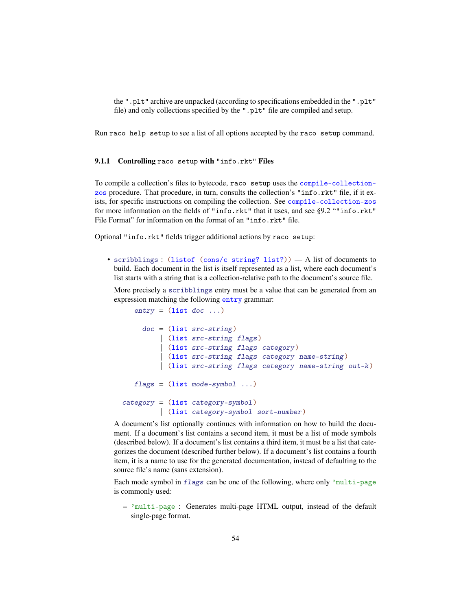the ".plt" archive are unpacked (according to specifications embedded in the ".plt" file) and only collections specified by the ".plt" file are compiled and setup.

Run raco help setup to see a list of all options accepted by the raco setup command.

## 9.1.1 Controlling raco setup with "info.rkt" Files

To compile a collection's files to bytecode, raco setup uses the compile-collectionzos procedure. That procedure, in turn, consults the collection's "info.rkt" file, if it exists, for specific instructions on compiling the collection. See compile-collection-zos for more information on the fields of "info.rkt" that it uses, and see §9.2 ""info.rkt" File Format" for information on the format of an "info.rkt" file.

Optional "info.rkt" fields trigger additional actions by raco setup:

• scribblings : (listof (cons/c string? list?)) — A list of documents to build. Each document in the list is itself represented as a list, where each document's list starts with a string that is a collection-relative path to the document's source file.

More precisely a scribblings entry must be a value that can be generated from an expression matching the following entry grammar:

```
entry = (list doc ...)doc = (list src-string)| (list src-string flags)
         | (list src-string flags category )
         | (list src-string flags category name-string )
         | (list src-string flags category name-string out-k )
  flags = (list mode-symbol ...)category = (list category-symbol)
         | (list category-symbol sort-number )
```
A document's list optionally continues with information on how to build the document. If a document's list contains a second item, it must be a list of mode symbols (described below). If a document's list contains a third item, it must be a list that categorizes the document (described further below). If a document's list contains a fourth item, it is a name to use for the generated documentation, instead of defaulting to the source file's name (sans extension).

Each mode symbol in flags can be one of the following, where only 'multi-page is commonly used:

– 'multi-page : Generates multi-page HTML output, instead of the default single-page format.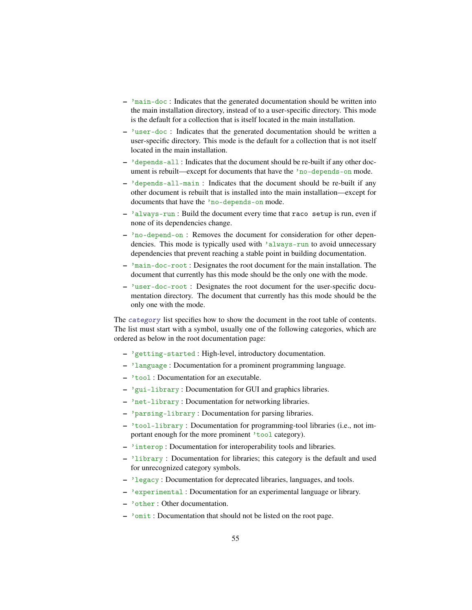- $-$  'main-doc : Indicates that the generated documentation should be written into the main installation directory, instead of to a user-specific directory. This mode is the default for a collection that is itself located in the main installation.
- 'user-doc : Indicates that the generated documentation should be written a user-specific directory. This mode is the default for a collection that is not itself located in the main installation.
- 'depends-all : Indicates that the document should be re-built if any other document is rebuilt—except for documents that have the 'no-depends-on mode.
- 'depends-all-main : Indicates that the document should be re-built if any other document is rebuilt that is installed into the main installation—except for documents that have the 'no-depends-on mode.
- 'always-run : Build the document every time that raco setup is run, even if none of its dependencies change.
- 'no-depend-on : Removes the document for consideration for other dependencies. This mode is typically used with 'always-run to avoid unnecessary dependencies that prevent reaching a stable point in building documentation.
- 'main-doc-root : Designates the root document for the main installation. The document that currently has this mode should be the only one with the mode.
- 'user-doc-root : Designates the root document for the user-specific documentation directory. The document that currently has this mode should be the only one with the mode.

The category list specifies how to show the document in the root table of contents. The list must start with a symbol, usually one of the following categories, which are ordered as below in the root documentation page:

- 'getting-started : High-level, introductory documentation.
- 'language : Documentation for a prominent programming language.
- 'tool : Documentation for an executable.
- 'gui-library : Documentation for GUI and graphics libraries.
- 'net-library : Documentation for networking libraries.
- 'parsing-library : Documentation for parsing libraries.
- 'tool-library : Documentation for programming-tool libraries (i.e., not important enough for the more prominent 'tool category).
- 'interop : Documentation for interoperability tools and libraries.
- 'library : Documentation for libraries; this category is the default and used for unrecognized category symbols.
- 'legacy : Documentation for deprecated libraries, languages, and tools.
- 'experimental : Documentation for an experimental language or library.
- 'other : Other documentation.
- 'omit : Documentation that should not be listed on the root page.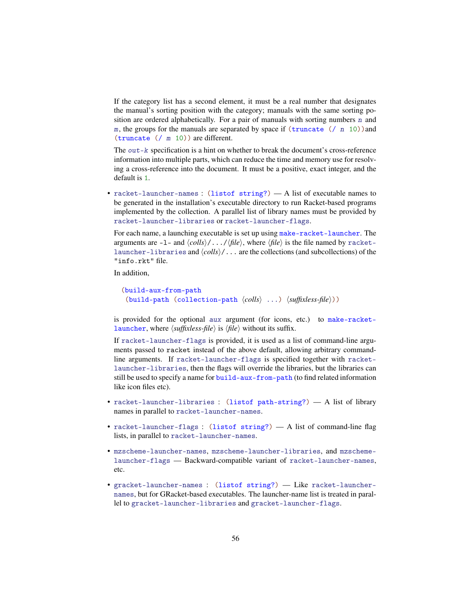If the category list has a second element, it must be a real number that designates the manual's sorting position with the category; manuals with the same sorting position are ordered alphabetically. For a pair of manuals with sorting numbers  $n$  and m, the groups for the manuals are separated by space if  $(\text{truncated } ()$  n 10)) and (truncate (/ m 10)) are different.

The out-k specification is a hint on whether to break the document's cross-reference information into multiple parts, which can reduce the time and memory use for resolving a cross-reference into the document. It must be a positive, exact integer, and the default is 1.

• racket-launcher-names : (listof string?) — A list of executable names to be generated in the installation's executable directory to run Racket-based programs implemented by the collection. A parallel list of library names must be provided by racket-launcher-libraries or racket-launcher-flags.

For each name, a launching executable is set up using make-racket-launcher. The arguments are  $-1$ - and  $\langle \text{cells} \rangle / \dots / \langle \text{file} \rangle$ , where  $\langle \text{file} \rangle$  is the file named by racketlauncher-libraries and  $\langle \text{cells} \rangle / \ldots$  are the collections (and subcollections) of the "info.rkt" file.

In addition,

```
(build-aux-from-path
 (build-path (collection-path \langle \text{cells} \rangle ...) \langle \text{suffixless-file} \rangle))
```
is provided for the optional aux argument (for icons, etc.) to make-racketlauncher, where  $\langle \textit{suffixless-file} \rangle$  is  $\langle \textit{file} \rangle$  without its suffix.

If racket-launcher-flags is provided, it is used as a list of command-line arguments passed to racket instead of the above default, allowing arbitrary commandline arguments. If racket-launcher-flags is specified together with racketlauncher-libraries, then the flags will override the libraries, but the libraries can still be used to specify a name for build-aux-from-path (to find related information like icon files etc).

- racket-launcher-libraries : (listof path-string?) A list of library names in parallel to racket-launcher-names.
- racket-launcher-flags : (listof string?) A list of command-line flag lists, in parallel to racket-launcher-names.
- mzscheme-launcher-names, mzscheme-launcher-libraries, and mzschemelauncher-flags — Backward-compatible variant of racket-launcher-names, etc.
- gracket-launcher-names : (listof string?) Like racket-launchernames, but for GRacket-based executables. The launcher-name list is treated in parallel to gracket-launcher-libraries and gracket-launcher-flags.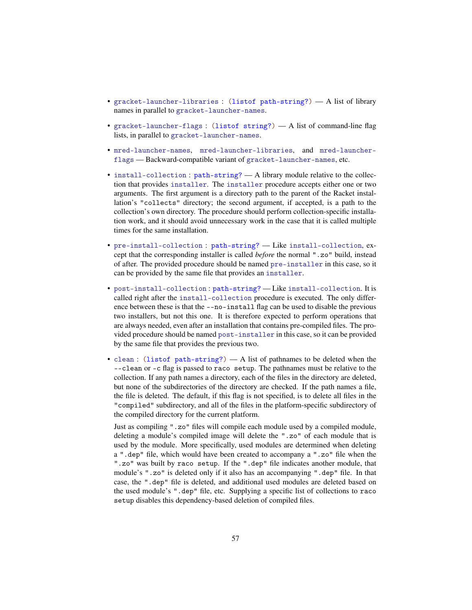- gracket-launcher-libraries : (listof path-string?) A list of library names in parallel to gracket-launcher-names.
- gracket-launcher-flags : (listof string?) A list of command-line flag lists, in parallel to gracket-launcher-names.
- mred-launcher-names, mred-launcher-libraries, and mred-launcherflags — Backward-compatible variant of gracket-launcher-names, etc.
- install-collection : path-string? A library module relative to the collection that provides installer. The installer procedure accepts either one or two arguments. The first argument is a directory path to the parent of the Racket installation's "collects" directory; the second argument, if accepted, is a path to the collection's own directory. The procedure should perform collection-specific installation work, and it should avoid unnecessary work in the case that it is called multiple times for the same installation.
- pre-install-collection : path-string? Like install-collection, except that the corresponding installer is called *before* the normal ".zo" build, instead of after. The provided procedure should be named pre-installer in this case, so it can be provided by the same file that provides an installer.
- post-install-collection : path-string? Like install-collection. It is called right after the install-collection procedure is executed. The only difference between these is that the --no-install flag can be used to disable the previous two installers, but not this one. It is therefore expected to perform operations that are always needed, even after an installation that contains pre-compiled files. The provided procedure should be named post-installer in this case, so it can be provided by the same file that provides the previous two.
- clean : (listof path-string?) A list of pathnames to be deleted when the --clean or -c flag is passed to raco setup. The pathnames must be relative to the collection. If any path names a directory, each of the files in the directory are deleted, but none of the subdirectories of the directory are checked. If the path names a file, the file is deleted. The default, if this flag is not specified, is to delete all files in the "compiled" subdirectory, and all of the files in the platform-specific subdirectory of the compiled directory for the current platform.

Just as compiling ".zo" files will compile each module used by a compiled module, deleting a module's compiled image will delete the ".zo" of each module that is used by the module. More specifically, used modules are determined when deleting a ".dep" file, which would have been created to accompany a ".zo" file when the ".zo" was built by raco setup. If the ".dep" file indicates another module, that module's ".zo" is deleted only if it also has an accompanying ".dep" file. In that case, the ".dep" file is deleted, and additional used modules are deleted based on the used module's ".dep" file, etc. Supplying a specific list of collections to raco setup disables this dependency-based deletion of compiled files.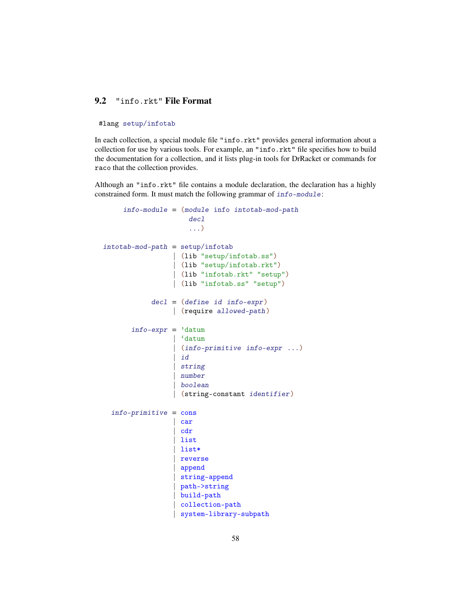## 9.2 "info.rkt" File Format

#### #lang setup/infotab

In each collection, a special module file "info.rkt" provides general information about a collection for use by various tools. For example, an "info.rkt" file specifies how to build the documentation for a collection, and it lists plug-in tools for DrRacket or commands for raco that the collection provides.

Although an "info.rkt" file contains a module declaration, the declaration has a highly constrained form. It must match the following grammar of info-module:

```
info-module = (module info intotab-mod-path
                      decl
                      ...)
intotab-mod-path = setup/infotab| (lib "setup/infotab.ss")
                  | (lib "setup/infotab.rkt")
                  | (lib "infotab.rkt" "setup")
                  | (lib "infotab.ss" "setup")
            dec1 = (define id info-expr)| (require allowed-path)
       info\text{-}expr = 'datum| 'datum
                   (info-primitive info-expr ...)| id
                   string
                   | number
                  | boolean
                  | (string-constant identifier)
  info-primitive = cons| car
                    | cdr
                   | list
                   | list*
                   reverse
                   | append
                   | string-append
                   | path->string
                    | build-path
                    | collection-path
                   system-library-subpath
```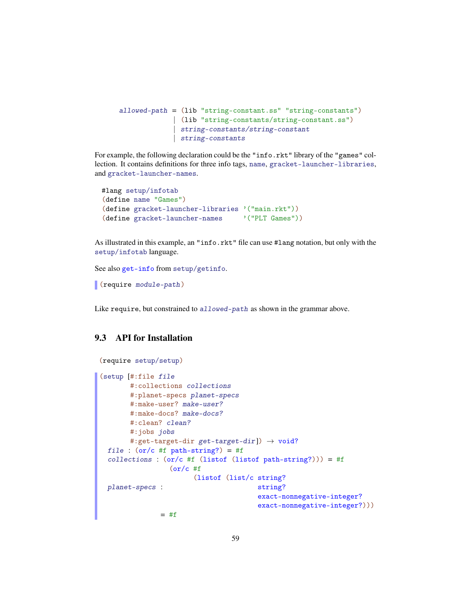```
allowed-path = (lib "string-constant.ss" "string-constants")
             | (lib "string-constants/string-constant.ss")
             | string-constants/string-constant
             | string-constants
```
For example, the following declaration could be the "info.rkt" library of the "games" collection. It contains definitions for three info tags, name, gracket-launcher-libraries, and gracket-launcher-names.

```
#lang setup/infotab
(define name "Games")
(define gracket-launcher-libraries '("main.rkt"))
(define gracket-launcher-names '("PLT Games"))
```
As illustrated in this example, an "info.rkt" file can use #lang notation, but only with the setup/infotab language.

See also get-info from setup/getinfo.

(require module-path)

Like require, but constrained to allowed-path as shown in the grammar above.

## 9.3 API for Installation

```
(require setup/setup)
```

```
(setup [#:file file
       #:collections collections
       #:planet-specs planet-specs
       #:make-user? make-user?
       #:make-docs? make-docs?
       #:clean? clean?
       #:jobs jobs
       #:get-target-dir get-target-dir]) \rightarrow void?
 file : (or/c #f path-string?) = #f
  collections : (or/c #f (listof (listof path-string?))) = #f
 planet-specs :
                  (or/c #f
                       (listof (list/c string?
                                        string?
                                        exact-nonnegative-integer?
                                        exact-nonnegative-integer?)))
               = #f
```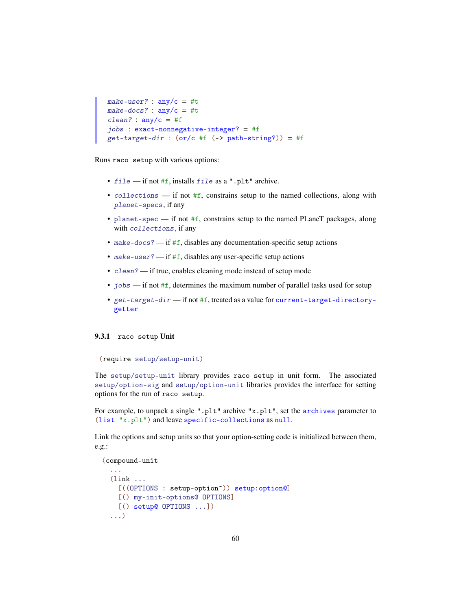```
make-user? : any/c = #tmake-docs? : \text{any/c} = #tclean? : any/c = #fjobs : exact-nonnegative-integer? = #f
get-target-dir: (or/c #f (-> path-string?)) = #f
```
Runs raco setup with various options:

- file if not #f, installs file as a ".plt" archive.
- collections if not #f, constrains setup to the named collections, along with planet-specs, if any
- planet-spec if not #f, constrains setup to the named PLaneT packages, along with collections, if any
- make-docs? if #f, disables any documentation-specific setup actions
- make-user? if  $#f$ , disables any user-specific setup actions
- clean? if true, enables cleaning mode instead of setup mode
- jobs  $\frac{1}{10}$  if not #f, determines the maximum number of parallel tasks used for setup
- get-target-dir if not #f, treated as a value for current-target-directorygetter

#### 9.3.1 raco setup Unit

```
(require setup/setup-unit)
```
The setup/setup-unit library provides raco setup in unit form. The associated setup/option-sig and setup/option-unit libraries provides the interface for setting options for the run of raco setup.

For example, to unpack a single ".plt" archive "x.plt", set the archives parameter to (list "x.plt") and leave specific-collections as null.

Link the options and setup units so that your option-setting code is initialized between them, e.g.:

```
(compound-unit
  ...
 (link ...
    [((OPTIONS : setup-option^)) setup:option@]
    [() my-init-options@ OPTIONS]
    [() setup@ OPTIONS ...])
  ...)
```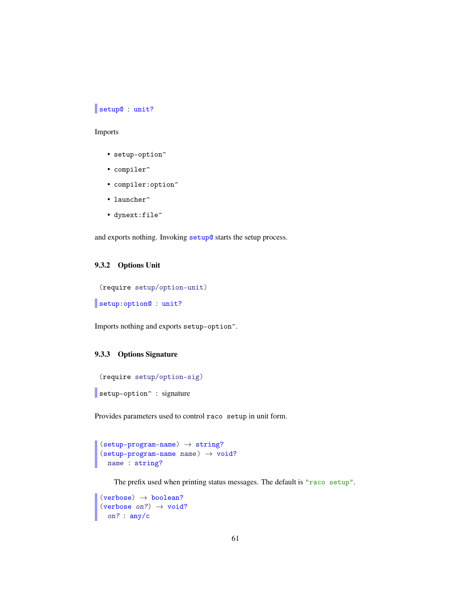## setup@ : unit?

#### Imports

- $\bullet\$  setup-option^
- compiler^
- compiler:option^
- launcher<sup>^</sup>
- dynext:file^

and exports nothing. Invoking setup@ starts the setup process.

#### 9.3.2 Options Unit

(require setup/option-unit)

```
setup:option@ : unit?
```
Imports nothing and exports setup-option<sup>^</sup>.

## 9.3.3 Options Signature

```
(require setup/option-sig)
setup-option<sup>^</sup> : signature
```
Provides parameters used to control raco setup in unit form.

```
(setup-program-name) \rightarrow string?(\text{setup-program-name name}) \rightarrow \text{void?}name : string?
```
The prefix used when printing status messages. The default is "raco setup".

```
(verbose) \rightarrow boolean?(verbose on?) \rightarrow void?
  on? : any/c
```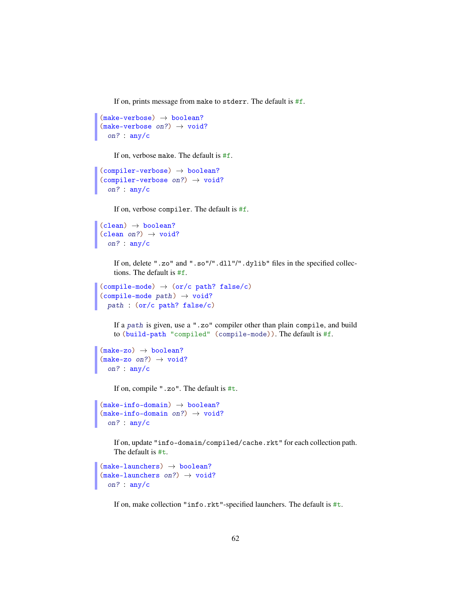If on, prints message from make to stderr. The default is #f.

```
(make-vertex) \rightarrow boolean?
(make-verbose on?) \rightarrow void?on? : any/c
```
If on, verbose make. The default is #f.

```
(complier-vertices) \rightarrow boolean?(complier-vertices on?) \rightarrow void?on? : any/c
```
If on, verbose compiler. The default is #f.

```
(clean) \rightarrow boolean?(clean on?) \rightarrow void?on? : any/c
```
If on, delete ".zo" and ".so"/".dll"/".dylib" files in the specified collections. The default is #f.

```
(compile-mode) \rightarrow (or/c path? false/c)(compile-mode path) \rightarrow void?path : (or/c path? false/c)
```
If a path is given, use a ".zo" compiler other than plain compile, and build to (build-path "compiled" (compile-mode)). The default is #f.

```
(make-zo) \rightarrow boolean?
(make-zo \ on?) \rightarrow void?on? : any/c
```
If on, compile ".zo". The default is #t.

```
(make-info-domain) \rightarrow boolean?
(make-info-domain on?) \rightarrow void?on? : any/c
```
If on, update "info-domain/compiled/cache.rkt" for each collection path. The default is #t.

```
(make-launchers) \rightarrow boolean?(make-launchers on?) \rightarrow void?on? : any/c
```
If on, make collection "info.rkt"-specified launchers. The default is #t.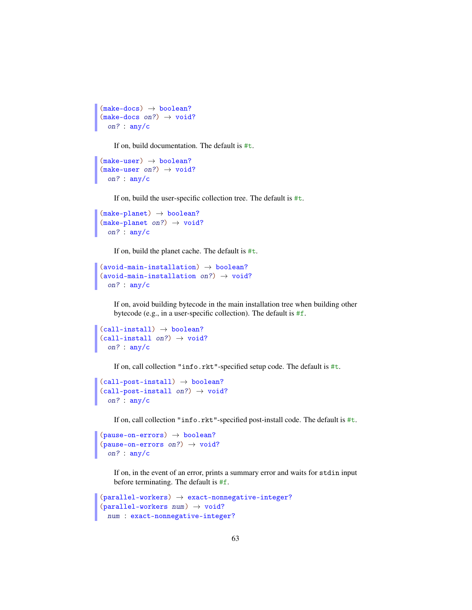```
(make-docs) \rightarrow boolean?(make-docs on?) \rightarrow void?on? : any/c
```
If on, build documentation. The default is #t.

```
(make-user) \rightarrow boolean?(make-user on?) \rightarrow void?on? : any/c
```
If on, build the user-specific collection tree. The default is #t.

```
(make-planet) \rightarrow boolean?
(make-planet on?) \rightarrow void?on? : any/c
```
If on, build the planet cache. The default is #t.

```
(avoid-man-in-stallation) \rightarrow boolean?(avoid-main-installation on?) \rightarrow void?on? : any/c
```
If on, avoid building bytecode in the main installation tree when building other bytecode (e.g., in a user-specific collection). The default is #f.

```
(call-install) \rightarrow boolean?(call-install on?) \rightarrow void?on? : any/c
```
If on, call collection "info.rkt"-specified setup code. The default is #t.

```
(call-post-install) \rightarrow boolean?(call-post-install on?) \rightarrow void?on? : any/c
```
If on, call collection "info.rkt"-specified post-install code. The default is #t.

```
(\text{pause-on-errors}) \rightarrow \text{boolean?}(\text{pause-on-errors on?}) \rightarrow \text{void?}on? : any/c
```
If on, in the event of an error, prints a summary error and waits for stdin input before terminating. The default is #f.

```
(parallel-workers) \rightarrow exact-nomegative-integer?(parallel-workers num) \rightarrow void?num : exact-nonnegative-integer?
```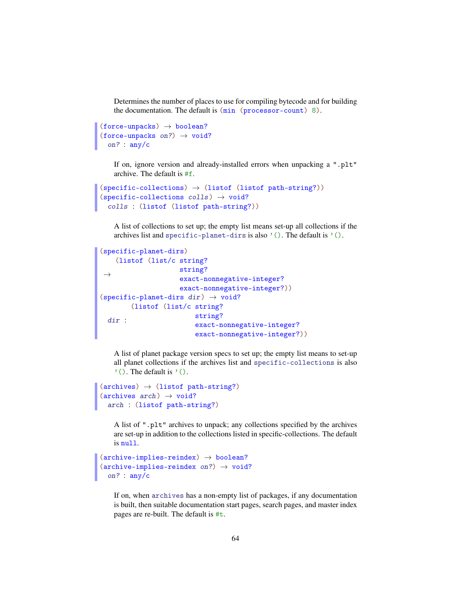Determines the number of places to use for compiling bytecode and for building the documentation. The default is (min (processor-count) 8).

```
(force-unpacks) \rightarrow boolean?(force-unpacks on?) \rightarrow void?
  on? : any/c
```
If on, ignore version and already-installed errors when unpacking a ".plt" archive. The default is #f.

```
(specific-color) \rightarrow (listof (listof path-string?))(specific-collections colls) \rightarrow void?
  colls : (listof (listof path-string?))
```
A list of collections to set up; the empty list means set-up all collections if the archives list and specific-planet-dirs is also  $'($ ). The default is  $'($ ).

```
(specific-planet-dirs)
 \rightarrow(listof (list/c string?
                     string?
                     exact-nonnegative-integer?
                     exact-nonnegative-integer?))
(specific-planet-dirs dir) \rightarrow void?dir :
        (listof (list/c string?
                         string?
                          exact-nonnegative-integer?
                          exact-nonnegative-integer?))
```
A list of planet package version specs to set up; the empty list means to set-up all planet collections if the archives list and specific-collections is also  $'()$ . The default is  $'()$ .

```
(\text{archives}) \rightarrow (\text{listof path-string})(\text{archives } arch) \rightarrow void?arch : (listof path-string?)
```
A list of ".plt" archives to unpack; any collections specified by the archives are set-up in addition to the collections listed in specific-collections. The default is null.

```
(\text{architecture-implies-reindex}) \rightarrow \text{boolean?}(\text{architecture-implies-reindex on?)}\rightarrow \text{void?}on? : any/c
```
If on, when archives has a non-empty list of packages, if any documentation is built, then suitable documentation start pages, search pages, and master index pages are re-built. The default is #t.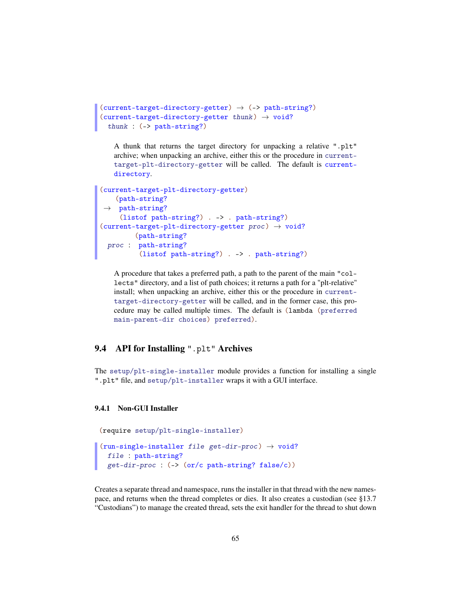```
(current-target-directory-getter) \rightarrow (->path-string?)(current-target-directory-getter thunk) \rightarrow void?thunk : (-> path-string?)
```
A thunk that returns the target directory for unpacking a relative ".plt" archive; when unpacking an archive, either this or the procedure in currenttarget-plt-directory-getter will be called. The default is currentdirectory.

```
(current-target-plt-directory-getter)
 →
path-string?
    (path-string?
    (listof path-string?) . -> . path-string?)
(current-target-plt-directory-getter proc) \rightarrow void?
  proc :
path-string?
       (path-string?
         (listof path-string?) . -> . path-string?)
```
A procedure that takes a preferred path, a path to the parent of the main "collects" directory, and a list of path choices; it returns a path for a "plt-relative" install; when unpacking an archive, either this or the procedure in currenttarget-directory-getter will be called, and in the former case, this procedure may be called multiple times. The default is (lambda (preferred main-parent-dir choices) preferred).

## 9.4 API for Installing ".plt" Archives

The setup/plt-single-installer module provides a function for installing a single ".plt" file, and setup/plt-installer wraps it with a GUI interface.

#### 9.4.1 Non-GUI Installer

```
(require setup/plt-single-installer)
```

```
(run-single-installer file get-dir-proc) \rightarrow void?file : path-string?
 get-dir-proc : (-> (or/c path-string? false/c))
```
Creates a separate thread and namespace, runs the installer in that thread with the new namespace, and returns when the thread completes or dies. It also creates a custodian (see §13.7 "Custodians") to manage the created thread, sets the exit handler for the thread to shut down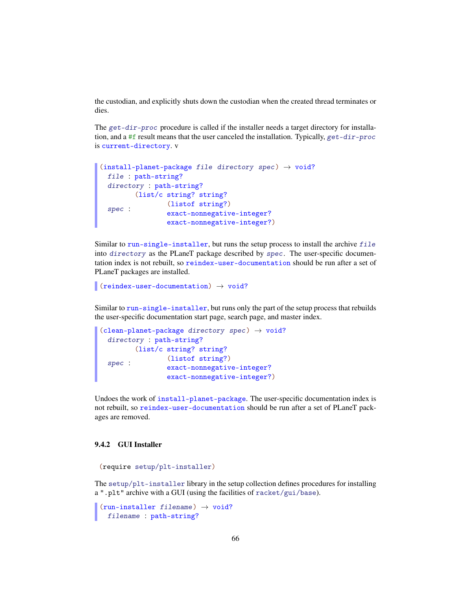the custodian, and explicitly shuts down the custodian when the created thread terminates or dies.

The get-dir-proc procedure is called if the installer needs a target directory for installation, and a #f result means that the user canceled the installation. Typically,  $get-dir-proc$ is current-directory. v

```
(install-planet-package file directory spec) \rightarrow void?
 file : path-string?
 directory : path-string?
  spec :
       (list/c string? string?
               (listof string?)
                 exact-nonnegative-integer?
                 exact-nonnegative-integer?)
```
Similar to run-single-installer, but runs the setup process to install the archive file into directory as the PLaneT package described by spec. The user-specific documentation index is not rebuilt, so reindex-user-documentation should be run after a set of PLaneT packages are installed.

```
(reindex-user-documentation) \rightarrow void?
```
Similar to run-single-installer, but runs only the part of the setup process that rebuilds the user-specific documentation start page, search page, and master index.

```
(clean-planet-package directory spec) \rightarrow void?
  directory : path-string?
  spec :
       (list/c string? string?
                 (listof string?)
                 exact-nonnegative-integer?
                 exact-nonnegative-integer?)
```
Undoes the work of install-planet-package. The user-specific documentation index is not rebuilt, so reindex-user-documentation should be run after a set of PLaneT packages are removed.

### 9.4.2 GUI Installer

```
(require setup/plt-installer)
```
The setup/plt-installer library in the setup collection defines procedures for installing a ".plt" archive with a GUI (using the facilities of racket/gui/base).

```
(run-installer filename) \rightarrow void?filename : path-string?
```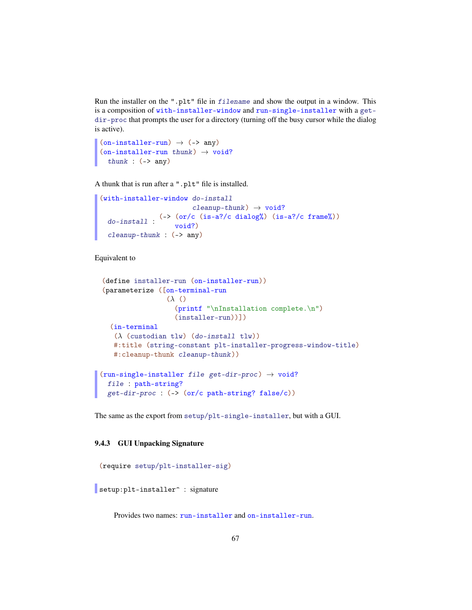Run the installer on the ".plt" file in filename and show the output in a window. This is a composition of with-installer-window and run-single-installer with a getdir-proc that prompts the user for a directory (turning off the busy cursor while the dialog is active).

```
(on-installer-run) \rightarrow (->any)(on-installer-run thunk) \rightarrow void?thunk : (-\geq any)
```
A thunk that is run after a ".plt" file is installed.

```
(with-installer-window do-install
                                 cleanup-thunk) \rightarrow void?do-install :
                     (\rightarrow (\text{or}/c \text{ (is-a?}/c \text{ dialog})\text{)} (\text{is-a?}/c \text{ frame})\text{)}void?)
  cleanup-thunk : (-> any)
```
Equivalent to

```
(define installer-run (on-installer-run))
(parameterize ([on-terminal-run
                 (λ ()
                   (printf "\nInstallation complete.\n")
                   (installer-run))])
  (in-terminal
   (\lambda (custodian tlw) (do-install tlw))
   #:title (string-constant plt-installer-progress-window-title)
   #:cleanup-thunk cleanup-thunk))
(run-single-installer file get-dir-proc) \rightarrow void?file : path-string?
 get-dir-proc : (-> (or/c path-string? false/c))
```
The same as the export from setup/plt-single-installer, but with a GUI.

#### 9.4.3 GUI Unpacking Signature

```
(require setup/plt-installer-sig)
setup: plt-installer<sup>o</sup> : signature
```
Provides two names: run-installer and on-installer-run.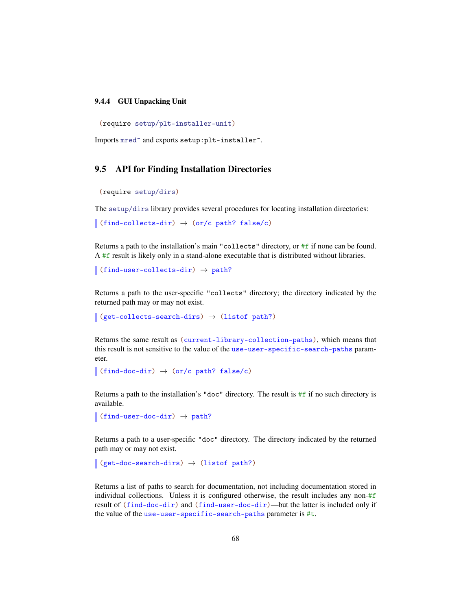#### 9.4.4 GUI Unpacking Unit

(require setup/plt-installer-unit)

Imports mred<sup>o</sup> and exports setup:plt-installer<sup>o</sup>.

## 9.5 API for Finding Installation Directories

```
(require setup/dirs)
```
The setup/dirs library provides several procedures for locating installation directories:

```
\int (find-collects-dir) \rightarrow (or/c path? false/c)
```
Returns a path to the installation's main "collects" directory, or #f if none can be found. A #f result is likely only in a stand-alone executable that is distributed without libraries.

(find-user-collects-dir)  $\rightarrow$  path?

Returns a path to the user-specific "collects" directory; the directory indicated by the returned path may or may not exist.

```
(get-collects-search-dirs) \rightarrow (listof path?)
```
Returns the same result as (current-library-collection-paths), which means that this result is not sensitive to the value of the use-user-specific-search-paths parameter.

```
\int (find-doc-dir) \rightarrow (or/c path? false/c)
```
Returns a path to the installation's "doc" directory. The result is #f if no such directory is available.

```
\vert (find-user-doc-dir) \rightarrow path?
```
Returns a path to a user-specific "doc" directory. The directory indicated by the returned path may or may not exist.

```
(get-doc-search-dirs) \rightarrow (listof path?)
```
Returns a list of paths to search for documentation, not including documentation stored in individual collections. Unless it is configured otherwise, the result includes any non- $#f$ result of (find-doc-dir) and (find-user-doc-dir)—but the latter is included only if the value of the use-user-specific-search-paths parameter is #t.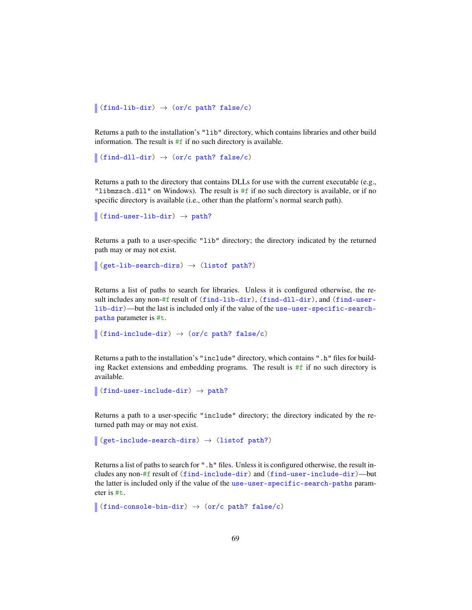```
\sim (find-lib-dir) \rightarrow (or/c path? false/c)
```
Returns a path to the installation's "lib" directory, which contains libraries and other build information. The result is  $#f$  if no such directory is available.

```
\int (find-dll-dir) \rightarrow (or/c path? false/c)
```
Returns a path to the directory that contains DLLs for use with the current executable (e.g., "libmzsch.dll" on Windows). The result is #f if no such directory is available, or if no specific directory is available (i.e., other than the platform's normal search path).

```
\vert (find-user-lib-dir) \rightarrow path?
```
Returns a path to a user-specific "lib" directory; the directory indicated by the returned path may or may not exist.

```
\vert (get-lib-search-dirs) \rightarrow (listof path?)
```
Returns a list of paths to search for libraries. Unless it is configured otherwise, the result includes any non-#f result of (find-lib-dir), (find-dll-dir), and (find-userlib-dir)—but the last is included only if the value of the use-user-specific-searchpaths parameter is #t.

```
\vert (find-include-dir) \rightarrow (or/c path? false/c)
```
Returns a path to the installation's "include" directory, which contains ".h" files for building Racket extensions and embedding programs. The result is  $#f$  if no such directory is available.

```
(find-user-include-dir) \rightarrow path?
```
Returns a path to a user-specific "include" directory; the directory indicated by the returned path may or may not exist.

```
(\text{get-include-search-dirs}) \rightarrow (\text{listof path?})
```
Returns a list of paths to search for ". h" files. Unless it is configured otherwise, the result includes any non-#f result of (find-include-dir) and (find-user-include-dir)—but the latter is included only if the value of the use-user-specific-search-paths parameter is #t.

```
(find-console-bin-dir) \rightarrow (or/c path? false/c)
```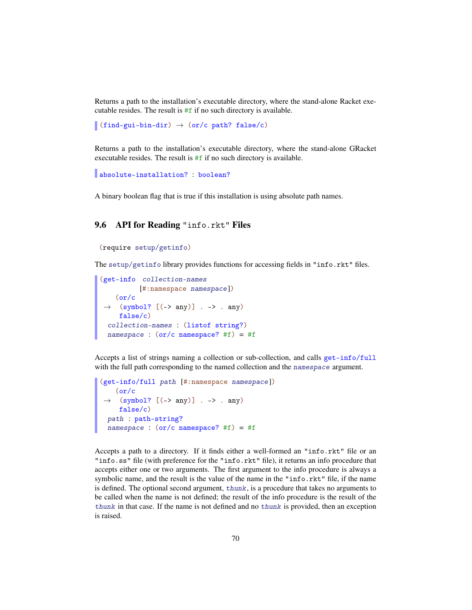Returns a path to the installation's executable directory, where the stand-alone Racket executable resides. The result is  $#f$  if no such directory is available.

(find-gui-bin-dir)  $\rightarrow$  (or/c path? false/c)

Returns a path to the installation's executable directory, where the stand-alone GRacket executable resides. The result is #f if no such directory is available.

```
absolute-installation? : boolean?
```
A binary boolean flag that is true if this installation is using absolute path names.

## 9.6 API for Reading "info.rkt" Files

```
(require setup/getinfo)
```
The setup/getinfo library provides functions for accessing fields in "info.rkt" files.

```
(get-info collection-names
          [#:namespace namespace])
 \rightarrow (symbol? [(-> any)] . -> . any)
   (or/c
    false/c)
 collection-names : (listof string?)
 namespace : (or/c namespace? #f) = #f
```
Accepts a list of strings naming a collection or sub-collection, and calls get-info/full with the full path corresponding to the named collection and the namespace argument.

```
(get-info/full path [#:namespace namespace])
 \rightarrow (symbol? [(-> any)] . -> . any)
   (\text{or}/c)false/c)
 path : path-string?
 namespace : (or/c namespace? #f) = #f
```
Accepts a path to a directory. If it finds either a well-formed an "info.rkt" file or an "info.ss" file (with preference for the "info.rkt" file), it returns an info procedure that accepts either one or two arguments. The first argument to the info procedure is always a symbolic name, and the result is the value of the name in the "info.rkt" file, if the name is defined. The optional second argument, thunk, is a procedure that takes no arguments to be called when the name is not defined; the result of the info procedure is the result of the thunk in that case. If the name is not defined and no thunk is provided, then an exception is raised.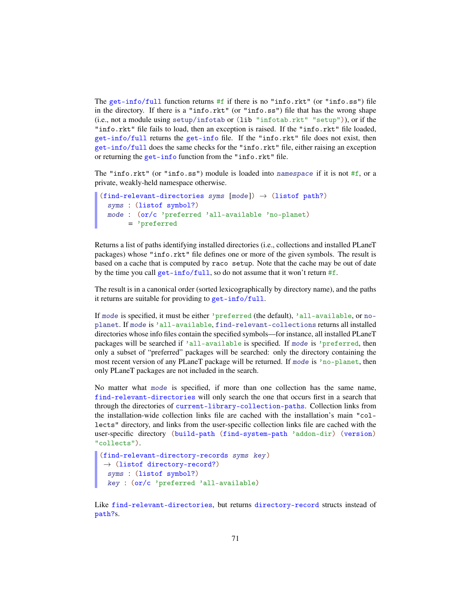The get-info/full function returns  $#f$  if there is no "info.rkt" (or "info.ss") file in the directory. If there is a "info.rkt" (or "info.ss") file that has the wrong shape (i.e., not a module using setup/infotab or (lib "infotab.rkt" "setup")), or if the "info.rkt" file fails to load, then an exception is raised. If the "info.rkt" file loaded, get-info/full returns the get-info file. If the "info.rkt" file does not exist, then get-info/full does the same checks for the "info.rkt" file, either raising an exception or returning the get-info function from the "info.rkt" file.

The "info.rkt" (or "info.ss") module is loaded into namespace if it is not #f, or a private, weakly-held namespace otherwise.

```
(find-relevant-directories syms (mod)) \rightarrow (listof path?)
 syms : (listof symbol?)
 mode : (or/c 'preferred 'all-available 'no-planet)
       = 'preferred
```
Returns a list of paths identifying installed directories (i.e., collections and installed PLaneT packages) whose "info.rkt" file defines one or more of the given symbols. The result is based on a cache that is computed by raco setup. Note that the cache may be out of date by the time you call get-info/full, so do not assume that it won't return  $#f$ .

The result is in a canonical order (sorted lexicographically by directory name), and the paths it returns are suitable for providing to get-info/full.

If mode is specified, it must be either 'preferred (the default), 'all-available, or noplanet. If mode is 'all-available, find-relevant-collections returns all installed directories whose info files contain the specified symbols—for instance, all installed PLaneT packages will be searched if 'all-available is specified. If mode is 'preferred, then only a subset of "preferred" packages will be searched: only the directory containing the most recent version of any PLaneT package will be returned. If mode is 'no-planet, then only PLaneT packages are not included in the search.

No matter what mode is specified, if more than one collection has the same name, find-relevant-directories will only search the one that occurs first in a search that through the directories of current-library-collection-paths. Collection links from the installation-wide collection links file are cached with the installation's main "collects" directory, and links from the user-specific collection links file are cached with the user-specific directory (build-path (find-system-path 'addon-dir) (version) "collects").

```
(find-relevant-directory-records syms key)
\rightarrow (listof directory-record?)
 syms : (listof symbol?)
 key : (or/c 'preferred 'all-available)
```
Like find-relevant-directories, but returns directory-record structs instead of path?s.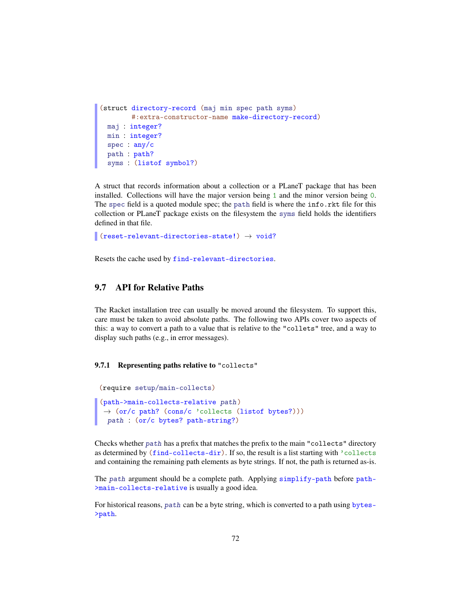```
(struct directory-record (maj min spec path syms)
        #:extra-constructor-name make-directory-record)
 maj : integer?
 min : integer?
 spec : any/c
 path : path?
 syms : (listof symbol?)
```
A struct that records information about a collection or a PLaneT package that has been installed. Collections will have the major version being 1 and the minor version being 0. The spec field is a quoted module spec; the path field is where the info.rkt file for this collection or PLaneT package exists on the filesystem the syms field holds the identifiers defined in that file.

```
\vert (reset-relevant-directories-state!) \rightarrow void?
```
Resets the cache used by find-relevant-directories.

## 9.7 API for Relative Paths

The Racket installation tree can usually be moved around the filesystem. To support this, care must be taken to avoid absolute paths. The following two APIs cover two aspects of this: a way to convert a path to a value that is relative to the "collets" tree, and a way to display such paths (e.g., in error messages).

#### 9.7.1 Representing paths relative to "collects"

```
(require setup/main-collects)
(path->main-collects-relative path)
\rightarrow (or/c path? (cons/c 'collects (listof bytes?)))
 path : (or/c bytes? path-string?)
```
Checks whether path has a prefix that matches the prefix to the main "collects" directory as determined by (find-collects-dir). If so, the result is a list starting with 'collects and containing the remaining path elements as byte strings. If not, the path is returned as-is.

The path argument should be a complete path. Applying simplify-path before path->main-collects-relative is usually a good idea.

For historical reasons, path can be a byte string, which is converted to a path using bytes- >path.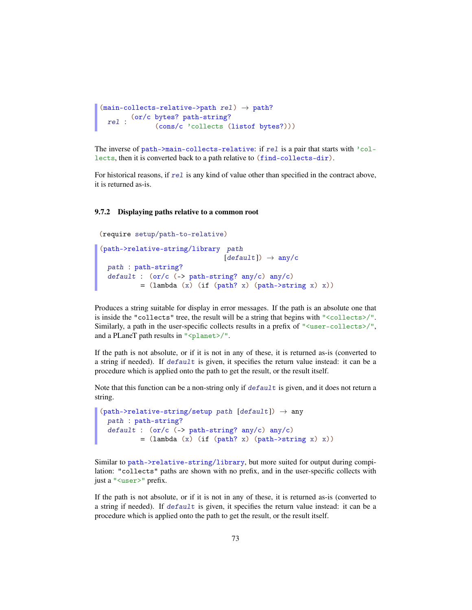```
(\text{main-collects-relative->path rel}) \rightarrow \text{path?}rel :
(or/c bytes? path-string?
                (cons/c 'collects (listof bytes?)))
```
The inverse of path->main-collects-relative: if rel is a pair that starts with 'collects, then it is converted back to a path relative to (find-collects-dir).

For historical reasons, if  $rel$  is any kind of value other than specified in the contract above, it is returned as-is.

#### 9.7.2 Displaying paths relative to a common root

```
(require setup/path-to-relative)
(path->relative-string/library path
                              [default]) \rightarrow any/cpath : path-string?
 default : (or/c (-> path-string? any/c) any/c)
          = (lambda (x) (if (path? x) (path->string x) x))
```
Produces a string suitable for display in error messages. If the path is an absolute one that is inside the "collects" tree, the result will be a string that begins with "<collects>/". Similarly, a path in the user-specific collects results in a prefix of " $\langle$ user-collects $\rangle$ ", and a PLaneT path results in "<planet>/".

If the path is not absolute, or if it is not in any of these, it is returned as-is (converted to a string if needed). If  $default$  is given, it specifies the return value instead: it can be a procedure which is applied onto the path to get the result, or the result itself.

Note that this function can be a non-string only if  $default$  is given, and it does not return a string.

```
(path->relative-string/setup path [default]) \rightarrow anypath : path-string?
 default : (or/c (-> path-string? any/c) any/c)
          = (lambda (x) (if (path? x) (path->string x) x))
```
Similar to path->relative-string/library, but more suited for output during compilation: "collects" paths are shown with no prefix, and in the user-specific collects with just a "<user>" prefix.

If the path is not absolute, or if it is not in any of these, it is returned as-is (converted to a string if needed). If default is given, it specifies the return value instead: it can be a procedure which is applied onto the path to get the result, or the result itself.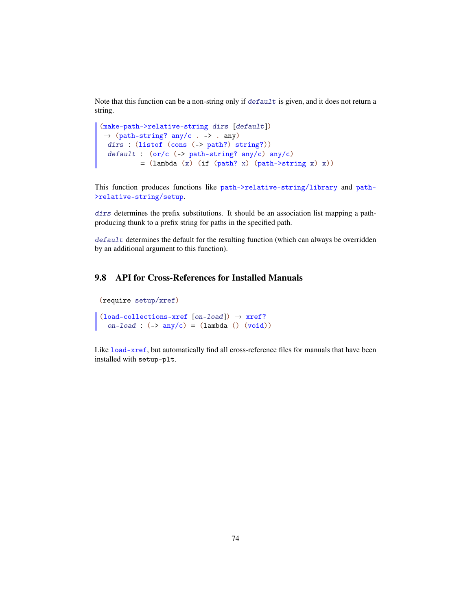Note that this function can be a non-string only if default is given, and it does not return a string.

```
(make-path->relative-string dirs [default])
\rightarrow (path-string? any/c . -> . any)
 dirs : (listof (cons (-> path?) string?))
 default : (or/c (-> path-string? any/c) any/c)
          = (lambda (x) (if (path? x) (path->string x) x))
```
This function produces functions like path->relative-string/library and path- >relative-string/setup.

dirs determines the prefix substitutions. It should be an association list mapping a pathproducing thunk to a prefix string for paths in the specified path.

default determines the default for the resulting function (which can always be overridden by an additional argument to this function).

### 9.8 API for Cross-References for Installed Manuals

```
(require setup/xref)
```

```
(load-co1lections-xref [on-load]) \rightarrow xref?on-load : (\rightarrow any/c) = (lambda() (void))
```
Like load-xref, but automatically find all cross-reference files for manuals that have been installed with setup-plt.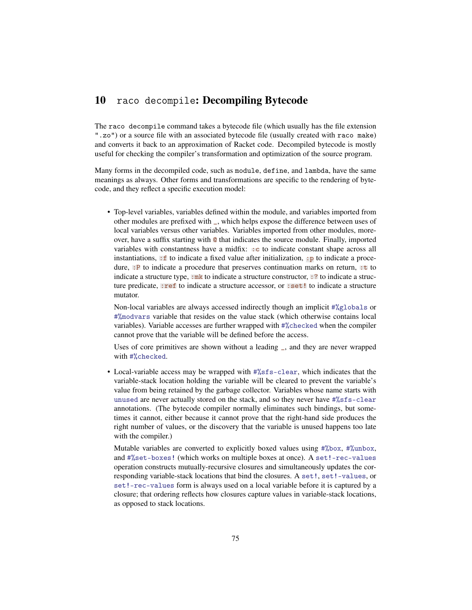## 10 raco decompile: Decompiling Bytecode

The raco decompile command takes a bytecode file (which usually has the file extension ".zo") or a source file with an associated bytecode file (usually created with raco make) and converts it back to an approximation of Racket code. Decompiled bytecode is mostly useful for checking the compiler's transformation and optimization of the source program.

Many forms in the decompiled code, such as module, define, and lambda, have the same meanings as always. Other forms and transformations are specific to the rendering of bytecode, and they reflect a specific execution model:

• Top-level variables, variables defined within the module, and variables imported from other modules are prefixed with \_, which helps expose the difference between uses of local variables versus other variables. Variables imported from other modules, moreover, have a suffix starting with @ that indicates the source module. Finally, imported variables with constantness have a midfix:  $\pm c$  to indicate constant shape across all instantiations,  $\cdot$  f to indicate a fixed value after initialization,  $\cdot$  p to indicate a procedure, : P to indicate a procedure that preserves continuation marks on return, : t to indicate a structure type,  $\cdot$ mk to indicate a structure constructor,  $\cdot$ ? to indicate a structure predicate, :ref to indicate a structure accessor, or :set! to indicate a structure mutator.

Non-local variables are always accessed indirectly though an implicit #%globals or #%modvars variable that resides on the value stack (which otherwise contains local variables). Variable accesses are further wrapped with #%checked when the compiler cannot prove that the variable will be defined before the access.

Uses of core primitives are shown without a leading \_, and they are never wrapped with #%checked.

• Local-variable access may be wrapped with  $\frac{4}{55}$  s-clear, which indicates that the variable-stack location holding the variable will be cleared to prevent the variable's value from being retained by the garbage collector. Variables whose name starts with unused are never actually stored on the stack, and so they never have #%sfs-clear annotations. (The bytecode compiler normally eliminates such bindings, but sometimes it cannot, either because it cannot prove that the right-hand side produces the right number of values, or the discovery that the variable is unused happens too late with the compiler.)

Mutable variables are converted to explicitly boxed values using #%box, #%unbox, and #%set-boxes! (which works on multiple boxes at once). A set!-rec-values operation constructs mutually-recursive closures and simultaneously updates the corresponding variable-stack locations that bind the closures. A set!, set!-values, or set!-rec-values form is always used on a local variable before it is captured by a closure; that ordering reflects how closures capture values in variable-stack locations, as opposed to stack locations.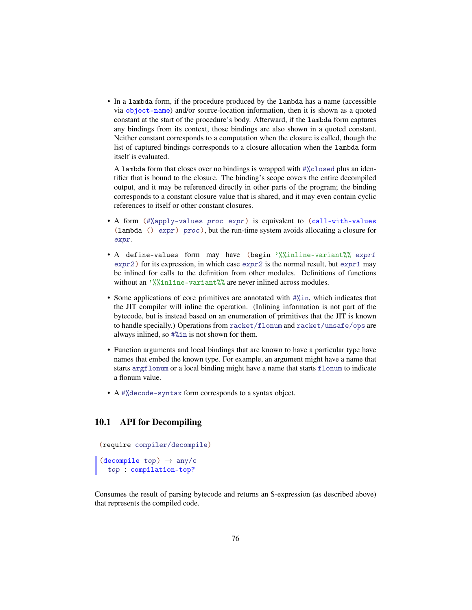• In a lambda form, if the procedure produced by the lambda has a name (accessible via object-name) and/or source-location information, then it is shown as a quoted constant at the start of the procedure's body. Afterward, if the lambda form captures any bindings from its context, those bindings are also shown in a quoted constant. Neither constant corresponds to a computation when the closure is called, though the list of captured bindings corresponds to a closure allocation when the lambda form itself is evaluated.

A lambda form that closes over no bindings is wrapped with #%closed plus an identifier that is bound to the closure. The binding's scope covers the entire decompiled output, and it may be referenced directly in other parts of the program; the binding corresponds to a constant closure value that is shared, and it may even contain cyclic references to itself or other constant closures.

- A form (#%apply-values proc expr) is equivalent to (call-with-values (lambda ()  $\exp r$ ) proc), but the run-time system avoids allocating a closure for expr.
- A define-values form may have (begin '%%inline-variant%% expr1  $\exp(z)$  for its expression, in which case  $\exp(z)$  is the normal result, but  $\exp(z)$  may be inlined for calls to the definition from other modules. Definitions of functions without an '%%inline-variant%% are never inlined across modules.
- Some applications of core primitives are annotated with #%in, which indicates that the JIT compiler will inline the operation. (Inlining information is not part of the bytecode, but is instead based on an enumeration of primitives that the JIT is known to handle specially.) Operations from racket/flonum and racket/unsafe/ops are always inlined, so #%in is not shown for them.
- Function arguments and local bindings that are known to have a particular type have names that embed the known type. For example, an argument might have a name that starts argflonum or a local binding might have a name that starts flonum to indicate a flonum value.
- A #%decode-syntax form corresponds to a syntax object.

#### 10.1 API for Decompiling

(require compiler/decompile)

(decompile  $top$ )  $\rightarrow$  any/c top : compilation-top?

Consumes the result of parsing bytecode and returns an S-expression (as described above) that represents the compiled code.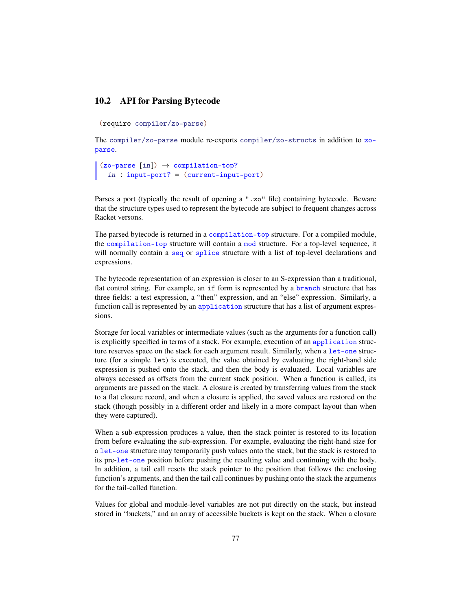#### 10.2 API for Parsing Bytecode

```
(require compiler/zo-parse)
```
The compiler/zo-parse module re-exports compiler/zo-structs in addition to zoparse.

```
(zo-parse [in]) \rightarrow compilation-top?in : input-port? = (current-input-port)
```
Parses a port (typically the result of opening a ".zo" file) containing bytecode. Beware that the structure types used to represent the bytecode are subject to frequent changes across Racket versons.

The parsed bytecode is returned in a compilation-top structure. For a compiled module, the compilation-top structure will contain a mod structure. For a top-level sequence, it will normally contain a seq or splice structure with a list of top-level declarations and expressions.

The bytecode representation of an expression is closer to an S-expression than a traditional, flat control string. For example, an if form is represented by a branch structure that has three fields: a test expression, a "then" expression, and an "else" expression. Similarly, a function call is represented by an application structure that has a list of argument expressions.

Storage for local variables or intermediate values (such as the arguments for a function call) is explicitly specified in terms of a stack. For example, execution of an application structure reserves space on the stack for each argument result. Similarly, when a let-one structure (for a simple let) is executed, the value obtained by evaluating the right-hand side expression is pushed onto the stack, and then the body is evaluated. Local variables are always accessed as offsets from the current stack position. When a function is called, its arguments are passed on the stack. A closure is created by transferring values from the stack to a flat closure record, and when a closure is applied, the saved values are restored on the stack (though possibly in a different order and likely in a more compact layout than when they were captured).

When a sub-expression produces a value, then the stack pointer is restored to its location from before evaluating the sub-expression. For example, evaluating the right-hand size for a let-one structure may temporarily push values onto the stack, but the stack is restored to its pre-let-one position before pushing the resulting value and continuing with the body. In addition, a tail call resets the stack pointer to the position that follows the enclosing function's arguments, and then the tail call continues by pushing onto the stack the arguments for the tail-called function.

Values for global and module-level variables are not put directly on the stack, but instead stored in "buckets," and an array of accessible buckets is kept on the stack. When a closure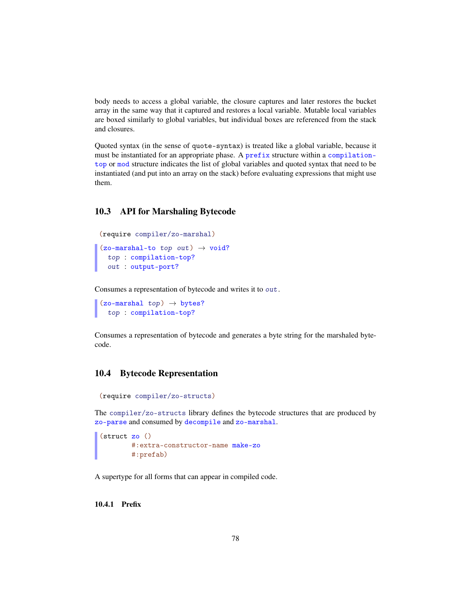body needs to access a global variable, the closure captures and later restores the bucket array in the same way that it captured and restores a local variable. Mutable local variables are boxed similarly to global variables, but individual boxes are referenced from the stack and closures.

Quoted syntax (in the sense of quote-syntax) is treated like a global variable, because it must be instantiated for an appropriate phase. A prefix structure within a compilationtop or mod structure indicates the list of global variables and quoted syntax that need to be instantiated (and put into an array on the stack) before evaluating expressions that might use them.

#### 10.3 API for Marshaling Bytecode

```
(require compiler/zo-marshal)
(zo-maxshall-to-top out) \rightarrow void?top : compilation-top?
```

```
out : output-port?
```
Consumes a representation of bytecode and writes it to out.

```
(zo-maxhal top) \rightarrow bytes?top : compilation-top?
```
Consumes a representation of bytecode and generates a byte string for the marshaled bytecode.

#### 10.4 Bytecode Representation

```
(require compiler/zo-structs)
```
The compiler/zo-structs library defines the bytecode structures that are produced by zo-parse and consumed by decompile and zo-marshal.

```
(struct zo ()
       #:extra-constructor-name make-zo
       #:prefab)
```
A supertype for all forms that can appear in compiled code.

10.4.1 Prefix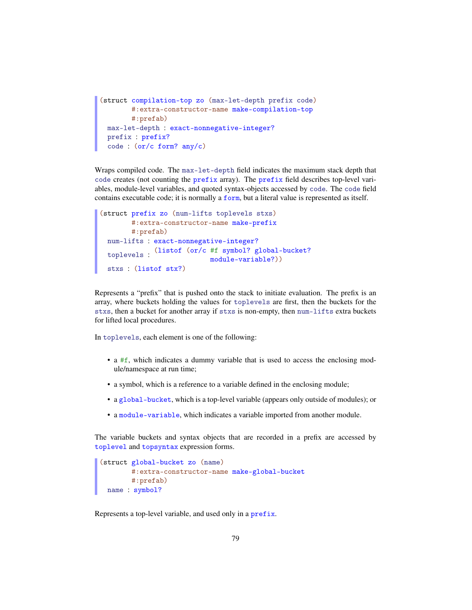```
(struct compilation-top zo (max-let-depth prefix code)
       #:extra-constructor-name make-compilation-top
       #:prefab)
 max-let-depth : exact-nonnegative-integer?
 prefix : prefix?
 code : (or/c form? any/c)
```
Wraps compiled code. The max-let-depth field indicates the maximum stack depth that code creates (not counting the prefix array). The prefix field describes top-level variables, module-level variables, and quoted syntax-objects accessed by code. The code field contains executable code; it is normally a form, but a literal value is represented as itself.

```
(struct prefix zo (num-lifts toplevels stxs)
       #:extra-constructor-name make-prefix
       #:prefab)
 num-lifts : exact-nonnegative-integer?
  toplevels :
(listof (or/c #f symbol? global-bucket?
                           module-variable?))
 stxs : (listof stx?)
```
Represents a "prefix" that is pushed onto the stack to initiate evaluation. The prefix is an array, where buckets holding the values for toplevels are first, then the buckets for the stxs, then a bucket for another array if stxs is non-empty, then num-lifts extra buckets for lifted local procedures.

In toplevels, each element is one of the following:

- a #f, which indicates a dummy variable that is used to access the enclosing module/namespace at run time;
- a symbol, which is a reference to a variable defined in the enclosing module;
- a global-bucket, which is a top-level variable (appears only outside of modules); or
- a module-variable, which indicates a variable imported from another module.

The variable buckets and syntax objects that are recorded in a prefix are accessed by toplevel and topsyntax expression forms.

```
(struct global-bucket zo (name)
       #:extra-constructor-name make-global-bucket
       #:prefab)
 name : symbol?
```
Represents a top-level variable, and used only in a prefix.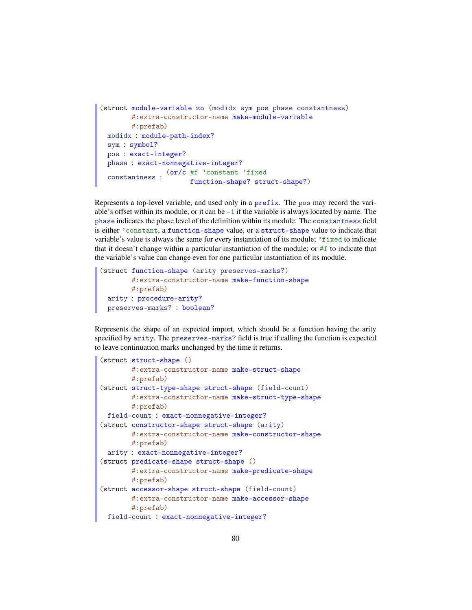```
(struct module-variable zo (modidx sym pos phase constantness)
        #:extra-constructor-name make-module-variable
        #:prefab)
 modidx : module-path-index?
 sym : symbol?
 pos : exact-integer?
 phase : exact-nonnegative-integer?
  \frac{\text{(or/c ff)}{\text{constant}}}{\text{function change}}function-shape? struct-shape?)
```
Represents a top-level variable, and used only in a prefix. The pos may record the variable's offset within its module, or it can be -1 if the variable is always located by name. The phase indicates the phase level of the definition within its module. The constantness field is either 'constant, a function-shape value, or a struct-shape value to indicate that variable's value is always the same for every instantiation of its module;  $\ell$  is reduced to indicate that it doesn't change within a particular instantiation of the module; or #f to indicate that the variable's value can change even for one particular instantiation of its module.

```
(struct function-shape (arity preserves-marks?)
       #:extra-constructor-name make-function-shape
       #:prefab)
 arity : procedure-arity?
 preserves-marks? : boolean?
```
Represents the shape of an expected import, which should be a function having the arity specified by arity. The preserves-marks? field is true if calling the function is expected to leave continuation marks unchanged by the time it returns.

```
(struct struct-shape ()
       #:extra-constructor-name make-struct-shape
       #:prefab)
(struct struct-type-shape struct-shape (field-count)
       #:extra-constructor-name make-struct-type-shape
       #:prefab)
 field-count : exact-nonnegative-integer?
(struct constructor-shape struct-shape (arity)
       #:extra-constructor-name make-constructor-shape
       #:prefab)
 arity : exact-nonnegative-integer?
(struct predicate-shape struct-shape ()
       #:extra-constructor-name make-predicate-shape
       #:prefab)
(struct accessor-shape struct-shape (field-count)
       #:extra-constructor-name make-accessor-shape
       #:prefab)
 field-count : exact-nonnegative-integer?
```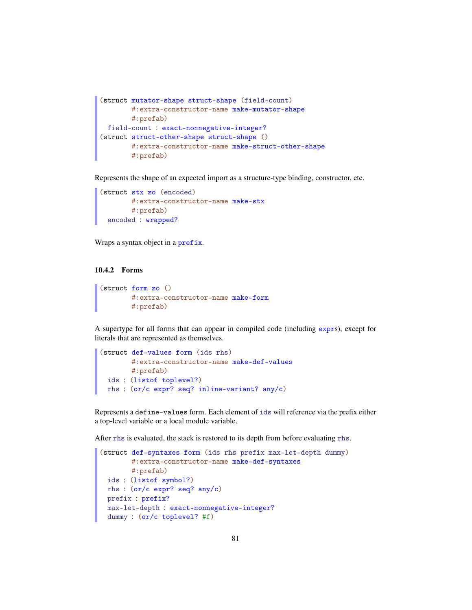```
(struct mutator-shape struct-shape (field-count)
        #:extra-constructor-name make-mutator-shape
       #:prefab)
 field-count : exact-nonnegative-integer?
(struct struct-other-shape struct-shape ()
        #:extra-constructor-name make-struct-other-shape
        #:prefab)
```
Represents the shape of an expected import as a structure-type binding, constructor, etc.

```
(struct stx zo (encoded)
      #:extra-constructor-name make-stx
       #:prefab)
 encoded : wrapped?
```
Wraps a syntax object in a prefix.

#### 10.4.2 Forms

```
(struct form zo ()
        #:extra-constructor-name make-form
        #:prefab)
```
A supertype for all forms that can appear in compiled code (including exprs), except for literals that are represented as themselves.

```
(struct def-values form (ids rhs)
       #:extra-constructor-name make-def-values
       #:prefab)
 ids : (listof toplevel?)
 rhs : (or/c expr? seq? inline-variant? any/c)
```
Represents a define-values form. Each element of ids will reference via the prefix either a top-level variable or a local module variable.

After rhs is evaluated, the stack is restored to its depth from before evaluating rhs.

```
(struct def-syntaxes form (ids rhs prefix max-let-depth dummy)
       #:extra-constructor-name make-def-syntaxes
       #:prefab)
 ids : (listof symbol?)
 rhs : (or/c expr? seq? any/c)
 prefix : prefix?
 max-let-depth : exact-nonnegative-integer?
 dummy : (or/c toplevel? #f)
```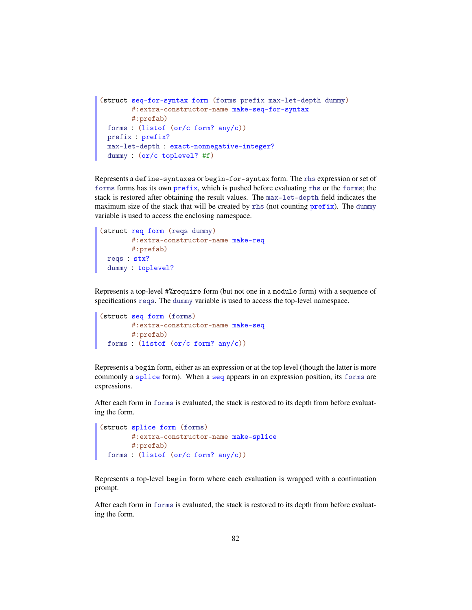```
(struct seq-for-syntax form (forms prefix max-let-depth dummy)
        #:extra-constructor-name make-seq-for-syntax
       #:prefab)
 forms : (listof (or/c form? any/c))
 prefix : prefix?
 max-let-depth : exact-nonnegative-integer?
 dummy : (or/c toplevel? #f)
```
Represents a define-syntaxes or begin-for-syntax form. The rhs expression or set of forms forms has its own prefix, which is pushed before evaluating rhs or the forms; the stack is restored after obtaining the result values. The max-let-depth field indicates the maximum size of the stack that will be created by rhs (not counting prefix). The dummy variable is used to access the enclosing namespace.

```
(struct req form (reqs dummy)
       #:extra-constructor-name make-req
       #:prefab)
 reqs : stx?
 dummy : toplevel?
```
Represents a top-level #%require form (but not one in a module form) with a sequence of specifications reqs. The dummy variable is used to access the top-level namespace.

```
(struct seq form (forms)
      #:extra-constructor-name make-seq
       #:prefab)
 forms : (listof (or/c form? any/c))
```
Represents a begin form, either as an expression or at the top level (though the latter is more commonly a splice form). When a seq appears in an expression position, its forms are expressions.

After each form in forms is evaluated, the stack is restored to its depth from before evaluating the form.

```
(struct splice form (forms)
     #:extra-constructor-name make-splice
      #:prefab)
 forms : (listof (or/c form? any/c))
```
Represents a top-level begin form where each evaluation is wrapped with a continuation prompt.

After each form in forms is evaluated, the stack is restored to its depth from before evaluating the form.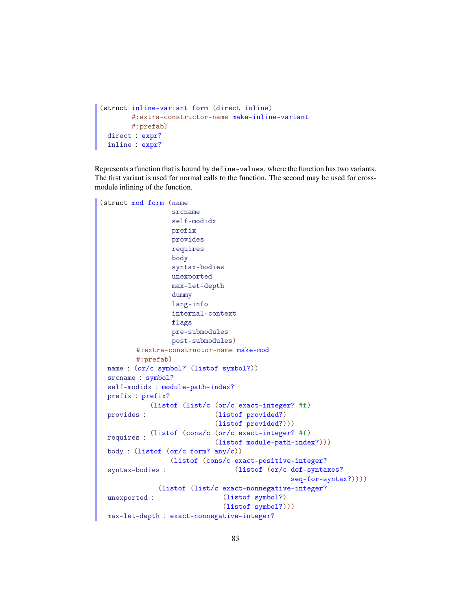```
(struct inline-variant form (direct inline)
       #:extra-constructor-name make-inline-variant
       #:prefab)
 direct : expr?
 inline : expr?
```
Represents a function that is bound by define-values, where the function has two variants. The first variant is used for normal calls to the function. The second may be used for crossmodule inlining of the function.

```
(struct mod form (name
                  srcname
                  self-modidx
                  prefix
                  provides
                  requires
                  body
                  syntax-bodies
                  unexported
                  max-let-depth
                  dummy
                  lang-info
                  internal-context
                  flags
                  pre-submodules
                  post-submodules)
         #:extra-constructor-name make-mod
         #:prefab)
 name : (or/c symbol? (listof symbol?))
 srcname : symbol?
 self-modidx : module-path-index?
 prefix : prefix?
 provides :
            (listof (list/c (or/c exact-integer? #f)
                             (listof provided?)
                             (listof provided?)))
  requires :
(listof (cons/c (or/c exact-integer? #f)
                             (listof module-path-index?)))
 body : (listof (or/c form? any/c))syntax-bodies :
                  (listof (cons/c exact-positive-integer?
                                  (listof (or/c def-syntaxes?
                                                seq-for-syntax?))))
 unexported :
              (listof (list/c exact-nonnegative-integer?
                               (listof symbol?)
                               (listof symbol?)))
 max-let-depth : exact-nonnegative-integer?
```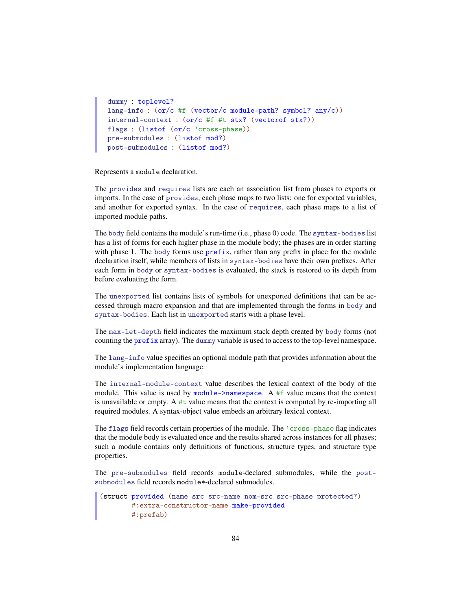```
dummy : toplevel?
lang-info : (or/c #f (vector/c module-path? symbol? any/c))
internal-context : (or/c #f #t stx? (vectorof stx?))
flags : (listof (or/c 'cross-phase))
pre-submodules : (listof mod?)
post-submodules : (listof mod?)
```
Represents a module declaration.

The provides and requires lists are each an association list from phases to exports or imports. In the case of provides, each phase maps to two lists: one for exported variables, and another for exported syntax. In the case of requires, each phase maps to a list of imported module paths.

The body field contains the module's run-time (i.e., phase 0) code. The syntax-bodies list has a list of forms for each higher phase in the module body; the phases are in order starting with phase 1. The body forms use prefix, rather than any prefix in place for the module declaration itself, while members of lists in syntax-bodies have their own prefixes. After each form in body or syntax-bodies is evaluated, the stack is restored to its depth from before evaluating the form.

The unexported list contains lists of symbols for unexported definitions that can be accessed through macro expansion and that are implemented through the forms in body and syntax-bodies. Each list in unexported starts with a phase level.

The max-let-depth field indicates the maximum stack depth created by body forms (not counting the prefix array). The dummy variable is used to access to the top-level namespace.

The lang-info value specifies an optional module path that provides information about the module's implementation language.

The internal-module-context value describes the lexical context of the body of the module. This value is used by module->namespace. A #f value means that the context is unavailable or empty. A  $#t$  value means that the context is computed by re-importing all required modules. A syntax-object value embeds an arbitrary lexical context.

The flags field records certain properties of the module. The 'cross-phase flag indicates that the module body is evaluated once and the results shared across instances for all phases; such a module contains only definitions of functions, structure types, and structure type properties.

The pre-submodules field records module-declared submodules, while the postsubmodules field records module\*-declared submodules.

```
(struct provided (name src src-name nom-src src-phase protected?)
       #:extra-constructor-name make-provided
       #:prefab)
```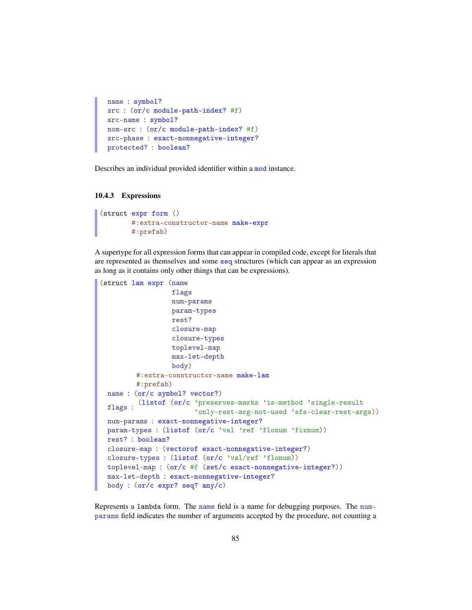```
name : symbol?
src : (or/c module-path-index? #f)
src-name : symbol?
nom-src : (or/c module-path-index? #f)
src-phase : exact-nonnegative-integer?
protected? : boolean?
```
Describes an individual provided identifier within a mod instance.

#### 10.4.3 Expressions

```
(struct expr form ()
        #:extra-constructor-name make-expr
        #:prefab)
```
A supertype for all expression forms that can appear in compiled code, except for literals that are represented as themselves and some seq structures (which can appear as an expression as long as it contains only other things that can be expressions).

```
(struct lam expr (name
                  flags
                  num-params
                 param-types
                 rest?
                  closure-map
                  closure-types
                 toplevel-map
                 max-let-depth
                  body)
        #:extra-constructor-name make-lam
        #:prefab)
 name : (or/c symbol? vector?)
  flags :
(listof (or/c 'preserves-marks 'is-method 'single-result
                       'only-rest-arg-not-used 'sfs-clear-rest-args))
 num-params : exact-nonnegative-integer?
 param-types : (listof (or/c 'val 'ref 'flonum 'fixnum))
 rest? : boolean?
 closure-map : (vectorof exact-nonnegative-integer?)
 closure-types : (listof (or/c 'val/ref 'flonum))
 toplevel-map : (or/c #f (set/c exact-nonnegative-integer?))
 max-let-depth : exact-nonnegative-integer?
 body : (or/c expr? seq? any/c)
```
Represents a lambda form. The name field is a name for debugging purposes. The numparams field indicates the number of arguments accepted by the procedure, not counting a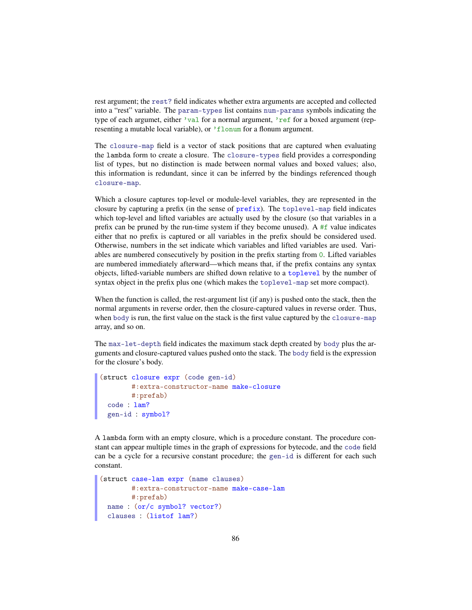rest argument; the rest? field indicates whether extra arguments are accepted and collected into a "rest" variable. The param-types list contains num-params symbols indicating the type of each argumet, either 'val for a normal argument, 'ref for a boxed argument (representing a mutable local variable), or 'flonum for a flonum argument.

The closure-map field is a vector of stack positions that are captured when evaluating the lambda form to create a closure. The closure-types field provides a corresponding list of types, but no distinction is made between normal values and boxed values; also, this information is redundant, since it can be inferred by the bindings referenced though closure-map.

Which a closure captures top-level or module-level variables, they are represented in the closure by capturing a prefix (in the sense of prefix). The toplevel-map field indicates which top-level and lifted variables are actually used by the closure (so that variables in a prefix can be pruned by the run-time system if they become unused). A  $#f$  value indicates either that no prefix is captured or all variables in the prefix should be considered used. Otherwise, numbers in the set indicate which variables and lifted variables are used. Variables are numbered consecutively by position in the prefix starting from 0. Lifted variables are numbered immediately afterward—which means that, if the prefix contains any syntax objects, lifted-variable numbers are shifted down relative to a toplevel by the number of syntax object in the prefix plus one (which makes the toplevel-map set more compact).

When the function is called, the rest-argument list (if any) is pushed onto the stack, then the normal arguments in reverse order, then the closure-captured values in reverse order. Thus, when body is run, the first value on the stack is the first value captured by the closure-map array, and so on.

The max-let-depth field indicates the maximum stack depth created by body plus the arguments and closure-captured values pushed onto the stack. The body field is the expression for the closure's body.

```
(struct closure expr (code gen-id)
        #:extra-constructor-name make-closure
        #:prefab)
 code : lam?
 gen-id : symbol?
```
A lambda form with an empty closure, which is a procedure constant. The procedure constant can appear multiple times in the graph of expressions for bytecode, and the code field can be a cycle for a recursive constant procedure; the gen-id is different for each such constant.

```
(struct case-lam expr (name clauses)
       #:extra-constructor-name make-case-lam
       #:prefab)
 name : (or/c symbol? vector?)
 clauses : (listof lam?)
```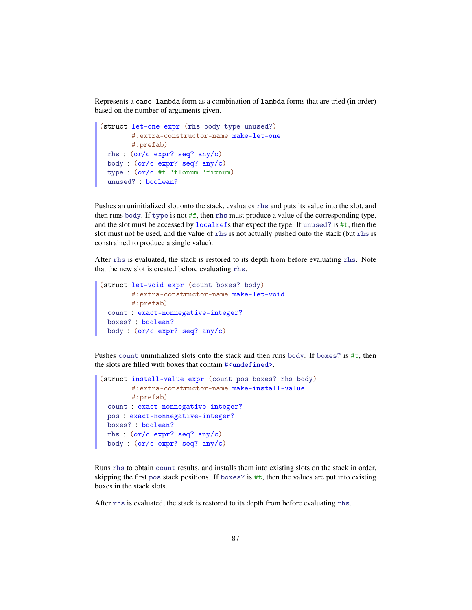Represents a case-lambda form as a combination of lambda forms that are tried (in order) based on the number of arguments given.

```
(struct let-one expr (rhs body type unused?)
       #:extra-constructor-name make-let-one
       #:prefab)
 rhs : (or/c expr? seq? any/c)
 body : (or/c expr? seq? any/c)
 type : (or/c #f 'flonum 'fixnum)
 unused? : boolean?
```
Pushes an uninitialized slot onto the stack, evaluates rhs and puts its value into the slot, and then runs body. If type is not  $#f$ , then rhs must produce a value of the corresponding type, and the slot must be accessed by localrefs that expect the type. If unused? is #t, then the slot must not be used, and the value of rhs is not actually pushed onto the stack (but rhs is constrained to produce a single value).

After rhs is evaluated, the stack is restored to its depth from before evaluating rhs. Note that the new slot is created before evaluating rhs.

```
(struct let-void expr (count boxes? body)
       #:extra-constructor-name make-let-void
       #:prefab)
 count : exact-nonnegative-integer?
 boxes? : boolean?
 body : (or/c expr? seq? any/c)
```
Pushes count uninitialized slots onto the stack and then runs body. If boxes? is  $\#t$ , then the slots are filled with boxes that contain #<undefined>.

```
(struct install-value expr (count pos boxes? rhs body)
       #:extra-constructor-name make-install-value
       #:prefab)
 count : exact-nonnegative-integer?
 pos : exact-nonnegative-integer?
 boxes? : boolean?
 rhs : (or/c expr? seq? any/c)
 body : (or/c expr? seq? any/c)
```
Runs rhs to obtain count results, and installs them into existing slots on the stack in order, skipping the first pos stack positions. If boxes? is  $\#t$ , then the values are put into existing boxes in the stack slots.

After rhs is evaluated, the stack is restored to its depth from before evaluating rhs.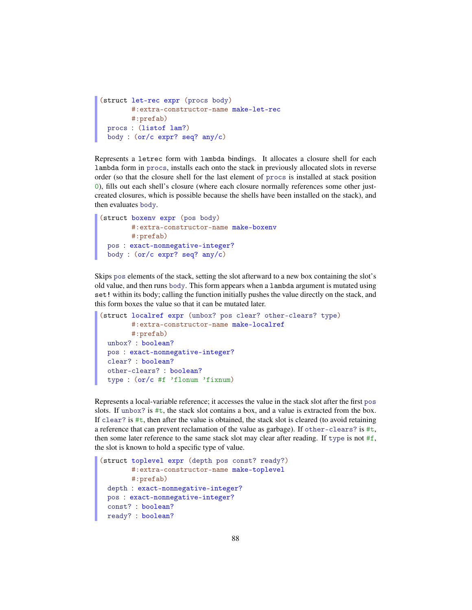```
(struct let-rec expr (procs body)
       #:extra-constructor-name make-let-rec
       #:prefab)
 procs : (listof lam?)
 body : (or/c expr? seq? any/c)
```
Represents a letrec form with lambda bindings. It allocates a closure shell for each lambda form in procs, installs each onto the stack in previously allocated slots in reverse order (so that the closure shell for the last element of procs is installed at stack position 0), fills out each shell's closure (where each closure normally references some other justcreated closures, which is possible because the shells have been installed on the stack), and then evaluates body.

```
(struct boxenv expr (pos body)
       #:extra-constructor-name make-boxenv
       #:prefab)
 pos : exact-nonnegative-integer?
 body : (or/c expr? seq? any/c)
```
Skips pos elements of the stack, setting the slot afterward to a new box containing the slot's old value, and then runs body. This form appears when a lambda argument is mutated using set! within its body; calling the function initially pushes the value directly on the stack, and this form boxes the value so that it can be mutated later.

```
(struct localref expr (unbox? pos clear? other-clears? type)
       #:extra-constructor-name make-localref
       #:prefab)
 unbox? : boolean?
 pos : exact-nonnegative-integer?
 clear? : boolean?
 other-clears? : boolean?
 type : (or/c #f 'flonum 'fixnum)
```
Represents a local-variable reference; it accesses the value in the stack slot after the first pos slots. If unbox? is  $\#t$ , the stack slot contains a box, and a value is extracted from the box. If clear? is #t, then after the value is obtained, the stack slot is cleared (to avoid retaining a reference that can prevent reclamation of the value as garbage). If other-clears? is  $\#t$ , then some later reference to the same stack slot may clear after reading. If type is not  $#f$ , the slot is known to hold a specific type of value.

```
(struct toplevel expr (depth pos const? ready?)
       #:extra-constructor-name make-toplevel
       #:prefab)
 depth : exact-nonnegative-integer?
 pos : exact-nonnegative-integer?
 const? : boolean?
 ready? : boolean?
```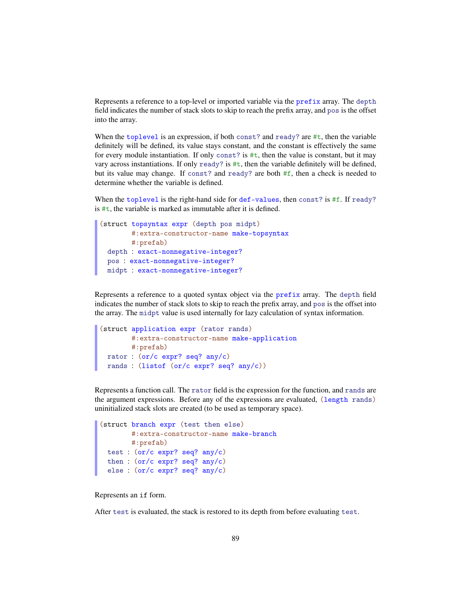Represents a reference to a top-level or imported variable via the prefix array. The depth field indicates the number of stack slots to skip to reach the prefix array, and pos is the offset into the array.

When the toplevel is an expression, if both const? and ready? are #t, then the variable definitely will be defined, its value stays constant, and the constant is effectively the same for every module instantiation. If only const? is  $\#t$ , then the value is constant, but it may vary across instantiations. If only  $\text{ready?}$  is  $\text{#t}$ , then the variable definitely will be defined, but its value may change. If const? and ready? are both #f, then a check is needed to determine whether the variable is defined.

When the toplevel is the right-hand side for def-values, then const? is #f. If ready? is  $\#t$ , the variable is marked as immutable after it is defined.

```
(struct topsyntax expr (depth pos midpt)
       #:extra-constructor-name make-topsyntax
       #:prefab)
 depth : exact-nonnegative-integer?
 pos : exact-nonnegative-integer?
 midpt : exact-nonnegative-integer?
```
Represents a reference to a quoted syntax object via the prefix array. The depth field indicates the number of stack slots to skip to reach the prefix array, and pos is the offset into the array. The midpt value is used internally for lazy calculation of syntax information.

```
(struct application expr (rator rands)
       #:extra-constructor-name make-application
       #:prefab)
 rator : (or/c expr? seq? any/c)
 rands : (listof (or/c expr? seq? any/c))
```
Represents a function call. The rator field is the expression for the function, and rands are the argument expressions. Before any of the expressions are evaluated, (length rands) uninitialized stack slots are created (to be used as temporary space).

```
(struct branch expr (test then else)
       #:extra-constructor-name make-branch
       #:prefab)
 test : (or/c expr? seq? any/c)
 then : (or/c expr? seq? any/c)
 else : (or/c expr? seq? any/c)
```
Represents an if form.

After test is evaluated, the stack is restored to its depth from before evaluating test.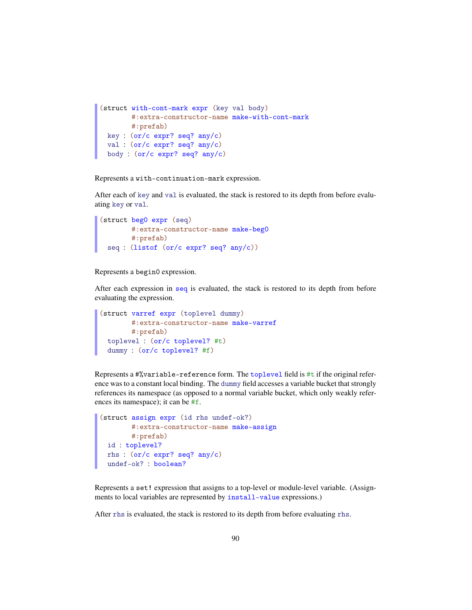```
(struct with-cont-mark expr (key val body)
       #:extra-constructor-name make-with-cont-mark
       #:prefab)
 key : (or/c expr? seq? any/c)
 val : (or/c expr? seq? any/c)
 body : (or/c expr? seq? any/c)
```
Represents a with-continuation-mark expression.

After each of key and val is evaluated, the stack is restored to its depth from before evaluating key or val.

```
(struct beg0 expr (seq)
      #:extra-constructor-name make-beg0
       #:prefab)
 seq : (listof (or/c expr? seq? any/c))
```
Represents a begin0 expression.

After each expression in seq is evaluated, the stack is restored to its depth from before evaluating the expression.

```
(struct varref expr (toplevel dummy)
       #:extra-constructor-name make-varref
      #:prefab)
 toplevel : (or/c toplevel? #t)
 dummy : (or/c toplevel? #f)
```
Represents a #%variable-reference form. The toplevel field is #t if the original reference was to a constant local binding. The dummy field accesses a variable bucket that strongly references its namespace (as opposed to a normal variable bucket, which only weakly references its namespace); it can be #f.

```
(struct assign expr (id rhs undef-ok?)
       #:extra-constructor-name make-assign
       #:prefab)
 id : toplevel?
 rhs : (or/c expr? seq? any/c)
 undef-ok? : boolean?
```
Represents a set! expression that assigns to a top-level or module-level variable. (Assignments to local variables are represented by install-value expressions.)

After rhs is evaluated, the stack is restored to its depth from before evaluating rhs.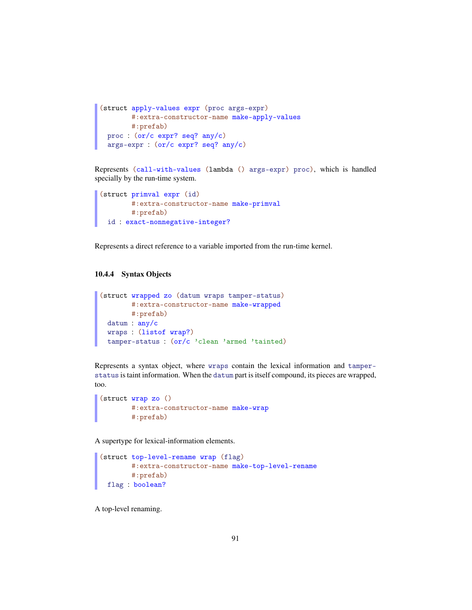```
(struct apply-values expr (proc args-expr)
       #:extra-constructor-name make-apply-values
      #:prefab)
 proc : (or/c expr? seq? any/c)
 args-expr : (or/c expr? seq? any/c)
```
Represents (call-with-values (lambda () args-expr) proc), which is handled specially by the run-time system.

```
(struct primval expr (id)
       #:extra-constructor-name make-primval
      #:prefab)
 id : exact-nonnegative-integer?
```
Represents a direct reference to a variable imported from the run-time kernel.

#### 10.4.4 Syntax Objects

```
(struct wrapped zo (datum wraps tamper-status)
       #:extra-constructor-name make-wrapped
       #:prefab)
 datum : any/c
 wraps : (listof wrap?)
 tamper-status : (or/c 'clean 'armed 'tainted)
```
Represents a syntax object, where wraps contain the lexical information and tamperstatus is taint information. When the datum part is itself compound, its pieces are wrapped, too.

```
(struct wrap zo ()
       #:extra-constructor-name make-wrap
        #:prefab)
```
A supertype for lexical-information elements.

```
(struct top-level-rename wrap (flag)
       #:extra-constructor-name make-top-level-rename
       #:prefab)
 flag : boolean?
```
A top-level renaming.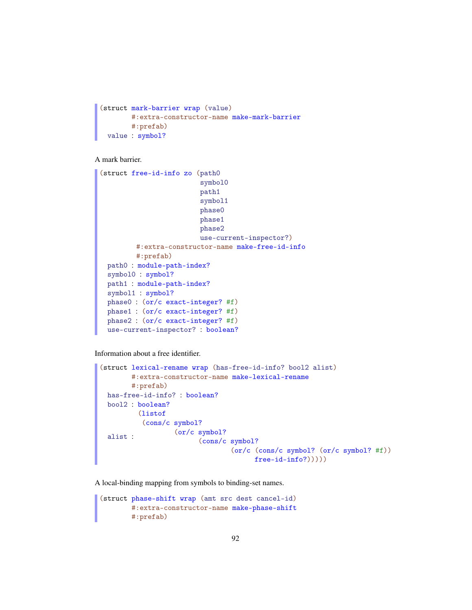```
(struct mark-barrier wrap (value)
       #:extra-constructor-name make-mark-barrier
       #:prefab)
 value : symbol?
```
A mark barrier.

```
(struct free-id-info zo (path0
                         symbol0
                         path1
                         symbol1
                         phase0
                         phase1
                         phase2
                         use-current-inspector?)
         #:extra-constructor-name make-free-id-info
         #:prefab)
 path0 : module-path-index?
 symbol0 : symbol?
 path1 : module-path-index?
 symbol1 : symbol?
 phase0 : (or/c exact-integer? #f)
 phase1 : (or/c exact-integer? #f)
 phase2 : (or/c exact-integer? #f)
 use-current-inspector? : boolean?
```
Information about a free identifier.

```
(struct lexical-rename wrap (has-free-id-info? bool2 alist)
       #:extra-constructor-name make-lexical-rename
       #:prefab)
 has-free-id-info? : boolean?
 bool2 : boolean?
 alist :
         (listof
          (cons/c symbol?
                  (or/c symbol?
                         (cons/c symbol?
                                 (or/c (cons/c symbol? (or/c symbol? #f))
                                       free-id-info?)))))
```
A local-binding mapping from symbols to binding-set names.

```
(struct phase-shift wrap (amt src dest cancel-id)
        #:extra-constructor-name make-phase-shift
        #:prefab)
```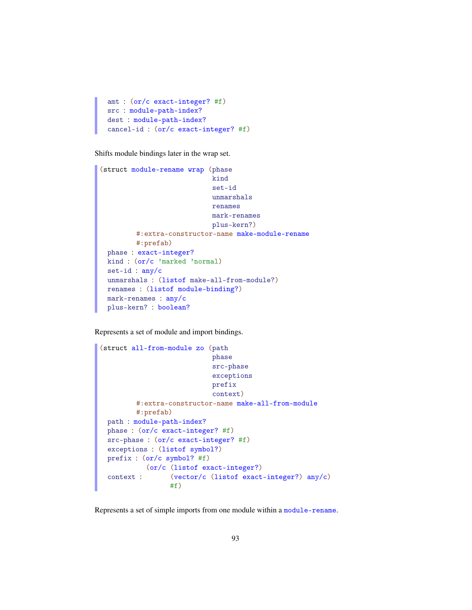```
amt : (or/c exact-integer? #f)
src : module-path-index?
dest : module-path-index?
cancel-id : (or/c exact-integer? #f)
```
Shifts module bindings later in the wrap set.

```
(struct module-rename wrap (phase
                            kind
                            set-id
                            unmarshals
                            renames
                            mark-renames
                            plus-kern?)
         #:extra-constructor-name make-module-rename
         #:prefab)
 phase : exact-integer?
 kind : (or/c 'marked 'normal)
 set-id : any/c
 unmarshals : (listof make-all-from-module?)
 renames : (listof module-binding?)
 mark-renames : any/c
 plus-kern? : boolean?
```
Represents a set of module and import bindings.

```
(struct all-from-module zo (path
                            phase
                            src-phase
                            exceptions
                            prefix
                            context)
         #:extra-constructor-name make-all-from-module
         #:prefab)
 path : module-path-index?
 phase : (or/c exact-integer? #f)
 src-phase : (or/c exact-integer? #f)
 exceptions : (listof symbol?)
 prefix : (or/c symbol? #f)
 context :
           (or/c (listof exact-integer?)
                 (vector/c (listof exact-integer?) any/c)
                 #f)
```
Represents a set of simple imports from one module within a module-rename.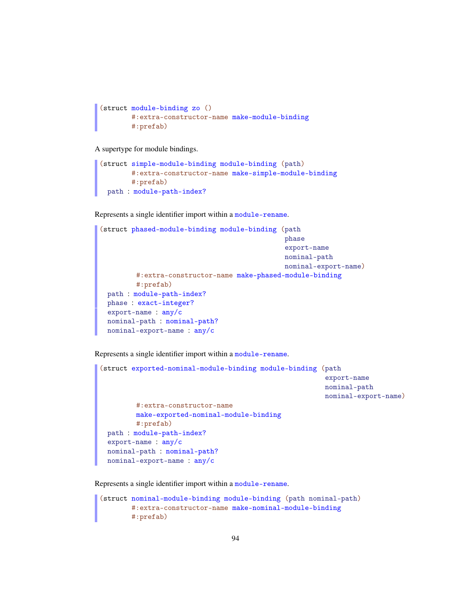```
(struct module-binding zo ()
       #:extra-constructor-name make-module-binding
       #:prefab)
```
A supertype for module bindings.

```
(struct simple-module-binding module-binding (path)
       #:extra-constructor-name make-simple-module-binding
       #:prefab)
 path : module-path-index?
```
Represents a single identifier import within a module-rename.

```
(struct phased-module-binding module-binding (path
                                              phase
                                              export-name
                                              nominal-path
                                              nominal-export-name)
         #:extra-constructor-name make-phased-module-binding
         #:prefab)
 path : module-path-index?
 phase : exact-integer?
 export-name : any/c
 nominal-path : nominal-path?
 nominal-export-name : any/c
```
Represents a single identifier import within a module-rename.

```
(struct exported-nominal-module-binding module-binding (path
                                                         export-name
                                                         nominal-path
                                                         nominal-export-name)
         #:extra-constructor-name
         make-exported-nominal-module-binding
         #:prefab)
 path : module-path-index?
 export-name : any/c
 nominal-path : nominal-path?
 nominal-export-name : any/c
```
Represents a single identifier import within a module-rename.

```
(struct nominal-module-binding module-binding (path nominal-path)
       #:extra-constructor-name make-nominal-module-binding
       #:prefab)
```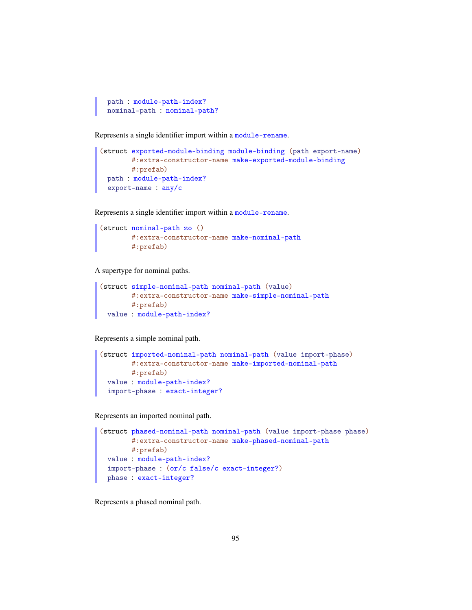```
path : module-path-index?
nominal-path : nominal-path?
```
Represents a single identifier import within a module-rename.

```
(struct exported-module-binding module-binding (path export-name)
       #:extra-constructor-name make-exported-module-binding
       #:prefab)
 path : module-path-index?
 export-name : any/c
```
Represents a single identifier import within a module-rename.

```
(struct nominal-path zo ()
       #:extra-constructor-name make-nominal-path
        #:prefab)
```
A supertype for nominal paths.

```
(struct simple-nominal-path nominal-path (value)
       #:extra-constructor-name make-simple-nominal-path
       #:prefab)
 value : module-path-index?
```
Represents a simple nominal path.

```
(struct imported-nominal-path nominal-path (value import-phase)
       #:extra-constructor-name make-imported-nominal-path
      #:prefab)
 value : module-path-index?
 import-phase : exact-integer?
```
Represents an imported nominal path.

```
(struct phased-nominal-path nominal-path (value import-phase phase)
       #:extra-constructor-name make-phased-nominal-path
       #:prefab)
 value : module-path-index?
 import-phase : (or/c false/c exact-integer?)
 phase : exact-integer?
```
Represents a phased nominal path.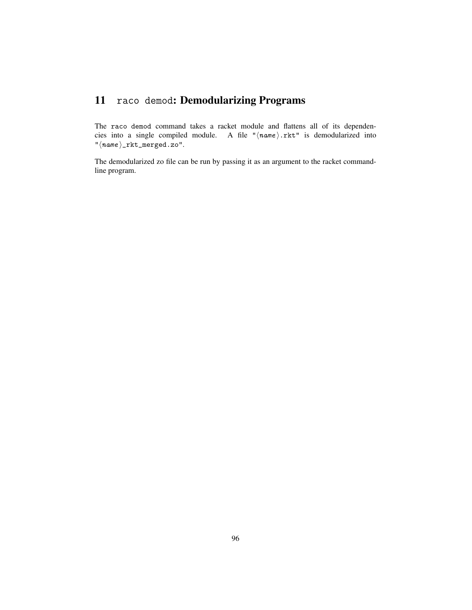## 11 raco demod: Demodularizing Programs

The raco demod command takes a racket module and flattens all of its dependencies into a single compiled module. A file " $\langle name \rangle$ .rkt" is demodularized into  $"\langle name \rangle _{\_} {\texttt{rkt\_merged.zo}}".$ 

The demodularized zo file can be run by passing it as an argument to the racket commandline program.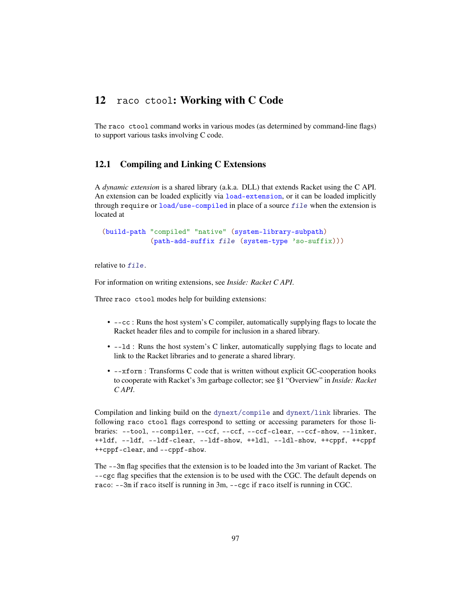### 12 raco ctool: Working with C Code

The raco ctool command works in various modes (as determined by command-line flags) to support various tasks involving C code.

#### 12.1 Compiling and Linking C Extensions

A *dynamic extension* is a shared library (a.k.a. DLL) that extends Racket using the C API. An extension can be loaded explicitly via load-extension, or it can be loaded implicitly through require or load/use-compiled in place of a source file when the extension is located at

(build-path "compiled" "native" (system-library-subpath) (path-add-suffix file (system-type 'so-suffix)))

relative to file.

For information on writing extensions, see *Inside: Racket C API*.

Three raco ctool modes help for building extensions:

- --cc : Runs the host system's C compiler, automatically supplying flags to locate the Racket header files and to compile for inclusion in a shared library.
- --ld : Runs the host system's C linker, automatically supplying flags to locate and link to the Racket libraries and to generate a shared library.
- --xform : Transforms C code that is written without explicit GC-cooperation hooks to cooperate with Racket's 3m garbage collector; see §1 "Overview" in *Inside: Racket C API*.

Compilation and linking build on the dynext/compile and dynext/link libraries. The following raco ctool flags correspond to setting or accessing parameters for those libraries: --tool, --compiler, --ccf, --ccf, --ccf-clear, --ccf-show, --linker, ++ldf, --ldf, --ldf-clear, --ldf-show, ++ldl, --ldl-show, ++cppf, ++cppf ++cppf-clear, and --cppf-show.

The --3m flag specifies that the extension is to be loaded into the 3m variant of Racket. The --cgc flag specifies that the extension is to be used with the CGC. The default depends on raco: --3m if raco itself is running in 3m, --cgc if raco itself is running in CGC.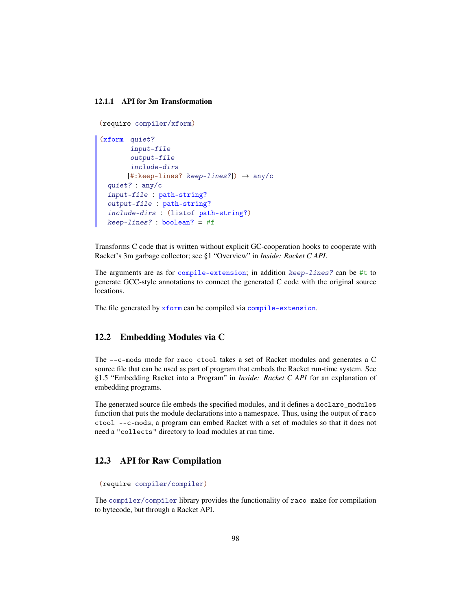#### 12.1.1 API for 3m Transformation

```
(require compiler/xform)
(xform quiet?
       input-file
       output-file
       include-dirs
       [#:keep-lines? keep-lines?] \rightarrow any/c
 quiet? : any/c
 input-file : path-string?
 output-file : path-string?
  include-dirs : (listof path-string?)
 keep-lines? : boolean? = #f
```
Transforms C code that is written without explicit GC-cooperation hooks to cooperate with Racket's 3m garbage collector; see §1 "Overview" in *Inside: Racket C API*.

The arguments are as for compile-extension; in addition keep-lines? can be #t to generate GCC-style annotations to connect the generated C code with the original source locations.

The file generated by xform can be compiled via compile-extension.

#### 12.2 Embedding Modules via C

The --c-mods mode for raco ctool takes a set of Racket modules and generates a C source file that can be used as part of program that embeds the Racket run-time system. See §1.5 "Embedding Racket into a Program" in *Inside: Racket C API* for an explanation of embedding programs.

The generated source file embeds the specified modules, and it defines a declare\_modules function that puts the module declarations into a namespace. Thus, using the output of raco ctool --c-mods, a program can embed Racket with a set of modules so that it does not need a "collects" directory to load modules at run time.

#### 12.3 API for Raw Compilation

(require compiler/compiler)

The compiler/compiler library provides the functionality of raco make for compilation to bytecode, but through a Racket API.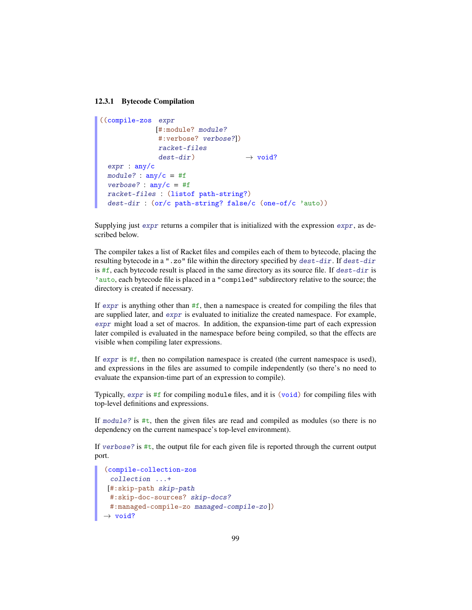#### 12.3.1 Bytecode Compilation

```
((compile-zos expr
              [#:module? module?
              #:verbose? verbose?])
              racket-files
              dest-dir \rightarrow void?
 expr : any/c
 module? : \text{any/c} = #fverbose? : \text{any/c} = #fracket-files : (listof path-string?)
 dest-dir : (or/c path-string? false/c (one-of/c 'auto))
```
Supplying just expr returns a compiler that is initialized with the expression expr, as described below.

The compiler takes a list of Racket files and compiles each of them to bytecode, placing the resulting bytecode in a ".zo" file within the directory specified by dest-dir. If dest-dir is  $#f$ , each bytecode result is placed in the same directory as its source file. If  $dest-dir$  is 'auto, each bytecode file is placed in a "compiled" subdirectory relative to the source; the directory is created if necessary.

If expr is anything other than  $#f$ , then a namespace is created for compiling the files that are supplied later, and expr is evaluated to initialize the created namespace. For example, expr might load a set of macros. In addition, the expansion-time part of each expression later compiled is evaluated in the namespace before being compiled, so that the effects are visible when compiling later expressions.

If  $\epsilon$ *xpr* is  $\#f$ , then no compilation namespace is created (the current namespace is used), and expressions in the files are assumed to compile independently (so there's no need to evaluate the expansion-time part of an expression to compile).

Typically, expr is #f for compiling module files, and it is (void) for compiling files with top-level definitions and expressions.

If module? is #t, then the given files are read and compiled as modules (so there is no dependency on the current namespace's top-level environment).

If verbose? is  $\#t$ , the output file for each given file is reported through the current output port.

```
(compile-collection-zos
 collection ...+
[#:skip-path skip-path
 #:skip-doc-sources? skip-docs?
 #:managed-compile-zo managed-compile-zo ])
\rightarrow void?
```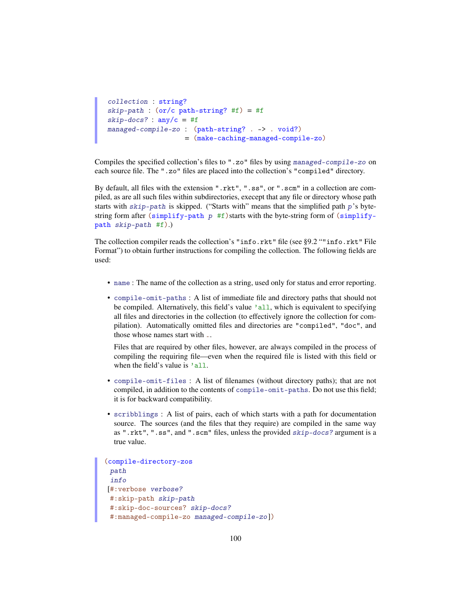```
collection : string?
skip-path : (or/c path-string? #f) = #fskip-docs? : \text{any/c} = #fmanaged-compile-zo : (path-string? . -> . void?)
                    = (make-caching-managed-compile-zo)
```
Compiles the specified collection's files to ".zo" files by using managed-compile-zo on each source file. The ".zo" files are placed into the collection's "compiled" directory.

By default, all files with the extension ".rkt", ".ss", or ".scm" in a collection are compiled, as are all such files within subdirectories, execept that any file or directory whose path starts with  $skip-path$  is skipped. ("Starts with" means that the simplified path  $p$ 's bytestring form after (simplify-path  $p$  #f) starts with the byte-string form of (simplifypath skip-path #f).)

The collection compiler reads the collection's "info.rkt" file (see §9.2 ""info.rkt" File Format") to obtain further instructions for compiling the collection. The following fields are used:

- name : The name of the collection as a string, used only for status and error reporting.
- compile-omit-paths : A list of immediate file and directory paths that should not be compiled. Alternatively, this field's value 'all, which is equivalent to specifying all files and directories in the collection (to effectively ignore the collection for compilation). Automatically omitted files and directories are "compiled", "doc", and those whose names start with ..

Files that are required by other files, however, are always compiled in the process of compiling the requiring file—even when the required file is listed with this field or when the field's value is 'all.

- compile-omit-files : A list of filenames (without directory paths); that are not compiled, in addition to the contents of compile-omit-paths. Do not use this field; it is for backward compatibility.
- scribblings : A list of pairs, each of which starts with a path for documentation source. The sources (and the files that they require) are compiled in the same way as ".rkt", ".ss", and ".scm" files, unless the provided skip-docs? argument is a true value.

```
(compile-directory-zos
 path
 info
[#:verbose verbose?
#:skip-path skip-path
 #:skip-doc-sources? skip-docs?
 #:managed-compile-zo managed-compile-zo ])
```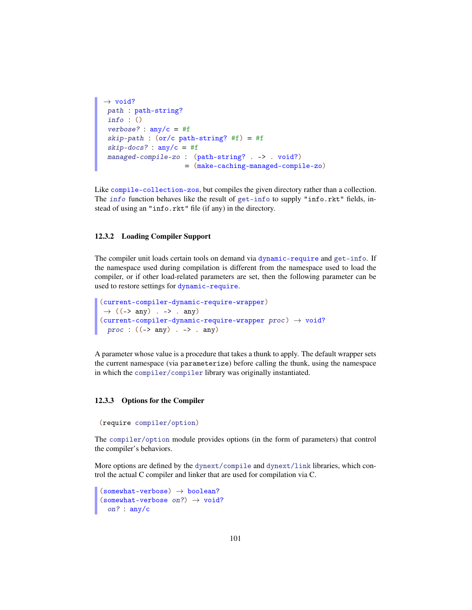```
\rightarrow void?
path : path-string?
info : ()
verbose? : any/c = #fskip-path : (or/c path-string? #f) = #f
skip-docs? : \text{any/c} = #fmanaged-compile-zo : (path-string? . -> . void?)
                     = (make-caching-managed-compile-zo)
```
Like compile-collection-zos, but compiles the given directory rather than a collection. The info function behaves like the result of get-info to supply "info.rkt" fields, instead of using an "info.rkt" file (if any) in the directory.

#### 12.3.2 Loading Compiler Support

The compiler unit loads certain tools on demand via dynamic-require and get-info. If the namespace used during compilation is different from the namespace used to load the compiler, or if other load-related parameters are set, then the following parameter can be used to restore settings for dynamic-require.

```
(current-compiler-dynamic-require-wrapper)
\rightarrow ((-> any) . -> . any)
(current-complier-dynamic-require-wrapper proc) \rightarrow void?proc : ((-> any) . -> . any)
```
A parameter whose value is a procedure that takes a thunk to apply. The default wrapper sets the current namespace (via parameterize) before calling the thunk, using the namespace in which the compiler/compiler library was originally instantiated.

#### 12.3.3 Options for the Compiler

```
(require compiler/option)
```
The compiler/option module provides options (in the form of parameters) that control the compiler's behaviors.

More options are defined by the dynext/compile and dynext/link libraries, which control the actual C compiler and linker that are used for compilation via C.

```
(somewhat-vertices) \rightarrow boolean?(somewhat-vertices on?) \rightarrow void?on? : any/c
```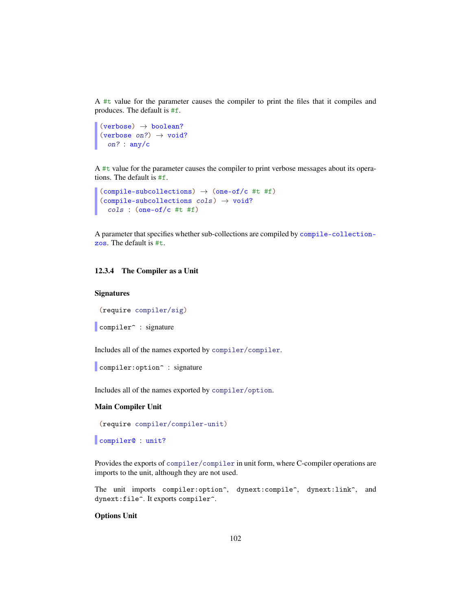A #t value for the parameter causes the compiler to print the files that it compiles and produces. The default is #f.

```
(verbose) \rightarrow boolean?
(verbose on?) \rightarrow void?
  on? : any/c
```
A #t value for the parameter causes the compiler to print verbose messages about its operations. The default is #f.

```
(compile-subcollections) \rightarrow (one-of/c #t #f)(compile-subcollections cols) \rightarrow void?cols : (one-of/c #t #f)
```
A parameter that specifies whether sub-collections are compiled by compile-collectionzos. The default is #t.

#### 12.3.4 The Compiler as a Unit

#### **Signatures**

(require compiler/sig)

```
compiler<sup>o</sup> : signature
```
Includes all of the names exported by compiler/compiler.

compiler: option<sup>^</sup> : signature

Includes all of the names exported by compiler/option.

#### Main Compiler Unit

(require compiler/compiler-unit)

compiler@ : unit?

Provides the exports of compiler/compiler in unit form, where C-compiler operations are imports to the unit, although they are not used.

The unit imports compiler: option^, dynext: compile^, dynext:link^, and dynext:file^. It exports compiler^.

#### Options Unit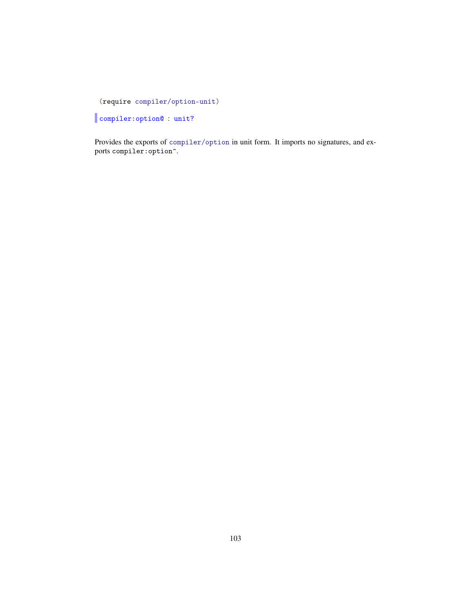(require compiler/option-unit)

compiler:option@ : unit?

Provides the exports of compiler/option in unit form. It imports no signatures, and exports compiler:option^.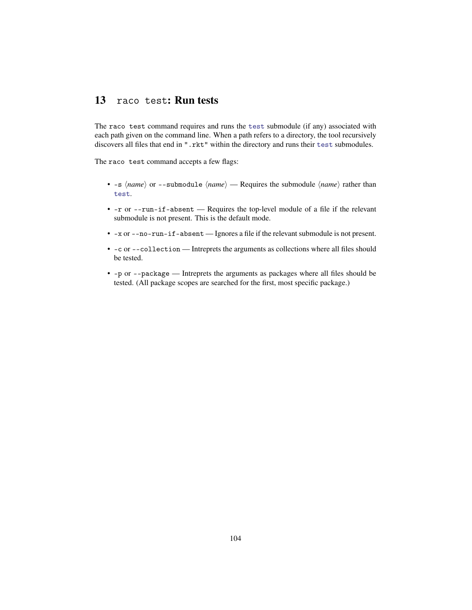## 13 raco test: Run tests

The raco test command requires and runs the test submodule (if any) associated with each path given on the command line. When a path refers to a directory, the tool recursively discovers all files that end in ".rkt" within the directory and runs their test submodules.

The raco test command accepts a few flags:

- $-s \langle name \rangle$  or  $--submodule \langle name \rangle$  Requires the submodule  $\langle name \rangle$  rather than test.
- -r or --run-if-absent Requires the top-level module of a file if the relevant submodule is not present. This is the default mode.
- -x or --no-run-if-absent Ignores a file if the relevant submodule is not present.
- -c or --collection Intreprets the arguments as collections where all files should be tested.
- -p or --package Intreprets the arguments as packages where all files should be tested. (All package scopes are searched for the first, most specific package.)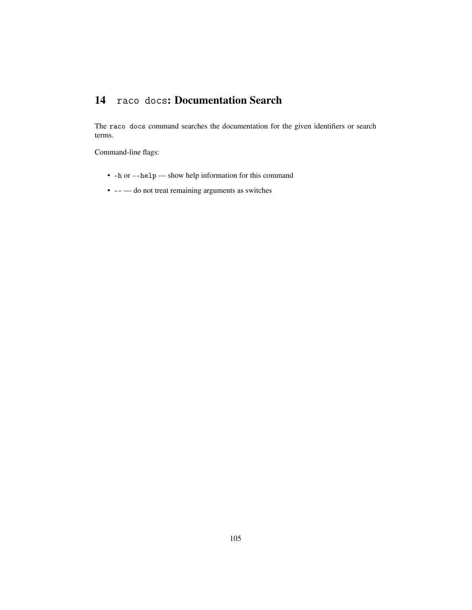## 14 raco docs: Documentation Search

The raco docs command searches the documentation for the given identifiers or search terms.

Command-line flags:

- -h or --help show help information for this command
- -- do not treat remaining arguments as switches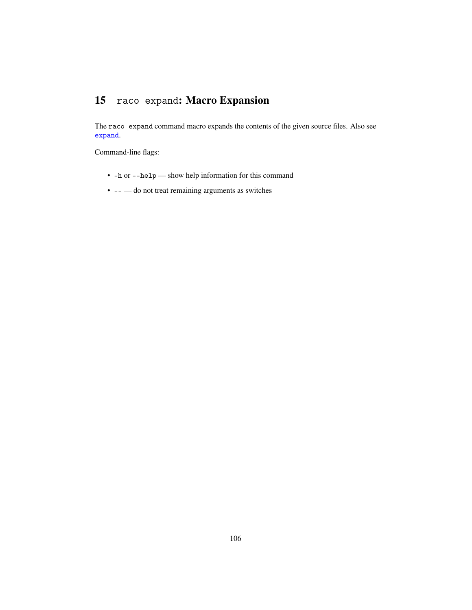## 15 raco expand: Macro Expansion

The raco expand command macro expands the contents of the given source files. Also see expand.

Command-line flags:

- -h or --help show help information for this command
- -- do not treat remaining arguments as switches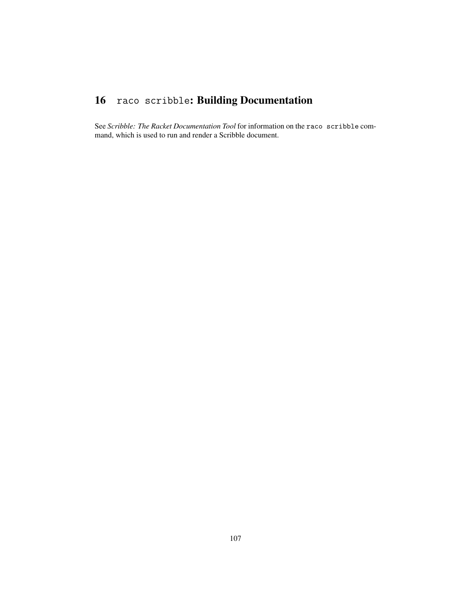# 16 raco scribble: Building Documentation

See *Scribble: The Racket Documentation Tool* for information on the raco scribble command, which is used to run and render a Scribble document.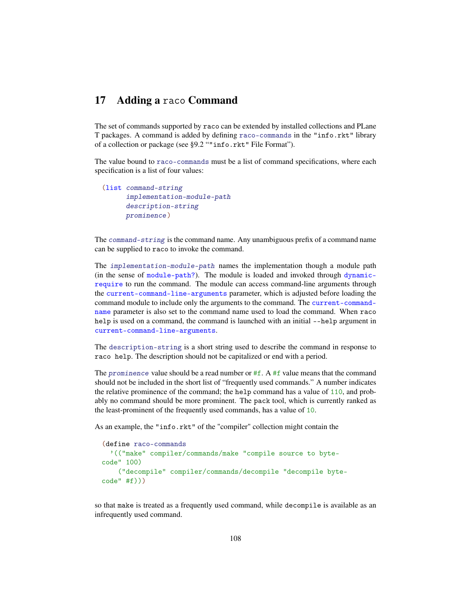## 17 Adding a raco Command

The set of commands supported by raco can be extended by installed collections and PLane T packages. A command is added by defining raco-commands in the "info.rkt" library of a collection or package (see §9.2 ""info.rkt" File Format").

The value bound to raco-commands must be a list of command specifications, where each specification is a list of four values:

```
(list command-string
     implementation-module-path
     description-string
     prominence)
```
The command-string is the command name. Any unambiguous prefix of a command name can be supplied to raco to invoke the command.

The implementation-module-path names the implementation though a module path (in the sense of module-path?). The module is loaded and invoked through dynamicrequire to run the command. The module can access command-line arguments through the current-command-line-arguments parameter, which is adjusted before loading the command module to include only the arguments to the command. The current-commandname parameter is also set to the command name used to load the command. When raco help is used on a command, the command is launched with an initial --help argument in current-command-line-arguments.

The description-string is a short string used to describe the command in response to raco help. The description should not be capitalized or end with a period.

The prominence value should be a read number or  $#f$ . A  $#f$  value means that the command should not be included in the short list of "frequently used commands." A number indicates the relative prominence of the command; the help command has a value of 110, and probably no command should be more prominent. The pack tool, which is currently ranked as the least-prominent of the frequently used commands, has a value of 10.

As an example, the "info.rkt" of the "compiler" collection might contain the

```
(define raco-commands
  '(("make" compiler/commands/make "compile source to byte-
code" 100)
    ("decompile" compiler/commands/decompile "decompile byte-
code" #f)))
```
so that make is treated as a frequently used command, while decompile is available as an infrequently used command.